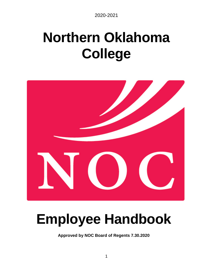# **Northern Oklahoma College**



# **Employee Handbook**

**Approved by NOC Board of Regents 7.30.2020**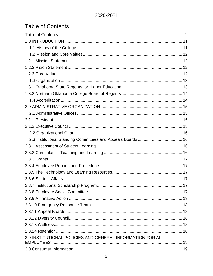# <span id="page-1-0"></span>**Table of Contents**

| 3.0 INSTITUTIONAL POLICIES AND GENERAL INFORMATION FOR ALL |  |
|------------------------------------------------------------|--|
|                                                            |  |
|                                                            |  |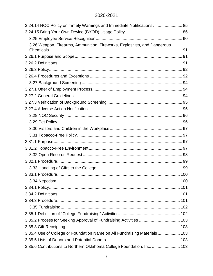| 3.24.14 NOC Policy on Timely Warnings and Immediate Notifications  85     |  |
|---------------------------------------------------------------------------|--|
|                                                                           |  |
|                                                                           |  |
| 3.26 Weapon, Firearms, Ammunition, Fireworks, Explosives, and Dangerous   |  |
|                                                                           |  |
|                                                                           |  |
|                                                                           |  |
|                                                                           |  |
|                                                                           |  |
|                                                                           |  |
|                                                                           |  |
|                                                                           |  |
|                                                                           |  |
|                                                                           |  |
|                                                                           |  |
|                                                                           |  |
|                                                                           |  |
|                                                                           |  |
|                                                                           |  |
|                                                                           |  |
|                                                                           |  |
|                                                                           |  |
|                                                                           |  |
|                                                                           |  |
|                                                                           |  |
|                                                                           |  |
|                                                                           |  |
|                                                                           |  |
|                                                                           |  |
|                                                                           |  |
|                                                                           |  |
|                                                                           |  |
| 3.35.4 Use of College or Foundation Name on All Fundraising Materials 103 |  |
|                                                                           |  |
| 3.35.6 Contributions to Northern Oklahoma College Foundation, Inc.  103   |  |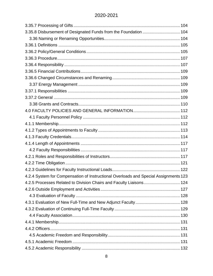| 3.35.8 Disbursement of Designated Funds from the Foundation  104                     |  |
|--------------------------------------------------------------------------------------|--|
|                                                                                      |  |
|                                                                                      |  |
|                                                                                      |  |
|                                                                                      |  |
|                                                                                      |  |
|                                                                                      |  |
|                                                                                      |  |
|                                                                                      |  |
|                                                                                      |  |
|                                                                                      |  |
|                                                                                      |  |
|                                                                                      |  |
|                                                                                      |  |
|                                                                                      |  |
|                                                                                      |  |
|                                                                                      |  |
|                                                                                      |  |
|                                                                                      |  |
|                                                                                      |  |
|                                                                                      |  |
|                                                                                      |  |
| 4.2.4 System for Compensation of Instructional Overloads and Special Assignments 123 |  |
| 4.2.5 Processes Related to Division Chairs and Faculty Liaisons 124                  |  |
|                                                                                      |  |
|                                                                                      |  |
|                                                                                      |  |
|                                                                                      |  |
|                                                                                      |  |
|                                                                                      |  |
|                                                                                      |  |
|                                                                                      |  |
|                                                                                      |  |
|                                                                                      |  |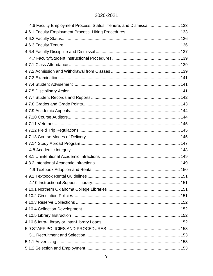| 4.6 Faculty Employment Process, Status, Tenure, and Dismissal 133 |  |
|-------------------------------------------------------------------|--|
|                                                                   |  |
|                                                                   |  |
|                                                                   |  |
|                                                                   |  |
|                                                                   |  |
|                                                                   |  |
|                                                                   |  |
|                                                                   |  |
|                                                                   |  |
|                                                                   |  |
|                                                                   |  |
|                                                                   |  |
|                                                                   |  |
|                                                                   |  |
|                                                                   |  |
|                                                                   |  |
|                                                                   |  |
|                                                                   |  |
|                                                                   |  |
|                                                                   |  |
|                                                                   |  |
|                                                                   |  |
|                                                                   |  |
|                                                                   |  |
|                                                                   |  |
|                                                                   |  |
|                                                                   |  |
|                                                                   |  |
|                                                                   |  |
|                                                                   |  |
|                                                                   |  |
|                                                                   |  |
|                                                                   |  |
|                                                                   |  |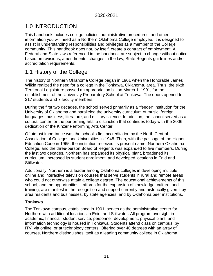# <span id="page-10-0"></span>1.0 INTRODUCTION

This handbook includes college policies, administrative procedures, and other information you will need as a Northern Oklahoma College employee. It is designed to assist in understanding responsibilities and privileges as a member of the College community. This handbook does not, by itself, create a contract of employment. All Federal and State laws referenced in the handbook are subject to change without notice based on revisions, amendments, changes in the law, State Regents guidelines and/or accreditation requirements.

# <span id="page-10-1"></span>1.1 History of the College

The history of Northern Oklahoma College began in 1901 when the Honorable James Wilkin realized the need for a college in the Tonkawa, Oklahoma, area. Thus, the sixth Territorial Legislature passed an appropriation bill on March 1, 1901, for the establishment of the University Preparatory School at Tonkawa. The doors opened to 217 students and 7 faculty members.

During the first two decades, the school served primarily as a "feeder" institution for the University of Oklahoma and paralleled the university curriculum of music, foreign languages, business, literature, and military science. In addition, the school served as a cultural center for the performing arts, a distinction that continues today with the 2006 dedication of the Kinzer Performing Arts Center.

Of utmost importance was the school's first accreditation by the North Central Association of Colleges and Universities in 1948. Then, with the passage of the Higher Education Code in 1965, the institution received its present name, Northern Oklahoma College, and the three-person Board of Regents was expanded to five members. During the last two decades, Northern has expanded its physical plant, broadened its curriculum, increased its student enrollment, and developed locations in Enid and Stillwater.

Additionally, Northern is a leader among Oklahoma colleges in developing multiple online and interactive television courses that serve students in rural and remote areas who could not otherwise attain a college degree. The educational achievements of this school, and the opportunities it affords for the expansion of knowledge, culture, and training, are manifest in the recognition and support currently and historically given it by area residents and businesses, by state agencies, and by Oklahoma peer institutions.

#### **Tonkawa**

The Tonkawa campus, established in 1901, serves as the administrative center for Northern with additional locations in Enid, and Stillwater. All program oversight in academic, financial, student service, personnel, development, physical plant, and information technology is housed in Tonkawa. Students attend class on campus, by ITV, via online, or at technology centers. Offering over 40 degrees with an array of courses, Northern distinguishes itself as a leading community college in Oklahoma.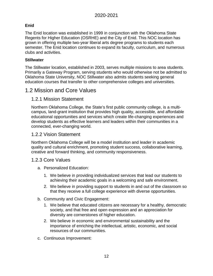## **Enid**

The Enid location was established in 1999 in conjunction with the Oklahoma State Regents for Higher Education (OSRHE) and the City of Enid. This NOC location has grown in offering multiple two-year liberal arts degree programs to students each semester. The Enid location continues to expand its faculty, curriculum, and numerous clubs and activities.

#### **Stillwater**

The Stillwater location, established in 2003, serves multiple missions to area students. Primarily a Gateway Program, serving students who would otherwise not be admitted to Oklahoma State University, NOC Stillwater also admits students seeking general education courses that transfer to other comprehensive colleges and universities.

## <span id="page-11-0"></span>1.2 Mission and Core Values

## <span id="page-11-1"></span>1.2.1 Mission Statement

Northern Oklahoma College, the State's first public community college, is a multicampus, land-grant institution that provides high quality, accessible, and affordable educational opportunities and services which create life-changing experiences and develop students as effective learners and leaders within their communities in a connected, ever-changing world.

## <span id="page-11-2"></span>1.2.2 Vision Statement

Northern Oklahoma College will be a model institution and leader in academic quality and cultural enrichment, promoting student success, collaborative learning, creative and forward thinking, and community responsiveness.

#### <span id="page-11-3"></span>1.2.3 Core Values

- a. Personalized Education:
	- 1. We believe in providing individualized services that lead our students to achieving their academic goals in a welcoming and safe environment.
	- 2. We believe in providing support to students in and out of the classroom so that they receive a full college experience with diverse opportunities.
- b. Community and Civic Engagement:
	- 1. We believe that educated citizens are necessary for a healthy, democratic society, and that free and open expression and an appreciation for diversity are cornerstones of higher education.
	- 2. We believe in economic and environmental sustainability and the importance of enriching the intellectual, artistic, economic, and social resources of our communities.
- c. Continuous Improvement: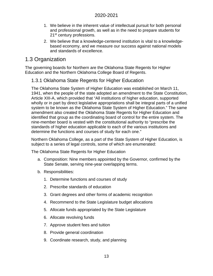- 1. We believe in the inherent value of intellectual pursuit for both personal and professional growth, as well as in the need to prepare students for 21<sup>st</sup> century professions.
- 2. We believe that a knowledge-centered institution is vital to a knowledgebased economy, and we measure our success against national models and standards of excellence.

# <span id="page-12-0"></span>1.3 Organization

The governing boards for Northern are the Oklahoma State Regents for Higher Education and the Northern Oklahoma College Board of Regents.

## <span id="page-12-1"></span>1.3.1 Oklahoma State Regents for Higher Education

The Oklahoma State System of Higher Education was established on March 11, 1941, when the people of the state adopted an amendment to the State Constitution, Article XIII-A, which provided that "All institutions of higher education, supported wholly or in part by direct legislative appropriations shall be integral parts of a unified system to be known as the Oklahoma State System of Higher Education." The same amendment also created the Oklahoma State Regents for Higher Education and identified that group as the coordinating board of control for the entire system. The nine-member board is vested with the constitutional authority to "prescribe the standards of higher education applicable to each of the various institutions and determine the functions and courses of study for each one."

Northern Oklahoma College, as a part of the State System of Higher Education, is subject to a series of legal controls, some of which are enumerated:

The Oklahoma State Regents for Higher Education

- a. Composition: Nine members appointed by the Governor, confirmed by the State Senate, serving nine-year overlapping terms.
- b. Responsibilities:
	- 1. Determine functions and courses of study
	- 2. Prescribe standards of education
	- 3. Grant degrees and other forms of academic recognition
	- 4. Recommend to the State Legislature budget allocations
	- 5. Allocate funds appropriated by the State Legislature
	- 6. Allocate revolving funds
	- 7. Approve student fees and tuition
	- 8. Provide general coordination
	- 9. Coordinate research, study, and planning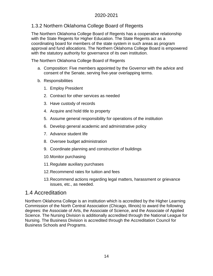## <span id="page-13-0"></span>1.3.2 Northern Oklahoma College Board of Regents

The Northern Oklahoma College Board of Regents has a cooperative relationship with the State Regents for Higher Education. The State Regents act as a coordinating board for members of the state system in such areas as program approval and fund allocations. The Northern Oklahoma College Board is empowered with the statutory authority for governance of its own institution.

The Northern Oklahoma College Board of Regents

- a. Composition: Five members appointed by the Governor with the advice and consent of the Senate, serving five-year overlapping terms.
- b. Responsibilities
	- 1. Employ President
	- 2. Contract for other services as needed
	- 3. Have custody of records
	- 4. Acquire and hold title to property
	- 5. Assume general responsibility for operations of the institution
	- 6. Develop general academic and administrative policy
	- 7. Advance student life
	- 8. Oversee budget administration
	- 9. Coordinate planning and construction of buildings
	- 10.Monitor purchasing
	- 11.Regulate auxiliary purchases
	- 12.Recommend rates for tuition and fees
	- 13.Recommend actions regarding legal matters, harassment or grievance issues, etc., as needed.

# <span id="page-13-1"></span>1.4 Accreditation

Northern Oklahoma College is an institution which is accredited by the Higher Learning Commission of the North Central Association (Chicago, Illinois) to award the following degrees: the Associate of Arts, the Associate of Science, and the Associate of Applied Science. The Nursing Division is additionally accredited through the National League for Nursing. The Business Division is accredited through the Accreditation Council for Business Schools and Programs.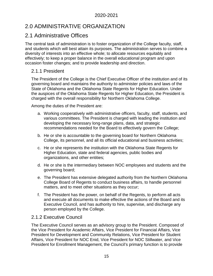# <span id="page-14-0"></span>2.0 ADMINISTRATIVE ORGANIZATION

# <span id="page-14-1"></span>2.1 Administrative Offices

The central task of administration is to foster organization of the College faculty, staff, and students which will best attain its purposes. The administration serves to combine a diversity of interests into an effective whole; to allocate resources equitably and effectively; to keep a proper balance in the overall educational program and upon occasion foster changes; and to provide leadership and direction.

## <span id="page-14-2"></span>2.1.1 President

The President of the College is the Chief Executive Officer of the institution and of its governing board and maintains the authority to administer policies and laws of the State of Oklahoma and the Oklahoma State Regents for Higher Education. Under the auspices of the Oklahoma State Regents for Higher Education, the President is charged with the overall responsibility for Northern Oklahoma College.

Among the duties of the President are:

- a. Working cooperatively with administrative officers, faculty, staff, students, and various committees. The President is charged with leading the institution and developing the necessary long-range plans, data, and strategic recommendations needed for the Board to effectively govern the College;
- b. He or she is accountable to the governing board for Northern Oklahoma College, its personnel, and all its official educational and business activities;
- c. He or she represents the institution with the Oklahoma State Regents for Higher Education, state and federal agencies, public bodies and organizations, and other entities;
- d. He or she is the intermediary between NOC employees and students and the governing board;
- e. The President has extensive delegated authority from the Northern Oklahoma College Board of Regents to conduct business affairs, to handle personnel matters, and to meet other situations as they occur;
- f. The President has the power, on behalf of the Regents, to perform all acts and execute all documents to make effective the actions of the Board and its Executive Council, and has authority to hire, supervise, and discharge any person employed by the College.

## <span id="page-14-3"></span>2.1.2 Executive Council

The Executive Council serves as an advisory group to the President. Composed of the Vice President for Academic Affairs, Vice President for Financial Affairs, Vice President for Development and Community Relations, Vice President for Student Affairs, Vice President for NOC Enid, Vice President for NOC Stillwater, and Vice President for Enrollment Management, the Council's primary function is to provide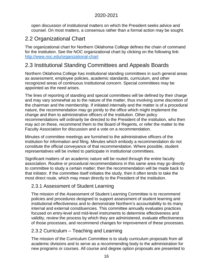open discussion of institutional matters on which the President seeks advice and counsel. On most matters, a consensus rather than a formal action may be sought.

# <span id="page-15-0"></span>2.2 Organizational Chart

The organizational chart for Northern Oklahoma College defines the chain of command for the institution. See the NOC organizational chart by clicking on the following link: <http://www.noc.edu/organizational-chart>

# <span id="page-15-1"></span>2.3 Institutional Standing Committees and Appeals Boards

Northern Oklahoma College has institutional standing committees in such general areas as assessment, employee policies, academic standards, curriculum, and other recognized areas of continuous institutional concern. Special committees may be appointed as the need arises.

The lines of reporting of standing and special committees will be defined by their charge and may vary somewhat as to the nature of the matter, thus involving some discretion of the chairman and the membership. If initiated internally and the matter is of a procedural nature, the recommendation may go jointly to the office which might implement the change and then to administrative officers of the institution. Other policy recommendations will ordinarily be directed to the President of the institution, who then may act on these, recommend them to the Board of Regents, or refer the matter to the Faculty Association for discussion and a vote on a recommendation.

Minutes of committee meetings are furnished to the administrative officers of the institution for information and filing. Minutes which embody a recommendation do not constitute the official conveyance of that recommendation. Where possible, student representatives will be invited to participate in institutional committees.

Significant matters of an academic nature will be routed through the entire faculty association. Routine or procedural recommendations in this same area may go directly to committee to study a certain matter; then the recommendation will be made back to that initiator. If the committee itself initiates the study, then it often tends to take the most direct route, which may mean directly to the President of the institution.

## <span id="page-15-2"></span>2.3.1 Assessment of Student Learning

The mission of the Assessment of Student Learning Committee is to recommend policies and procedures designed to support assessment of student learning and institutional effectiveness and to demonstrate Northern's accountability to its many internal and external constituencies. This committee annually evaluates practices focused on entry-level and mid-level instruments to determine effectiveness and validity, review the process by which they are administered, evaluate effectiveness of those processes, and recommend changes for improvement of these processes.

## <span id="page-15-3"></span>2.3.2 Curriculum – Teaching and Learning

The mission of the Curriculum Committee is to study curriculum proposals from all academic divisions and to serve as a recommending body to the administration for new programs or courses. All course and degree option proposals are presented to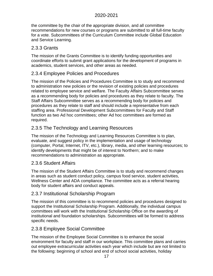the committee by the chair of the appropriate division, and all committee recommendations for new courses or programs are submitted to all full-time faculty for a vote. Subcommittees of the Curriculum Committee include Global Education and Service Learning.

## <span id="page-16-0"></span>2.3.3 Grants

The mission of the Grants Committee is to identify funding opportunities and coordinate efforts to submit grant applications for the development of programs in academics, student services, and other areas as needed.

## <span id="page-16-1"></span>2.3.4 Employee Policies and Procedures

The mission of the Policies and Procedures Committee is to study and recommend to administration new policies or the revision of existing policies and procedures related to employee service and welfare. The Faculty Affairs Subcommittee serves as a recommending body for policies and procedures as they relate to faculty. The Staff Affairs Subcommittee serves as a recommending body for policies and procedures as they relate to staff and should include a representative from each staffing area. Professional Development Subcommittees for Faculty and Staff function as two Ad hoc committees; other Ad hoc committees are formed as required.

## <span id="page-16-2"></span>2.3.5 The Technology and Learning Resources

The mission of the Technology and Learning Resources Committee is to plan, evaluate, and suggest policy in the implementation and usage of technology (computer, Portal, Internet, ITV, etc.), library, media, and other learning resources; to identify developments that might be of interest to Northern; and to make recommendations to administration as appropriate.

## <span id="page-16-3"></span>2.3.6 Student Affairs

The mission of the Student Affairs Committee is to study and recommend changes in areas such as student conduct policy, campus food service, student activities, Wellness Center and ADA compliance. The committee acts as a referral hearing body for student affairs and conduct appeals.

## <span id="page-16-4"></span>2.3.7 Institutional Scholarship Program

The mission of this committee is to recommend policies and procedures designed to support the Institutional Scholarship Program. Additionally, the individual campus committees will work with the Institutional Scholarship Office on the awarding of institutional and foundation scholarships. Subcommittees will be formed to address specific needs.

## <span id="page-16-5"></span>2.3.8 Employee Social Committee

The mission of the Employee Social Committee is to enhance the social environment for faculty and staff in our workplace. This committee plans and carries out employee extracurricular activities each year which include but are not limited to the following: beginning of school and end of school social activities, holiday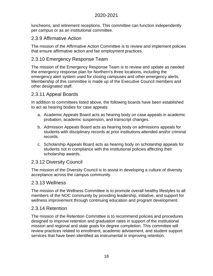luncheons, and retirement receptions. This committee can function independently per campus or as an institutional committee.

#### <span id="page-17-0"></span>2.3.9 Affirmative Action

The mission of the Affirmative Action Committee is to review and implement policies that ensure affirmative action and fair employment practices.

## <span id="page-17-1"></span>2.3.10 Emergency Response Team

The mission of the Emergency Response Team is to review and update as needed the emergency response plan for Northern's three locations, including the emergency alert system used for closing campuses and other emergency alerts. Membership of this committee is made up of the Executive Council members and other designated staff.

## <span id="page-17-2"></span>2.3.11 Appeal Boards

In addition to committees listed above, the following boards have been established to act as hearing bodies for case appeals:

- a. Academic Appeals Board acts as hearing body on case appeals in academic probation, academic suspension, and transcript changes.
- b. Admission Appeals Board acts as hearing body on admissions appeals for students with disciplinary records at prior institutions attended and/or criminal records.
- c. Scholarship Appeals Board acts as hearing body on scholarship appeals for students not in compliance with the institutional policies affecting their scholarship awards.

#### <span id="page-17-3"></span>2.3.12 Diversity Council

The mission of the Diversity Council is to assist in developing a culture of diversity acceptance across the campus community.

#### <span id="page-17-4"></span>2.3.13 Wellness

The mission of the Wellness Committee is to promote overall healthy lifestyles to all members of the NOC community by providing leadership, initiative, and support for wellness improvement through continuing education and program development.

#### <span id="page-17-5"></span>2.3.14 Retention

The mission of the Retention Committee is to recommend policies and procedures designed to improve retention and graduation rates in support of the institutional mission and regional and state goals for degree completion. This committee will review practices related to enrollment, academic advisement, and student support services that have been identified as instrumental in improving retention.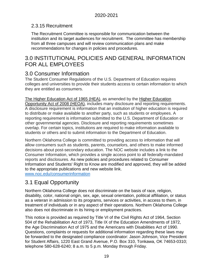## 2.3.15 Recruitment

The Recruitment Committee is responsible for communication between the institution and its target audiences for recruitment. The committee has membership from all three campuses and will review communication plans and make recommendations for changes in policies and procedures.

# <span id="page-18-0"></span>3.0 INSTITUTIONAL POLICIES AND GENERAL INFORMATION FOR ALL EMPLOYEES

# <span id="page-18-1"></span>3.0 Consumer Information

The Student Consumer Regulations of the U.S. Department of Education requires colleges and universities to provide their students access to certain information to which they are entitled as consumers.

[The Higher Education Act of 1965 \(HEA\),](https://www.govinfo.gov/content/pkg/STATUTE-79/pdf/STATUTE-79-Pg1219.pdf#page=37) as amended by the [Higher Education](https://www2.ed.gov/policy/highered/leg/hea08/index.html)  [Opportunity Act of 2008 \(HEOA\),](https://www2.ed.gov/policy/highered/leg/hea08/index.html) includes many disclosure and reporting requirements. A disclosure requirement is information that an institution of higher education is required to distribute or make available to another party, such as students or employees. A reporting requirement is information submitted to the U.S. Department of Education or other governmental agencies. Disclosure and reporting requirements sometimes overlap. For certain topics, institutions are required to make information available to students or others and to submit information to the Department of Education.

Northern Oklahoma College is committed to providing access to information that will allow consumers such as students, parents, counselors, and others to make informed decisions about post-secondary education. The NOC website includes a link to the Consumer Information, which provides a single access point to all federally-mandated reports and disclosures. As new policies and procedures related to Consumer Information and Students' Right to Know are modified and approved, they will be added to the appropriate publications and new website link.

[www.noc.edu/consumerinformation](http://www.noc.edu/consumerinformation)

# <span id="page-18-2"></span>3.1 Equal Opportunity

Northern Oklahoma College does not discriminate on the basis of race, religion, disability, color, national origin, sex, age, sexual orientation, political affiliation, or status as a veteran in admission to its programs, services or activities, in access to them, in treatment of individuals or in any aspect of their operations. Northern Oklahoma College also does not discriminate in its hiring or employment practices.

This notice is provided as required by Title VI of the Civil Rights Act of 1964, Section 504 of the Rehabilitation Act of 1973, Title IX of the Education Amendments of 1972, the Age Discrimination Act of 1975 and the Americans with Disabilities Act of 1990. Questions, complaints or requests for additional information regarding these laws may be forwarded to the designated compliance coordinator: Jason Johnson, Vice President for Student Affairs, 1220 East Grand Avenue, P.O. Box 310, Tonkawa, OK 74653-0310; telephone 580-628-6240; 8 a.m. to 5 p.m. Monday through Friday.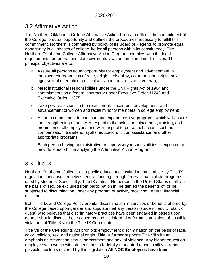# <span id="page-19-0"></span>3.2 Affirmative Action

The Northern Oklahoma College Affirmative Action Program reflects the commitment of the College to equal opportunity and outlines the procedures necessary to fulfill this commitment. Northern is committed by policy of its Board of Regents to promote equal opportunity in all phases of college life for all persons within its constituency. The Northern Oklahoma College Affirmative Action Program complies with the legal requirements for federal and state civil rights laws and implements directives. The principal objectives are to:

- a. Assure all persons equal opportunity for employment and advancement in employment regardless of race, religion, disability, color, national origin, sex, age, sexual orientation, political affiliation, or status as a veteran;
- b. Meet institutional responsibilities under the Civil Rights Act of 1964 and commitments as a federal contractor under Executive Order 11246 and Executive Order 11375;
- c. Take positive actions in the recruitment, placement, development, and advancement of women and racial minority members in college employment;
- d. Affirm a commitment to continue and expand positive programs which will assure the strengthening efforts with respect to the selection, placement, training, and promotion of all employees and with respect to personnel actions such as compensation, transfers, layoffs, education, tuition assistance; and other appropriate programs.

Each person having administrative or supervisory responsibilities is expected to provide leadership in applying the Affirmative Action Program.

# <span id="page-19-1"></span>3.3 Title IX

Northern Oklahoma College, as a public educational institution, must abide by Title IX regulations because it receives federal funding through federal financial aid programs used by students. Specifically, Title IX states: "No person in the United States shall, on the basis of sex, be excluded from participation in, be denied the benefits of, or be subjected to discrimination under any program or activity receiving Federal financial assistance."

Both Title IX and College Policy prohibit discrimination in services or benefits offered by the College based upon gender and stipulate that any person (student, faculty, staff, or guest) who believes that discriminatory practices have been engaged in based upon gender should discuss these concerns and file informal or formal complaints of possible violations of Title IX with the Title IX Coordinator.

Title VII of the Civil Rights Act prohibits employment discrimination on the basis of race, color, religion, sex, and national origin. Title IX further supports Title VII with an emphasis on preventing sexual harassment and sexual violence. Any higher education employee who works with students has a federally-mandated responsibility to report possible incidents covered by this legislation **All NOC Employees have been**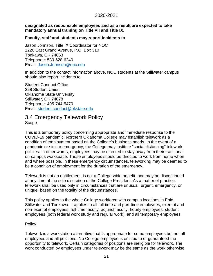#### **designated as responsible employees and as a result are expected to take mandatory annual training on Title VII and Title IX.**

#### **Faculty, staff and students may report incidents to:**

Jason Johnson, Title IX Coordinator for NOC 1220 East Grand Avenue, P.O. Box 310 Tonkawa, OK 74653 Telephone: 580-628-6240 Email: [Jason.Johnson@noc.edu](mailto:Jason.Johnson@noc.edu)

In addition to the contact information above, NOC students at the Stillwater campus should also report incidents to:

Student Conduct Office 328 Student Union Oklahoma State University Stillwater, OK 74078 Telephone: 405-744-5470 Email: [student.conduct@okstate.edu](mailto:student.conduct@okstate.edu)

## <span id="page-20-0"></span>3.4 Emergency Telework Policy Scope

This is a temporary policy concerning appropriate and immediate response to the COVID-19 pandemic. Northern Oklahoma College may establish telework as a condition of employment based on the College's business needs. In the event of a pandemic or similar emergency, the College may institute "social distancing" telework policies. In other words, employees may be directed to stay away from their traditional on-campus workspace. Those employees should be directed to work from home when and where possible. In these emergency circumstances, teleworking may be deemed to be a condition of employment for the duration of the emergency.

Telework is not an entitlement, is not a College-wide benefit, and may be discontinued at any time at the sole discretion of the College President. As a matter of practice, telework shall be used only in circumstances that are unusual, urgent, emergency, or unique, based on the totality of the circumstances.

This policy applies to the whole College workforce with campus locations in Enid, Stillwater and Tonkawa. It applies to all full-time and part-time employees, exempt and non-exempt employees, full-time faculty, adjunct faculty, hourly employees, student employees (both federal work study and regular work), and all temporary employees.

#### **Policy**

Telework is a workstation alternative that is appropriate for some employees but not all employees and all positions. No College employee is entitled to or guaranteed the opportunity to telework. Certain categories of positions are ineligible for telework. The work conducted by employees under telework may be the same as the work otherwise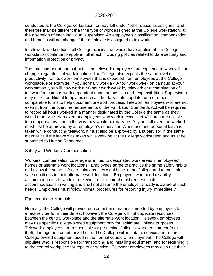conducted at the College workstation, or may fall under "other duties as assigned" and therefore may be different than the type of work assigned at the College workstation, at the discretion of each individual supervisor. An employee's classification, compensation, and benefits will not change if the employee is assigned to telework.

In telework workstations, all College policies that would have applied at the College workstation continue to apply in full effect, including policies related to data security and information protection or privacy.

The total number of hours that fulltime telework employees are expected to work will not change, regardless of work location. The College also expects the same level of productivity from telework employees that is expected from employees at the College workplace. For example, if you normally work a 40-hour work week on campus at your workstation, you will now work a 40-hour work week by telework or a combination of telework/on campus work dependent upon the position and responsibilities. Supervisors may utilize additional templates such as the daily status update form or other comparable forms to help document telework process. Telework employees who are not exempt from the overtime requirements of the Fair Labor Standards Act will be required to record all hours worked in a manner designated by the College the same as they would otherwise. Non-exempt employees who work in excess of 40 hours are eligible for compensatory time in the way they would normally be. Any and all overtime worked must first be approved by an employee's supervisor. When accrued personal leave is taken while conducting telework, it must also be approved by a supervisor in the same manner as if the leave was taken while working at the College workstation and must be submitted to Human Resources.

#### Safety and Workers' Compensation

Workers' compensation coverage is limited to designated work areas in employees' homes or alternate work locations. Employees agree to practice the same safety habits and follow the same safety regulations they would use in the College and to maintain safe conditions in their alternate work locations. Employees who need disability accommodations to work in a telework environment must request such accommodations in writing and shall not assume the employer already is aware of such needs. Employees must follow normal procedures for reporting injury immediately.

#### Equipment and Materials

Normally, the College will provide equipment and materials needed by employees to effectively perform their duties; however, the College will not duplicate resources between the central workplace and the alternate work location. Telework employees may use specific College-owned equipment only for legitimate College purposes. Telework employees are responsible for protecting College-owned equipment from theft, damage and unauthorized use. The College will maintain, service and repair College-owned equipment used in the normal course of employment. The College will stipulate who is responsible for transporting and installing equipment, and for returning it to the central workplace for repairs or service. Telework employees may also use their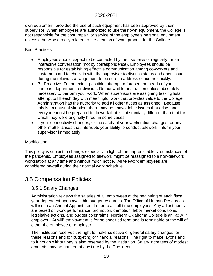own equipment, provided the use of such equipment has been approved by their supervisor. When employees are authorized to use their own equipment, the College is not responsible for the cost, repair, or service of the employee's personal equipment, unless otherwise directly related to the creation of work product for the College.

#### Best Practices

- Employees should expect to be contacted by their supervisor regularly for an interactive conversation (not by correspondence). Employees should be responsible for establishing effective communication among co-workers and customers and to check in with the supervisor to discuss status and open issues during the telework arrangement to be sure to address concerns quickly.
- Be Proactive. To the extent possible, attempt to foresee the needs of your campus, department, or division. Do not wait for instruction unless absolutely necessary to perform your work. When supervisors are assigning tasking lists, attempt to fill each day with meaningful work that provides value to the College. Administration has the authority to add all other duties as assigned. Because this is an unusual situation, there may be unavoidable issues that arise, and everyone must be prepared to do work that is substantially different than that for which they were originally hired, in some cases.
- If your connectivity changes, or the safety of your workstation changes, or any other matter arises that interrupts your ability to conduct telework, inform your supervisor immediately.

#### **Modification**

This policy is subject to change, especially in light of the unpredictable circumstances of the pandemic. Employees assigned to telework might be reassigned to a non-telework workstation at any time and without much notice. All telework employees are considered on-call during their normal work schedule.

## <span id="page-22-1"></span><span id="page-22-0"></span>3.5 Compensation Policies

#### 3.5.1 Salary Changes

Administration reviews the salaries of all employees at the beginning of each fiscal year dependent upon available budget resources. The Office of Human Resources will issue an Annual Appointment Letter to all full-time employees. Any adjustments are based on work performance, promotion, demotion, labor market conditions, legislative actions, and budget constraints. Northern Oklahoma College is an "at will" employer. "At will" employment is for no specified term and is terminable at the will of either the employee or employer.

The institution reserves the right to make selective or general salary changes for these reasons and for budgeting or financial reasons. The right to make layoffs and to furlough without pay is also reserved by the institution. Salary increases of modest amounts may be granted at any time by the President.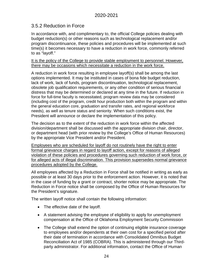## <span id="page-23-0"></span>3.5.2 Reduction in Force

In accordance with, and complimentary to, the official College policies dealing with budget reduction(s) or other reasons such as technological replacement and/or program discontinuance, these policies and procedures will be implemented at such time(s) it becomes necessary to have a reduction in work force, commonly referred to as "layoff."

It is the policy of the College to provide stable employment to personnel. However, there may be occasions which necessitate a reduction in the work force.

A reduction in work force resulting in employee layoff(s) shall be among the last options implemented. It may be instituted in cases of bona fide budget reduction, lack of work, lack of funds, program discontinuation, technological replacement, obsolete job qualification requirements, or any other condition of serious financial distress that may be determined or declared at any time in the future. If reduction in force for full-time faculty is necessitated, program review data may be considered (including cost of the program, credit hour production both within the program and within the general education core, graduation and transfer rates, and regional workforce needs), as well as tenure status and seniority. When such conditions exist, the President will announce or declare the implementation of this policy.

The decision as to the extent of the reduction in work force within the affected division/department shall be discussed with the appropriate division chair, director, or department head (with prior review by the College's Office of Human Resources) by the appropriate Vice President and/or President.

Employees who are scheduled for layoff do not routinely have the right to enter formal grievance charges in regard to layoff action, except for reasons of alleged violation of these policies and procedures governing such reduction of work force, or for alleged acts of illegal discrimination. This provision supersedes normal grievance procedures adopted by the College.

All employees affected by a Reduction in Force shall be notified in writing as early as possible or at least 30 days prior to the enforcement action. However, it is noted that in the case of funding by a grant or contract, shorter notice may be appropriate. The Reduction in Force notice shall be composed by the Office of Human Resources for the President's signature.

The written layoff notice shall contain the following information:

- The effective date of the layoff.
- A statement advising the employee of eligibility to apply for unemployment compensation at the Office of Oklahoma Employment Security Commission
- The College shall extend the option of continuing eligible insurance coverage to employees and/or dependents at their own cost for a specified period after their date of termination in accordance with Consolidated Omnibus Budget Reconciliation Act of 1985 (COBRA). This is administered through our Thirdparty administrator. For additional information, contact the Office of Human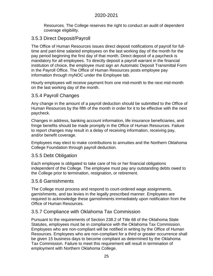Resources. The College reserves the right to conduct an audit of dependent coverage eligibility.

#### <span id="page-24-0"></span>3.5.3 Direct Deposit/Payroll

The Office of Human Resources issues direct deposit notifications of payroll for fulltime and part-time salaried employees on the last working day of the month for the pay period beginning the first day of that month. Direct deposit of a paycheck is mandatory for all employees. To directly deposit a payroll warrant in the financial institution of choice, the employee must sign an Automatic Deposit Transmittal Form in the Payroll Office. The Office of Human Resources posts employee pay information through myNOC under the Employee tab.

Hourly employees will receive payment from one mid-month to the next mid-month on the last working day of the month.

#### <span id="page-24-1"></span>3.5.4 Payroll Changes

Any change in the amount of a payroll deduction should be submitted to the Office of Human Resources by the fifth of the month in order for it to be effective with the next paycheck.

Changes in address, banking account information, life insurance beneficiaries, and fringe benefits should be made promptly in the Office of Human Resources. Failure to report changes may result in a delay of receiving information, receiving pay, and/or benefit coverage.

Employees may elect to make contributions to annuities and the Northern Oklahoma College Foundation through payroll deduction.

#### <span id="page-24-2"></span>3.5.5 Debt Obligation

Each employee is obligated to take care of his or her financial obligations independent of the College. The employee must pay any outstanding debts owed to the College prior to termination, resignation, or retirement.

#### <span id="page-24-3"></span>3.5.6 Garnishments

The College must process and respond to court-ordered wage assignments, garnishments, and tax levies in the legally prescribed manner. Employees are required to acknowledge these garnishments immediately upon notification from the Office of Human Resources.

#### <span id="page-24-4"></span>3.5.7 Compliance with Oklahoma Tax Commission

Pursuant to the requirements of Section 238.2 of Title 68 of the Oklahoma State Statutes, employees must be in compliance with the Oklahoma Tax Commission. Employees who are non-compliant will be notified in writing by the Office of Human Resources. Employees who are non-compliant for a third or greater occurrence shall be given 15 business days to become compliant as determined by the Oklahoma Tax Commission. Failure to meet this requirement will result in termination of employment with Northern Oklahoma College.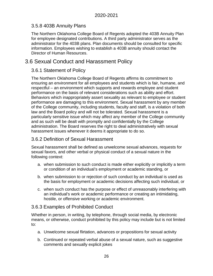## <span id="page-25-0"></span>3.5.8 403B Annuity Plans

The Northern Oklahoma College Board of Regents adopted the 403B Annuity Plan for employee designated contributions. A third party administrator serves as the administrator for the 403B plans. Plan documents should be consulted for specific information. Employees wishing to establish a 403B annuity should contact the Director of Human Resources.

## <span id="page-25-2"></span><span id="page-25-1"></span>3.6 Sexual Conduct and Harassment Policy

#### 3.6.1 Statement of Policy

The Northern Oklahoma College Board of Regents affirms its commitment to ensuring an environment for all employees and students which is fair, humane, and respectful – an environment which supports and rewards employee and student performance on the basis of relevant considerations such as ability and effort. Behaviors which inappropriately assert sexuality as relevant to employee or student performance are damaging to this environment. Sexual harassment by any member of the College community, including students, faculty and staff, is a violation of both law and the Board policy and will not be tolerated. Sexual harassment is a particularly sensitive issue which may affect any member of the College community and as such will be dealt with promptly and confidentially by the College administration. The Board reserves the right to deal administratively with sexual harassment issues whenever it deems it appropriate to do so.

#### <span id="page-25-3"></span>3.6.2 Definition of Sexual Harassment

Sexual harassment shall be defined as unwelcome sexual advances, requests for sexual favors, and other verbal or physical conduct of a sexual nature in the following context:

- a. when submission to such conduct is made either explicitly or implicitly a term or condition of an individual's employment or academic standing, or
- b. when submission to or rejection of such conduct by an individual is used as the basis for employment or academic decisions affecting such individual, or
- c. when such conduct has the purpose or effect of unreasonably interfering with an individual's work or academic performance or creating an intimidating, hostile, or offensive working or academic environment.

## <span id="page-25-4"></span>3.6.3 Examples of Prohibited Conduct

Whether in person, in writing, by telephone, through social media, by electronic means, or otherwise, conduct prohibited by this policy may include but is not limited to:

- a. Unwelcome sexual flirtation, advances or propositions for sexual activity
- b. Continued or repeated verbal abuse of a sexual nature, such as suggestive comments and sexually explicit jokes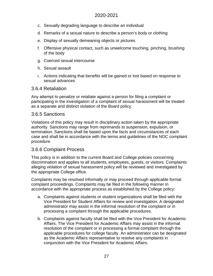- c. Sexually degrading language to describe an individual
- d. Remarks of a sexual nature to describe a person's body or clothing
- e. Display of sexually demeaning objects or pictures
- f. Offensive physical contact, such as unwelcome touching, pinching, brushing of the body
- g. Coerced sexual intercourse
- h. Sexual assault
- i. Actions indicating that benefits will be gained or lost based on response to sexual advances

#### <span id="page-26-0"></span>3.6.4 Retaliation

Any attempt to penalize or retaliate against a person for filing a complaint or participating in the investigation of a complaint of sexual harassment will be treated as a separate and distinct violation of the Board policy.

#### <span id="page-26-1"></span>3.6.5 Sanctions

Violations of this policy may result in disciplinary action taken by the appropriate authority. Sanctions may range from reprimands to suspension, expulsion, or termination. Sanctions shall be based upon the facts and circumstances of each case and shall be in accordance with the terms and guidelines of the NOC complaint procedure.

#### <span id="page-26-2"></span>3.6.6 Complaint Process

This policy is in addition to the current Board and College policies concerning discrimination and applies to all students, employees, guests, or visitors. Complaints alleging violation of sexual harassment policy will be reviewed and investigated by the appropriate College office.

Complaints may be resolved informally or may proceed through applicable formal complaint proceedings. Complaints may be filed in the following manner in accordance with the appropriate process as established by the College policy:

- a. Complaints against students or student organizations shall be filed with the Vice President for Student Affairs for review and investigation. A designated administrator may assist in the informal resolution of the complaint or in processing a complaint through the applicable procedures.
- b. Complaints against faculty shall be filed with the Vice President for Academic Affairs. The Vice President for Academic Affairs may assist in the informal resolution of the complaint or in processing a formal complaint through the applicable procedures for college faculty. An administrator can be designated as the Academic Affairs representative to resolve any complaints in conjunction with the Vice President for Academic Affairs.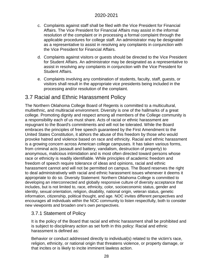- c. Complaints against staff shall be filed with the Vice President for Financial Affairs. The Vice President for Financial Affairs may assist in the informal resolution of the complaint or in processing a formal complaint through the applicable procedures for college staff. An administrator may be designated as a representative to assist in resolving any complaints in conjunction with the Vice President for Financial Affairs.
- d. Complaints against visitors or guests should be directed to the Vice President for Student Affairs. An administrator may be designated as a representative to assist in resolving any complaints in conjunction with the Vice President for Student Affairs.
- e. Complaints involving any combination of students, faculty, staff, guests, or visitors shall result in the appropriate vice presidents being included in the processing and/or resolution of the complaint.

# <span id="page-27-0"></span>3.7 Racial and Ethnic Harassment Policy

The Northern Oklahoma College Board of Regents is committed to a multicultural, multiethnic, and multiracial environment. Diversity is one of the hallmarks of a great college. Promoting dignity and respect among all members of the College community is a responsibility each of us must share. Acts of racial or ethnic harassment are repugnant to the Board's commitments and will not be tolerated. While the Board embraces the principles of free speech guaranteed by the First Amendment to the United States Constitution, it abhors the abuse of this freedom by those who would provoke hatred and violence based on race and ethnicity. Racial and ethnic harassment is a growing concern across American college campuses. It has taken various forms, from criminal acts (assault and battery, vandalism, destruction of property) to anonymous, malicious intimidation and is most often directed toward persons whose race or ethnicity is readily identifiable. While principles of academic freedom and freedom of speech require tolerance of ideas and opinions, racial and ethnic harassment cannot and will not be permitted on campus. The Board reserves the right to deal administratively with racial and ethnic harassment issues whenever it deems it appropriate to do so. Diversity Statement: Northern Oklahoma College is committed to developing an interconnected and globally responsive culture of diversity acceptance that includes, but is not limited to, race, ethnicity, color, socioeconomic status, gender and identity, sexual orientation, religion, disability, national origin, veteran status, genetic information, citizenship, political thought, and age. NOC invites different perspectives and encourages all individuals within the NOC community to listen respectfully, both to consider new viewpoints and broaden one's own perspectives.

## <span id="page-27-1"></span>3.7.1 Statement of Policy

It is the policy of the Board that racial and ethnic harassment shall be prohibited and is subject to disciplinary action as set forth in this policy: Racial and ethnic harassment is defined as:

Behavior or conduct addressed directly to individual(s) related to the victim's race, religion, ethnicity, or national origin that threatens violence, or property damage, or that incites or is likely to incite imminent lawless action.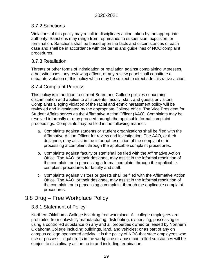## <span id="page-28-0"></span>3.7.2 Sanctions

Violations of this policy may result in disciplinary action taken by the appropriate authority. Sanctions may range from reprimands to suspension, expulsion, or termination. Sanctions shall be based upon the facts and circumstances of each case and shall be in accordance with the terms and guidelines of NOC complaint procedures.

## <span id="page-28-1"></span>3.7.3 Retaliation

Threats or other forms of intimidation or retaliation against complaining witnesses, other witnesses, any reviewing officer, or any review panel shall constitute a separate violation of this policy which may be subject to direct administrative action.

## <span id="page-28-2"></span>3.7.4 Complaint Process

This policy is in addition to current Board and College policies concerning discrimination and applies to all students, faculty, staff, and guests or visitors. Complaints alleging violation of the racial and ethnic harassment policy will be reviewed and investigated by the appropriate College office. The Vice President for Student Affairs serves as the Affirmative Action Officer (AAO). Complaints may be resolved informally or may proceed through the applicable formal complaint proceedings. Complaints may be filed in the following manner:

- a. Complaints against students or student organizations shall be filed with the Affirmative Action Officer for review and investigation. The AAO, or their designee, may assist in the informal resolution of the complaint or in processing a complaint through the applicable complaint procedures.
- b. Complaints against faculty or staff shall be filed with the Affirmative Action Office. The AAO, or their designee, may assist in the informal resolution of the complaint or in processing a formal complaint through the applicable complaint procedures for faculty and staff.
- c. Complaints against visitors or guests shall be filed with the Affirmative Action Office. The AAO, or their designee, may assist in the informal resolution of the complaint or in processing a complaint through the applicable complaint procedures.

## <span id="page-28-4"></span><span id="page-28-3"></span>3.8 Drug – Free Workplace Policy

## 3.8.1 Statement of Policy

Northern Oklahoma College is a drug free workplace. All college employees are prohibited from unlawfully manufacturing, distributing, dispensing, possessing or using a controlled substance on any and all properties owned or leased by Northern Oklahoma College including buildings, land, and vehicles; or as part of any on campus college-sponsored activity. It is the policy of NOC that state employees who use or possess illegal drugs in the workplace or abuse controlled substances will be subject to disciplinary action up to and including termination.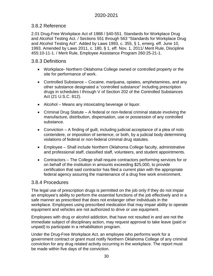## <span id="page-29-0"></span>3.8.2 Reference

2.01 Drug-Free Workplace Act of 1988 / §40-551. Standards for Workplace Drug and Alcohol Testing Act. / Sections 551 through 563 "Standards for Workplace Drug and Alcohol Testing Act". Added by Laws 1993, c. 355, § 1, emerg. eff. June 10, 1993. Amended by Laws 2011, c. 180, § 1, eff. Nov. 1, 2011/ Merit Rule, Discipline 455:10-11-1. / Merit Rule, Employee Assistance Program 260:25-21-1.

## <span id="page-29-1"></span>3.8.3 Definitions

- Workplace- Northern Oklahoma College owned or controlled property or the site for performance of work.
- Controlled Substance Cocaine, marijuana, opiates, amphetamines, and any other substance designated a "controlled substance" including prescription drugs in schedules I through V of Section 202 of the Controlled Substances Act (21 U.S.C. 812).
- Alcohol Means any intoxicating beverage or liquor.
- Criminal Drug Statute A federal or non-federal criminal statute involving the manufacture, distribution, dispensation, use or possession of any controlled substance.
- Conviction A finding of guilt, including judicial acceptance of a plea of nolo contendere, or imposition of sentence, or both, by a judicial body determining violations of federal or non-federal criminal drug statutes.
- Employee Shall include Northern Oklahoma College faculty, administrative and professional staff, classified staff, volunteers, and student appointments.
- Contractors The College shall require contractors performing services for or on behalf of the institution in amounts exceeding \$25,000, to provide certification that said contractor has filed a current plan with the appropriate federal agency assuring the maintenance of a drug free work environment.

## <span id="page-29-2"></span>3.8.4 Procedures

The legal use of prescription drugs is permitted on the job only if they do not impair an employee's ability to perform the essential functions of the job effectively and in a safe manner as prescribed that does not endanger other individuals in the workplace. Employees using prescribed medication that may impair ability to operate equipment and vehicles are not authorized to drive or use equipment.

Employees with drug or alcohol addiction, that have not resulted in and are not the immediate subject of disciplinary action, may request approval to take leave (paid or unpaid) to participate in a rehabilitation program.

Under the Drug-Free Workplace Act, an employee who performs work for a government contract or grant must notify Northern Oklahoma College of any criminal conviction for any drug related activity occurring in the workplace. The report must be made within five days of the conviction.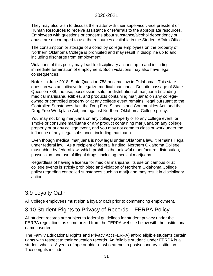They may also wish to discuss the matter with their supervisor, vice president or Human Resources to receive assistance or referrals to the appropriate resources. Employees with questions or concerns about substance/alcohol dependency or abuse are encouraged to use the resources available in the Student Affairs Office.

The consumption or storage of alcohol by college employees on the property of Northern Oklahoma College is prohibited and may result in discipline up to and including discharge from employment.

Violations of this policy may lead to disciplinary actions up to and including immediate termination of employment. Such violations may also have legal consequences.

**Note:** In June 2018, State Question 788 became law in Oklahoma. This state question was an initiative to legalize medical marijuana. Despite passage of State Question 788, the use, possession, sale, or distribution of marijuana (including medical marijuana, edibles, and products containing marijuana) on any collegeowned or controlled property or at any college event remains illegal pursuant to the Controlled Substances Act, the Drug Free Schools and Communities Act, and the Drug Free Workplace Act, and against Northern Oklahoma College policy.

You may not bring marijuana on any college property or to any college event, or smoke or consume marijuana or any product containing marijuana on any college property or at any college event, and you may not come to class or work under the influence of any illegal substance, including marijuana.

Even though medical marijuana is now legal under Oklahoma law, it remains illegal under federal law. As a recipient of federal funding, Northern Oklahoma College must abide by federal law, which prohibits the unlawful manufacture, distribution, possession, and use of illegal drugs, including medical marijuana.

Regardless of having a license for medical marijuana, its use on campus or at college events is strictly prohibited and violation of Northern Oklahoma College policy regarding controlled substances such as marijuana may result in disciplinary action.

# <span id="page-30-0"></span>3.9 Loyalty Oath

All College employees must sign a loyalty oath prior to commencing employment.

## <span id="page-30-1"></span>3.10 Student Rights to Privacy of Records – FERPA Policy

All student records are subject to federal guidelines for student privacy under the FERPA regulations as summarized from the FERPA website below with the institutional name inserted.

The Family Educational Rights and Privacy Act (FERPA) afford eligible students certain rights with respect to their education records. An "eligible student" under FERPA is a student who is 18 years of age or older or who attends a postsecondary institution. These rights include: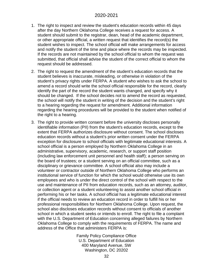- 1. The right to inspect and review the student's education records within 45 days after the day Northern Oklahoma College receives a request for access. A student should submit to the registrar, dean, head of the academic department, or other appropriate official, a written request that identifies the record(s) the student wishes to inspect. The school official will make arrangements for access and notify the student of the time and place where the records may be inspected. If the records are not maintained by the school official to whom the request was submitted, that official shall advise the student of the correct official to whom the request should be addressed.
- 2. The right to request the amendment of the student's education records that the student believes is inaccurate, misleading, or otherwise in violation of the student's privacy rights under FERPA. A student who wishes to ask the school to amend a record should write the school official responsible for the record, clearly identify the part of the record the student wants changed, and specify why it should be changed. If the school decides not to amend the record as requested, the school will notify the student in writing of the decision and the student's right to a hearing regarding the request for amendment. Additional information regarding the hearing procedures will be provided to the student when notified of the right to a hearing.
- 3. The right to provide written consent before the university discloses personally identifiable information (PII) from the student's education records, except to the extent that FERPA authorizes disclosure without consent. The school discloses education records without a student's prior written consent under the FERPA exception for disclosure to school officials with legitimate educational interests. A school official is a person employed by Northern Oklahoma College in an administrative, supervisory, academic, research, or support staff position (including law enforcement unit personnel and health staff); a person serving on the board of trustees; or a student serving on an official committee, such as a disciplinary or grievance committee. A school official also may include a volunteer or contractor outside of Northern Oklahoma College who performs an institutional service of function for which the school would otherwise use its own employees and who is under the direct control of the school with respect to the use and maintenance of PII from education records, such as an attorney, auditor, or collection agent or a student volunteering to assist another school official in performing his or her tasks. A school official has a legitimate educational interest if the official needs to review an education record in order to fulfill his or her professional responsibilities for Northern Oklahoma College. Upon request, the school also discloses education records without consent to officials of another school in which a student seeks or intends to enroll. The right to file a complaint with the U.S. Department of Education concerning alleged failures by Northern Oklahoma College to comply with the requirements of FERPA. The name and address of the Office that administers FERPA is:

Family Policy Compliance Office U.S. Department of Education 400 Maryland Avenue, SW Washington, DC 20202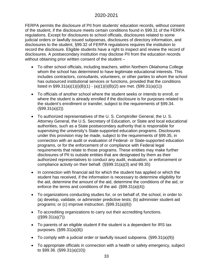FERPA permits the disclosure of PII from students' education records, without consent of the student, if the disclosure meets certain conditions found in §99.31 of the FERPA regulations. Except for disclosures to school officials, disclosures related to some judicial orders or lawfully issued subpoenas, disclosures of directory information, and disclosures to the student, §99.32 of FERPA regulations requires the institution to record the disclosure. Eligible students have a right to inspect and review the record of disclosures. A postsecondary institution may disclose PII from the education records without obtaining prior written consent of the student –

- To other school officials, including teachers, within Northern Oklahoma College whom the school has determined to have legitimate educational interests. This includes contractors, consultants, volunteers, or other parties to whom the school has outsourced institutional services or functions, provided that the conditions listed in §99.31(a)(1)(i)(B)(1) - (a)(1)(i)(B)(2) are met. (§99.31(a)(1))
- To officials of another school where the student seeks or intends to enroll, or where the student is already enrolled if the disclosure is for purposes related to the student's enrollment or transfer, subject to the requirements of §99.34. (§99.31(a)(2))
- To authorized representatives of the U. S. Comptroller General, the U. S. Attorney General, the U.S. Secretary of Education, or State and local educational authorities, such as a State postsecondary authority that is responsible for supervising the university's State-supported education programs. Disclosures under this provision may be made, subject to the requirements of §99.35, in connection with an audit or evaluation of Federal- or State-supported education programs, or for the enforcement of or compliance with Federal legal requirements that relate to those programs. These entities may make further disclosures of PII to outside entities that are designated by them as their authorized representatives to conduct any audit, evaluation, or enforcement or compliance activity on their behalf. (§§99.31(a)(3) and 99.35)
- In connection with financial aid for which the student has applied or which the student has received, if the information is necessary to determine eligibility for the aid, determine the amount of the aid, determine the conditions of the aid, or enforce the terms and conditions of the aid. (§99.31(a)(4))
- To organizations conducting studies for, or on behalf of, the school, in order to: (a) develop, validate, or administer predictive tests; (b) administer student aid programs; or (c) improve instruction. (§99.31(a)(6))
- To accrediting organizations to carry out their accrediting functions.  $((\S 99.31(a)(7)))$
- To parents of an eligible student if the student is a dependent for IRS tax purposes. (§99.31(a)(8))
- To comply with a judicial order or lawfully issued subpoena. (§99.31(a)(9))
- To appropriate officials in connection with a health or safety emergency, subject to §99.36. (§99.31(a)(10))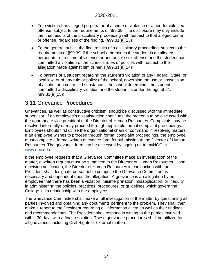- To a victim of an alleged perpetrator of a crime of violence or a non-forcible sex offense, subject to the requirements of §99.39. The disclosure may only include the final results of the disciplinary proceeding with respect to that alleged crime or offense, regardless of the finding. (§99.31(a)(13))
- To the general public, the final results of a disciplinary proceeding, subject to the requirements of §99.39, if the school determines the student is an alleged perpetrator of a crime of violence or nonforcible sex offense and the student has committed a violation of the school's rules or policies with respect to the allegation made against him or her. ((§99.31(a)(14))
- To parents of a student regarding the student's violation of any Federal, State, or local law, or of any rule or policy of the school, governing the use or possession of alcohol or a controlled substance if the school determines the student committed a disciplinary violation and the student is under the age of 21. §99.31(a)(15))

## <span id="page-33-0"></span>3.11 Grievance Procedures

Grievances, as well as constructive criticism, should be discussed with the immediate supervisor. If an employee's dissatisfaction continues, the matter is to be discussed with the appropriate vice president or the Director of Human Resources. Complaints may be resolved informally or may proceed through applicable formal complaint proceedings. Employees should first utilize the organizational chain of command in resolving matters. If an employee wishes to proceed through formal complaint proceedings, the employee must complete a formal written grievance form for submission to the Director of Human Resources. The grievance form can be accessed by logging on to myNOC at [www.noc.edu.](http://www.noc.edu/)

If the employee requests that a Grievance Committee make an investigation of the matter, a written request must be submitted to the Director of Human Resources. Upon receiving notification, the Director of Human Resources in conjunction with the President shall designate personnel to comprise the Grievance Committee as necessary and dependent upon the allegation. A grievance is an allegation by an employee that there has been a violation, misinterpretation, misapplication, or inequity in administering the policies, practices, procedures, or guidelines which govern the College in its relationship with the employees.

The Grievance Committee shall make a full investigation of the matter by questioning all parties involved and obtaining any documents pertinent to the problem. They shall then make a report to the President regarding all information given as well as their findings and recommendations. The President shall respond in writing to the parties involved within 30 days with a final resolution. These grievance procedures shall be utilized for all grievances including Civil Rights or external matters.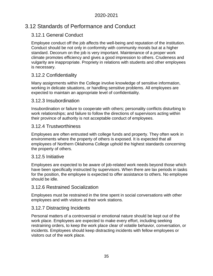# <span id="page-34-1"></span><span id="page-34-0"></span>3.12 Standards of Performance and Conduct

## 3.12.1 General Conduct

Employee conduct off the job affects the well-being and reputation of the institution. Conduct should be not only in conformity with community morals but at a higher standard. Decorum on the job is very important. Maintenance of a proper work climate promotes efficiency and gives a good impression to others. Crudeness and vulgarity are inappropriate. Propriety in relations with students and other employees is necessary.

## <span id="page-34-2"></span>3.12.2 Confidentiality

Many assignments within the College involve knowledge of sensitive information, working in delicate situations, or handling sensitive problems. All employees are expected to maintain an appropriate level of confidentiality.

## <span id="page-34-3"></span>3.12.3 Insubordination

Insubordination or failure to cooperate with others; personality conflicts disturbing to work relationships; and failure to follow the directions of supervisors acting within their province of authority is not acceptable conduct of employees.

## <span id="page-34-4"></span>3.12.4 Trustworthiness

Employees are often entrusted with college funds and property. They often work in environments where the property of others is exposed. It is expected that all employees of Northern Oklahoma College uphold the highest standards concerning the property of others.

## <span id="page-34-5"></span>3.12.5 Initiative

Employees are expected to be aware of job-related work needs beyond those which have been specifically instructed by supervisors. When there are lax periods in tasks for the position, the employee is expected to offer assistance to others. No employee should be idle.

#### <span id="page-34-6"></span>3.12.6 Restrained Socialization

Employees must be restrained in the time spent in social conversations with other employees and with visitors at their work stations.

## <span id="page-34-7"></span>3.12.7 Distracting Incidents

Personal matters of a controversial or emotional nature should be kept out of the work place. Employees are expected to make every effort, including seeking restraining orders, to keep the work place clear of volatile behavior, conversation, or incidents. Employees should keep distracting incidents with fellow employees or visitors out of the work place.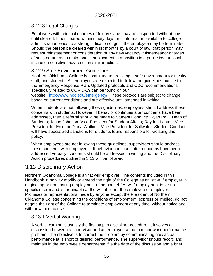## <span id="page-35-0"></span>3.12.8 Legal Charges

Employees with criminal charges of felony status may be suspended without pay until cleared. If not cleared within ninety days or if information available to college administration leads to a strong indication of guilt, the employee may be terminated. Should the person be cleared within six months by a court of law, that person may request reinstatement or consideration of any new vacancy. Misdemeanor charges of such nature as to make one's employment in a position in a public instructional institution sensitive may result in similar action.

## <span id="page-35-1"></span>3.12.9 Safe Environment Guidelines

Northern Oklahoma College is committed to providing a safe environment for faculty, staff, and students. All employees are expected to follow the guidelines outlined in the Emergency Response Plan. Updated protocols and CDC recommendations specifically related to COVID-19 can be found on our

website: [http://www.noc.edu/emergency/.](http://www.noc.edu/emergency/) These protocols are subject to change based on current conditions and are effective until amended in writing*.* 

When students are not following these guidelines, employees should address these concerns with students. However, if behavior continues after concerns have been addressed, then a referral should be made to Student Conduct: Ryan Paul, Dean of Students; Jason Johnson, Vice President for Student Affairs; Raydon Leaton, Vice President for Enid; or Diana Watkins, Vice President for Stillwater. Student Conduct will have specialized sanctions for students found responsible for violating this policy.

When employees are not following these guidelines, supervisors should address these concerns with employees. If behavior continues after concerns have been addressed verbally, concerns should be addressed in writing and the Disciplinary Action procedures outlined in 3.13 will be followed.

# <span id="page-35-2"></span>3.13 Disciplinary Action

Northern Oklahoma College is an "at will" employer. The contents included in this Handbook in no way modify or amend the right of the College as an "at will" employer in originating or terminating employment of personnel. "At will" employment is for no specified term and is terminable at the will of either the employee or employer. Promises or representations made by anyone except the President of Northern Oklahoma College concerning the conditions of employment, express or implied, do not negate the right of the College to terminate employment at any time, without notice and with or without cause.

## <span id="page-35-3"></span>3.13.1 Verbal Warning

A verbal warning is usually the first step in discipline procedure. It involves a discussion between a supervisor and an employee about a minor work performance problem. The objective is to correct the problem by communicating how actual performance falls short of desired performance. The supervisor should record and maintain in the employee's departmental file the date of the discussion and a brief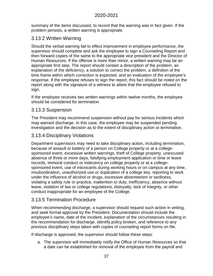summary of the items discussed, to record that the warning was in fact given. If the problem persists, a written warning is appropriate.

# 3.13.2 Written Warning

Should the verbal warning fail to effect improvement in employee performance, the supervisor should complete and ask the employee to sign a Counseling Report and then forward copies of the same to the appropriate vice president and the Director of Human Resources. If the offense is more than minor, a written warning may be an appropriate first step. The report should contain a description of the problem, an explanation of the deficiency, a solution to correct the problem, a definition of the time frame within which correction is expected, and an evaluation of the employee's response. If the employee refuses to sign the report, this fact should be noted on the report along with the signature of a witness to attest that the employee refused to sign.

If the employee receives two written warnings within twelve months, the employee should be considered for termination.

## 3.13.3 Suspension

The President may recommend suspension without pay for serious incidents which may warrant discharge. In this case, the employee may be suspended pending investigation and the decision as to the extent of disciplinary action or termination.

# 3.13.4 Disciplinary Violations

Department supervisors may need to take disciplinary action, including termination, because of assault or battery of a person on College property or at a collegesponsored event, excessive written warnings, theft of College property, unexcused absence of three or more days, falsifying employment application or time or leave records, immoral conduct or indecency on college property or at a collegesponsored event, use of intoxicants during working hours or on campus at any time, insubordination, unauthorized use or duplication of a college key, reporting to work under the influence of alcohol or drugs, excessive absenteeism or tardiness, violating a safety rule or practice, inattention to duty, inefficiency, absence without leave, violation of law or college regulations, disloyalty, lack of integrity, or other conduct inappropriate for an employee of the College.

# 3.13.5 Termination Procedure

When recommending discharge, a supervisor should request such action in writing, and seek formal approval by the President. Documentation should include the employee's name, date of the incident, explanation of the circumstances resulting in the recommendation for discharge, identify policy broken, and reference to any previous disciplinary steps taken with copies of counseling report forms on file.

If discharge is approved, the supervisor should follow these steps:

a. The supervisor will immediately notify the Office of Human Resources so that a date can be established for removal of the employee from the payroll and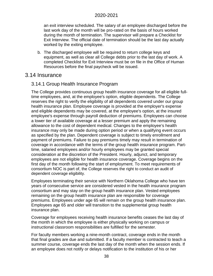an exit interview scheduled. The salary of an employee discharged before the last work day of the month will be pro-rated on the basis of hours worked during the month of termination. The supervisor will prepare a Checklist for Exit Interview. The official date of termination should be the last day actually worked by the exiting employee.

b. The discharged employee will be required to return college keys and equipment, as well as clear all College debts prior to the last day of work. A completed Checklist for Exit Interview must be on file in the Office of Human Resources before the final paycheck will be issued.

## 3.14 Insurance

### 3.14.1 Group Health Insurance Program

The College provides continuous group health insurance coverage for all eligible fulltime employees, and, at the employee's option, eligible dependents. The College reserves the right to verify the eligibility of all dependents covered under our group health insurance plan. Employee coverage is provided at the employer's expense and eligible dependents may be covered, at the employee's option, at the insured employee's expense through payroll deduction of premiums. Employees can choose a lower tier of available coverage at a lesser premium and apply the remaining allowance to the cost of dependent medical. Changes to the employee's health insurance may only be made during option period or when a qualifying event occurs as specified by the plan. Dependent coverage is subject to timely enrollment and payment of premiums. Failure to pay premiums timely may result in termination of coverage in accordance with the terms of the group health insurance program. Parttime, salaried employees and/or hourly employees may be granted special consideration at the discretion of the President. Hourly, adjunct, and temporary employees are not eligible for health insurance coverage. Coverage begins on the first day of the month following the start of employment. To meet requirements of consortium NOC is part of, the College reserves the right to conduct an audit of dependent coverage eligibility.

Employees terminating their service with Northern Oklahoma College who have ten years of consecutive service are considered vested in the health insurance program consortium and may stay on the group health insurance plan. Vested employees remaining on the group health insurance plan are responsible for coverage premiums. Employees under age 65 will remain on the group health insurance plan. Employees age 65 and older will transition to the supplemental group health insurance plan.

Coverage for employees receiving health insurance benefits ceases the last day of the month in which the employee is either physically working on campus or instructional classroom responsibilities are fulfilled for the semester.

For faculty members working a nine-month contract, coverage ends in the month that final grades are due and submitted. If a faculty member is contracted to teach a summer course, coverage ends the last day of the month when the session ends. If an employee does not notify or delays notification to the institution of his or her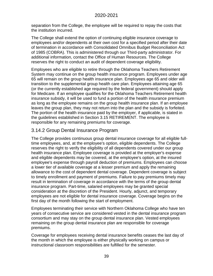separation from the College, the employee will be required to repay the costs that the institution incurred.

The College shall extend the option of continuing eligible insurance coverage to employees and/or dependents at their own cost for a specified period after their date of termination in accordance with Consolidated Omnibus Budget Reconciliation Act of 1985 (COBRA). This is administered through our Third-party administrator. For additional information, contact the Office of Human Resources. The College reserves the right to conduct an audit of dependent coverage eligibility.

Employees who are eligible to retire through the Oklahoma Teachers Retirement System may continue on the group health insurance program. Employees under age 65 will remain on the group health insurance plan. Employees age 65 and older will transition to the supplemental group health care plan. Employees attaining age 65 (or the currently established age required by the federal government) should apply for Medicare. If an employee qualifies for the Oklahoma Teachers Retirement health insurance subsidy, it will be used to fund a portion of the health insurance premium as long as the employee remains on the group health insurance plan. If an employee leaves the group plan, they may not return into the plan and the subsidy is forfeited. The portion of the health insurance paid by the employer, if applicable, is stated in the guidelines established in Section 3.15 RETIREMENT. The employee is responsible for any remaining premiums for coverage.

# 3.14.2 Group Dental Insurance Program

The College provides continuous group dental insurance coverage for all eligible fulltime employees, and, at the employee's option, eligible dependents. The College reserves the right to verify the eligibility of all dependents covered under our group health insurance plan. Employee coverage is provided at the employer's expense and eligible dependents may be covered, at the employee's option, at the insured employee's expense through payroll deduction of premiums. Employees can choose a lower tier of available coverage at a lesser premium and apply the remaining allowance to the cost of dependent dental coverage. Dependent coverage is subject to timely enrollment and payment of premiums. Failure to pay premiums timely may result in termination of coverage in accordance with the terms of the group dental insurance program. Part-time, salaried employees may be granted special consideration at the discretion of the President. Hourly, adjunct, and temporary employees are not eligible for dental insurance coverage. Coverage begins on the first day of the month following the start of employment.

Employees terminating their service with Northern Oklahoma College who have ten years of consecutive service are considered vested in the dental insurance program consortium and may stay on the group dental insurance plan. Vested employees remaining on the group dental insurance plan are responsible for coverage premiums.

Coverage for employees receiving dental insurance benefits ceases the last day of the month in which the employee is either physically working on campus or instructional classroom responsibilities are fulfilled for the semester.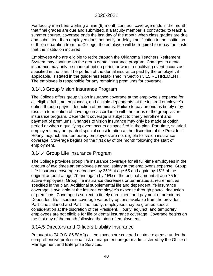For faculty members working a nine (9) month contract, coverage ends in the month that final grades are due and submitted. If a faculty member is contracted to teach a summer course, coverage ends the last day of the month when class grades are due and submitted. If an employee does not notify or delays notification to the institution of their separation from the College, the employee will be required to repay the costs that the institution incurred.

Employees who are eligible to retire through the Oklahoma Teachers Retirement System may continue on the group dental insurance program. Changes to dental insurance may only be made at option period or when a qualifying event occurs as specified in the plan. The portion of the dental insurance paid by the employer, if applicable, is stated in the guidelines established in Section 3.15 RETIREMENT. The employee is responsible for any remaining premiums for coverage.

## 3.14.3 Group Vision Insurance Program

The College offers group vision insurance coverage at the employee's expense for all eligible full-time employees, and eligible dependents, at the insured employee's option through payroll deduction of premiums. Failure to pay premiums timely may result in termination of coverage in accordance with the terms of the group vision insurance program. Dependent coverage is subject to timely enrollment and payment of premiums. Changes to vision insurance may only be made at option period or when a qualifying event occurs as specified in the plan. Part-time, salaried employees may be granted special consideration at the discretion of the President. Hourly, adjunct, and temporary employees are not eligible for vision insurance coverage. Coverage begins on the first day of the month following the start of employment.

## 3.14.4 Group Life Insurance Program

The College provides group life insurance coverage for all full-time employees in the amount of two times an employee's annual salary at the employer's expense. Group Life Insurance coverage decreases by 35% at age 65 and again by 15% of the original amount at age 70 and again by 15% of the original amount at age 75 for active employees. Group life insurance decreases or terminates at retirement as specified in the plan. Additional supplemental life and dependent life insurance coverage is available at the insured employee's expense through payroll deduction of premiums. Coverage is subject to timely enrollment and payment of premiums. Dependent life insurance coverage varies by options available from the provider. Part-time salaried and Part-time hourly, employees may be granted special consideration at the discretion of the President. Hourly, adjunct, and temporary employees are not eligible for life or dental insurance coverage. Coverage begins on the first day of the month following the start of employment.

## 3.14.5 Directors and Officers Liability Insurance

Pursuant to 74 O.S. 85.58A(l) all employees are covered at state expense under the comprehensive professional risk management program administered by the Office of Management and Enterprise Services.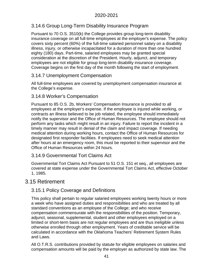# 3.14.6 Group Long-Term Disability Insurance Program

Pursuant to 70 O.S. 3510(k) the College provides group long-term disability insurance coverage on all full-time employees at the employer's expense. The policy covers sixty percent (60%) of the full-time salaried personnel salary on a disability illness, injury, or otherwise incapacitated for a duration of more than one hundred eighty (180) days. Part-time, salaried employees may be granted special consideration at the discretion of the President. Hourly, adjunct, and temporary employees are not eligible for group long-term disability insurance coverage. Coverage begins on the first day of the month following the start of employment.

# 3.14.7 Unemployment Compensation

All full-time employees are covered by unemployment compensation insurance at the College's expense.

# 3.14.8 Worker's Compensation

Pursuant to 85 O.S. 2b, Workers' Compensation Insurance is provided to all employees at the employer's expense. If the employee is injured while working, or contracts an illness believed to be job related, the employee should immediately notify the supervisor and the Office of Human Resources. The employee should not perform any tasks which might result in an injury. Failure to report the incident in a timely manner may result in denial of the claim and impact coverage. If needing medical attention during working hours, contact the Office of Human Resources for designated first responder facilities. If employees need to seek medical attention after hours at an emergency room, this must be reported to their supervisor and the Office of Human Resources within 24 hours.

# 3.14.9 Governmental Tort Claims Act

Governmental Tort Claims Act Pursuant to 51 O.S. 151 et seq., all employees are covered at state expense under the Governmental Tort Claims Act, effective October 1, 1985.

# 3.15 Retirement

# 3.15.1 Policy Coverage and Definitions

This policy shall pertain to regular salaried employees working twenty hours or more a week who have assigned duties and responsibilities and who are treated by all standard conventions as an employee of the College; and who receive compensation commensurate with the responsibilities of the position. Temporary, adjunct, seasonal, supplemental, student and other employees employed on a limited or short-term basis are not regular employees and are thus ineligible unless otherwise enrolled through other employment. Years of creditable service will be calculated in accordance with the Oklahoma Teachers' Retirement System Rules and Laws.

All O.T.R.S. contributions provided by statute for eligible employees on salaries and compensation amounts will be paid by the employer as authorized by state law. The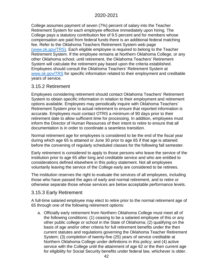College assumes payment of seven (7%) percent of salary into the Teacher Retirement System for each employee effective immediately upon hiring. The College pays a statutory contribution fee of 9.5 percent and for members whose compensation are paid from federal funds there is an additional federal matching fee. Refer to the Oklahoma Teachers Retirement System web page (www.ok.gov/TRS). Each eligible employee is required to belong to the Teacher Retirement System. If the employee remains at Northern Oklahoma College, or any other Oklahoma school, until retirement, the Oklahoma Teachers' Retirement System will calculate the retirement pay based upon the criteria established. Employees should consult the Oklahoma Teachers' Retirement System at [www.ok.gov/TRS](http://www.ok.gov/TRS) for specific information related to their employment and creditable years of service.

## 3.15.2 Retirement

Employees considering retirement should contact Oklahoma Teachers' Retirement System to obtain specific information in relation to their employment and retirement options available. Employees may periodically inquire with Oklahoma Teachers' Retirement System prior to actual retirement to ensure that reported information is accurate. Employees must contact OTRS a minimum of 90 days prior to their retirement date to allow sufficient time for processing. In addition, employees must inform the Director of Human Resources of their intent to retire to ensure that all documentation is in order to coordinate a seamless transition.

Normal retirement age for employees is considered to be the end of the fiscal year during which age 65 is attained or June 30 prior to age 65 if that age is attained before the convening of regularly scheduled classes for the following fall semester.

Early retirement is considered to apply to those persons who leave the service of the institution prior to age 65 after long and creditable service and who are entitled to considerations defined elsewhere in this policy statement. Not all employees voluntarily leaving the service of the College early are considered to be retirees.

The institution reserves the right to evaluate the services of all employees, including those who have passed the ages of early and normal retirement, and to retire or otherwise separate those whose services are below acceptable performance levels.

# 3.15.3 Early Retirement

A full-time salaried employee may elect to retire prior to the normal retirement age of 65 through one of the following retirement options:

a. Officially early retirement from Northern Oklahoma College must meet all of the following conditions: (1) ceasing to be a salaried employee of this or any other public college or school in the State of Oklahoma; (2) qualifying on the basis of age and/or other criteria for full retirement benefits under the then current statutes and regulations governing the Oklahoma Teacher Retirement System; (3) completion of twenty-five (25) years of service creditable at Northern Oklahoma College under definitions in this policy; and (4) active service with the College until the attainment of age 62 or the then current age for eligibility for Social Security benefits under federal law, whichever is older.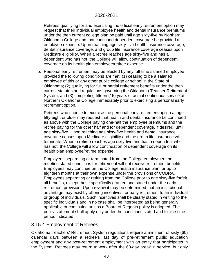Retirees qualifying for and exercising the official early retirement option may request that their individual employee health and dental insurance premiums under the then current college plan be paid until age sixty-five by Northern Oklahoma College and that continued dependent coverage be provided at employee expense. Upon reaching age sixty-five health insurance coverage, dental insurance coverage, and group life insurance coverage ceases upon Medicare eligibility. When a retiree reaches age sixty-five and has a dependent who has not, the College will allow continuation of dependent coverage on its health plan employee/retiree expense.

b. Personal early retirement may be elected by any full-time salaried employee provided the following conditions are met: (1) ceasing to be a salaried employee of this or any other public college or school in the State of Oklahoma; (2) qualifying for full or partial retirement benefits under the then current statutes and regulations governing the Oklahoma Teacher Retirement System; and (3) completing fifteen (15) years of actual continuous service at Northern Oklahoma College immediately prior to exercising a personal early retirement option.

Retirees who choose to exercise the personal early retirement option at age fifty-eight or older may request that health and dental insurance be continued as above with the College paying one-half the employee premiums and the retiree paying for the other half and for dependent coverage, if desired, until age sixty-five. Upon reaching age sixty-five health and dental insurance coverage ceases upon Medicare eligibility and the group life insurance will terminate. When a retiree reaches age sixty-five and has a dependent who has not, the College will allow continuation of dependent coverage on its health plan employee/retiree expense.

Employees separating or terminated from the College employment not meeting stated conditions for retirement will not receive retirement benefits. Employees may continue on the College health insurance plan for up to eighteen months at their own expense under the provisions of COBRA. Employees separating or retiring from the College prior to age sixty-five forfeit all benefits, except those specifically granted and stated under the early retirement provision. Upon review it may be determined that an institutional advantage may exist by offering incentives for early retirement to an individual or group of individuals. Such incentives shall be clearly stated in writing to the specific individuals and in no case shall be interpreted as being generally applicable or continuing unless a Board of Regents policy is adopted. The policy statement shall apply only under the conditions stated and for the time period indicated.

# 3.15.4 Employment of Retirees

Oklahoma Teachers' Retirement System regulations require a minimum of sixty (60) calendar days between a retiree's last day of pre-retirement public education employment and any post-retirement employment with an entity that participates in the System. Retirees may return to work after the 60-day break in service, but only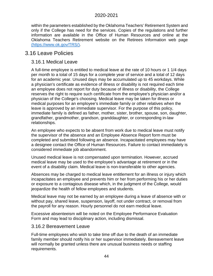within the parameters established by the Oklahoma Teachers' Retirement System and only if the College has need for the services. Copies of the regulations and further information are available in the Office of Human Resources and online at the Oklahoma Teachers Retirement website on the [Retirees Information web page](https://www.ok.gov/TRS/)  [\(https://www.ok.gov/TRS/\).](https://www.ok.gov/TRS/)

# 3.16 Leave Policies

## 3.16.1 Medical Leave

A full-time employee is entitled to medical leave at the rate of 10 hours or 1 1/4 days per month to a total of 15 days for a complete year of service and a total of 12 days for an academic year. Unused days may be accumulated up to 45 workdays. While a physician's certificate as evidence of illness or disability is not required each time an employee does not report for duty because of illness or disability, the College reserves the right to require such certificate from the employee's physician and/or a physician of the College's choosing. Medical leave may be taken for illness or medical purposes for an employee's immediate family or other relatives when the leave is approved by an immediate supervisor. For the purpose of this policy, immediate family is defined as father, mother, sister, brother, spouse, son, daughter, grandfather, grandmother, grandson, granddaughter, or corresponding in-law relationships.

An employee who expects to be absent from work due to medical leave must notify the supervisor of the absence and an Employee Absence Report form must be completed and submitted following an absence. Incapacitated employees may have a designee contact the Office of Human Resources. Failure to contact immediately is considered immediate job abandonment.

Unused medical leave is not compensated upon termination. However, accrued medical leave may be used to the employee's advantage at retirement or in the event of a disability claim. Medical leave is non-transferable to other agencies.

Absences may be charged to medical leave entitlement for an illness or injury which incapacitates an employee and prevents him or her from performing his or her duties or exposure to a contagious disease which, in the judgment of the College, would jeopardize the health of fellow employees and students.

Medical leave may not be earned by an employee during a leave of absence with or without pay, shared leave, suspension, layoff, not under contract, or removal from the payroll for any reason. Hourly personnel do not earn medical leave.

Excessive absenteeism will be noted on the Employee Performance Evaluation Form and may lead to disciplinary action, including dismissal.

#### 3.16.2 Bereavement Leave

Full-time employees who wish to take time off due to the death of an immediate family member should notify his or her supervisor immediately. Bereavement leave will normally be granted unless there are unusual business needs or staffing requirements.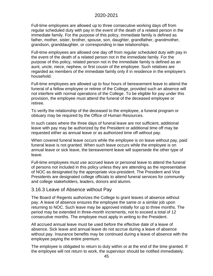Full-time employees are allowed up to three consecutive working days off from regular scheduled duty with pay in the event of the death of a related person in the immediate family. For the purpose of this policy, immediate family is defined as father, mother, sister, brother, spouse, son, daughter, grandfather, grandmother, grandson, granddaughter, or corresponding in-law relationships.

Full-time employees are allowed one day off from regular scheduled duty with pay in the event of the death of a related person not in the immediate family. For the purpose of this policy, related person not in the immediate family is defined as an aunt, uncle, niece, nephew, or first cousin of the employee. Such relatives are regarded as members of the immediate family only if in residence in the employee's household.

Full-time employees are allowed up to four hours of bereavement leave to attend the funeral of a fellow employee or retiree of the College, provided such an absence will not interfere with normal operations of the College. To be eligible for pay under this provision, the employee must attend the funeral of the deceased employee or retiree.

To verify the relationship of the deceased to the employee, a funeral program or obituary may be required by the Office of Human Resources.

In such cases where the three days of funeral leave are not sufficient, additional leave with pay may be authorized by the President or additional time off may be requested either as annual leave or as authorized time off without pay.

When covered funeral leave occurs while the employee is on leave without pay, paid funeral leave is not granted. When such leave occurs while the employee is on annual leave or sick leave, the bereavement leave will supersede the other type of leave.

Full-time employees must use accrued leave or personal leave to attend the funeral of persons not included in this policy unless they are attending as the representative of NOC as designated by the appropriate vice-president. The President and Vice Presidents are designated college officials to attend funeral services for community and college stakeholders, leaders, donors and alumni.

## 3.16.3 Leave of Absence without Pay

The Board of Regents authorizes the College to grant leaves of absence without pay. A leave of absence ensures the employee the same or a similar job upon returning to NOC. Such leave may be approved initially for up to three months. The period may be extended in three-month increments, not to exceed a total of 12 consecutive months. The employee must apply in writing to the President.

All accrued annual leave must be used before the effective date of a leave of absence. Sick leave and annual leave do not accrue during a leave of absence without pay. Insurance benefits may be continued during a leave of absence with the employee paying the entire premium.

The employee is obligated to return to duty within or at the end of the time granted. If the employee will not return to work, the supervisor should be notified immediately.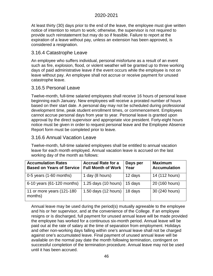At least thirty (30) days prior to the end of the leave, the employee must give written notice of intention to return to work; otherwise, the supervisor is not required to provide such reinstatement but may do so if feasible. Failure to report at the expiration of a leave without pay, unless an extension has been approved, is considered a resignation.

### 3.16.4 Catastrophe Leave

An employee who suffers individual, personal misfortune as a result of an event such as fire, explosion, flood, or violent weather will be granted up to three working days of paid administrative leave if the event occurs while the employee is not on leave without pay. An employee shall not accrue or receive payment for unused catastrophe leave.

## 3.16.5 Personal Leave

Twelve-month, full-time salaried employees shall receive 16 hours of personal leave beginning each January. New employees will receive a prorated number of hours based on their start date. A personal day may not be scheduled during professional development time, peak student enrollment times, or commencement. Employees cannot accrue personal days from year to year. Personal leave is granted upon approval by the direct supervisor and appropriate vice president. Forty-eight hours notice must be given in order to request personal leave and the Employee Absence Report form must be completed prior to leave.

## 3.16.6 Annual Vacation Leave

Twelve-month, full-time salaried employees shall be entitled to annual vacation leave for each month employed. Annual vacation leave is accrued on the last working day of the month as follows:

| <b>Accumulation Rates</b><br><b>Based on Years of Service</b> | <b>Accrual Rate for a</b><br><b>Full Month of Work</b> | Days per<br>Year | <b>Maximum</b><br><b>Accumulation</b> |
|---------------------------------------------------------------|--------------------------------------------------------|------------------|---------------------------------------|
| $0-5$ years $(1-60$ months)                                   | 1 day (8 hours)                                        | 12 days          | 14 (112 hours)                        |
| 6-10 years (61-120 months)                                    | 1.25 days (10 hours)                                   | 15 days          | 20 (160 hours)                        |
| 11 or more years (121-180<br>months)                          | 1.50 days (12 hours)                                   | 18 days          | 30 (240 hours)                        |

Annual leave may be used during the period(s) mutually agreeable to the employee and his or her supervisor, and at the convenience of the College. If an employee resigns or is discharged, full payment for unused annual leave will be made provided the employee has worked for a continuous six-month period. Annual leave will be paid out at the rate of salary at the time of separation from employment. Holidays and other non-working days falling within one's annual leave shall not be charged against one's accumulated leave. Final payment of unused annual leave will be available on the normal pay date the month following termination, contingent on successful completion of the termination procedure. Annual leave may not be used until it has been accrued.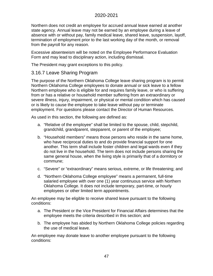Northern does not credit an employee for accrued annual leave earned at another state agency. Annual leave may not be earned by an employee during a leave of absence with or without pay, family medical leave, shared leave, suspension, layoff, termination of employment prior to the last working day of the month, or removal from the payroll for any reason.

Excessive absenteeism will be noted on the Employee Performance Evaluation Form and may lead to disciplinary action, including dismissal.

The President may grant exceptions to this policy.

# 3.16.7 Leave Sharing Program

The purpose of the Northern Oklahoma College leave sharing program is to permit Northern Oklahoma College employees to donate annual or sick leave to a fellow Northern employee who is eligible for and requires family leave, or who is suffering from or has a relative or household member suffering from an extraordinary or severe illness, injury, impairment, or physical or mental condition which has caused or is likely to cause the employee to take leave without pay or terminate employment. For questions please contact the Director of Human Resources.

As used in this section, the following are defined as:

- a. "Relative of the employee" shall be limited to the spouse, child, stepchild, grandchild, grandparent, stepparent, or parent of the employee;
- b. "Household members" means those persons who reside in the same home, who have reciprocal duties to and do provide financial support for one another. This term shall include foster children and legal wards even if they do not live in the household. The term does not include persons sharing the same general house, when the living style is primarily that of a dormitory or commune;
- c. "Severe" or "extraordinary" means serious, extreme, or life threatening; and
- d. "Northern Oklahoma College employee" means a permanent, full-time salaried employee with over one (1) year continuous service with Northern Oklahoma College. It does not include temporary, part-time, or hourly employees or other limited term appointments.

An employee may be eligible to receive shared leave pursuant to the following conditions:

- a. The President or the Vice President for Financial Affairs determines that the employee meets the criteria described in this section; and
- b. The employee has abided by Northern Oklahoma College policies regarding the use of medical leave.

An employee may donate leave to another employee pursuant to the following conditions: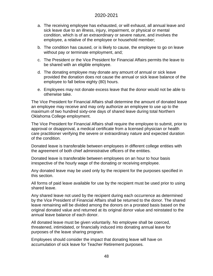- a. The receiving employee has exhausted, or will exhaust, all annual leave and sick leave due to an illness, injury, impairment, or physical or mental condition, which is of an extraordinary or severe nature, and involves the employee, a relative of the employee or household member;
- b. The condition has caused, or is likely to cause, the employee to go on leave without pay or terminate employment, and;
- c. The President or the Vice President for Financial Affairs permits the leave to be shared with an eligible employee.
- d. The donating employee may donate any amount of annual or sick leave provided the donation does not cause the annual or sick leave balance of the employee to fall below eighty (80) hours.
- e. Employees may not donate excess leave that the donor would not be able to otherwise take.

The Vice President for Financial Affairs shall determine the amount of donated leave an employee may receive and may only authorize an employee to use up to the maximum of two hundred sixty-one days of shared leave during total Northern Oklahoma College employment.

The Vice President for Financial Affairs shall require the employee to submit, prior to approval or disapproval, a medical certificate from a licensed physician or health care practitioner verifying the severe or extraordinary nature and expected duration of the condition.

Donated leave is transferable between employees in different college entities with the agreement of both chief administrative officers of the entities.

Donated leave is transferable between employees on an hour to hour basis irrespective of the hourly wage of the donating or receiving employee.

Any donated leave may be used only by the recipient for the purposes specified in this section.

All forms of paid leave available for use by the recipient must be used prior to using shared leave.

Any shared leave not used by the recipient during each occurrence as determined by the Vice President of Financial Affairs shall be returned to the donor. The shared leave remaining will be divided among the donors on a prorated basis based on the original donated value and returned at its original donor value and reinstated to the annual leave balance of each donor.

All donated leave must be given voluntarily. No employee shall be coerced, threatened, intimidated, or financially induced into donating annual leave for purposes of the leave sharing program.

Employees should consider the impact that donating leave will have on accumulation of sick leave for Teacher Retirement purposes.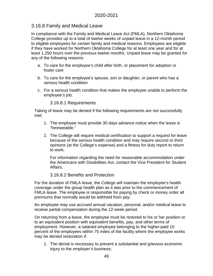# 3.16.8 Family and Medical Leave

In compliance with the Family and Medical Leave Act (FMLA), Northern Oklahoma College provides up to a total of twelve weeks of unpaid leave in a 12-month period to eligible employees for certain family and medical reasons. Employees are eligible if they have worked for Northern Oklahoma College for at least one year and for at least 1,250 hours over the previous twelve months. Unpaid leave may be granted for any of the following reasons:

- a. To care for the employee's child after birth, or placement for adoption or foster care
- b. To care for the employee's spouse, son or daughter, or parent who has a serious health condition
- c. For a serious health condition that makes the employee unable to perform the employee's job.

3.16.8.1 Requirements

Taking of leave may be denied if the following requirements are not successfully met:

- 1. The employee must provide 30 days advance notice when the leave is "foreseeable."
- 2. The College will require medical certification to support a request for leave because of the serious health condition and may require second or third opinions (at the College's expense) and a fitness for duty report to return to work.

For information regarding the need for reasonable accommodation under the Americans with Disabilities Act, contact the Vice President for Student Affairs.

## 3.16.8.2 Benefits and Protection

For the duration of FMLA leave, the College will maintain the employee's health coverage under the group health plan as it was prior to the commencement of FMLA leave. The employee is responsible for paying by check or money order all premiums that normally would be withheld from pay.

An employee may use accrued annual vacation, personal, and/or medical leave to receive partial compensation during the 12-week period.

On returning from a leave, the employee must be restored to his or her position or to an equivalent position with equivalent benefits, pay, and other terms of employment. However, a salaried employee belonging to the higher-paid 10 percent of the employees within 75 miles of the facility where the employee works may be denied restoration if:

1. The denial is necessary to prevent a substantial and grievous economic injury to the employer's business;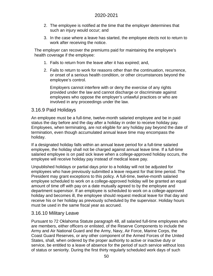- 2. The employee is notified at the time that the employer determines that such an injury would occur; and
- 3. In the case where a leave has started, the employee elects not to return to work after receiving the notice.

The employer can recover the premiums paid for maintaining the employee's health coverage if the employee:

- 1. Fails to return from the leave after it has expired; and,
- 2. Fails to return to work for reasons other than the continuation, recurrence, or onset of a serious health condition, or other circumstances beyond the employee's control.

Employers cannot interfere with or deny the exercise of any rights provided under the law and cannot discharge or discriminate against employees who oppose the employer's unlawful practices or who are involved in any proceedings under the law.

## 3.16.9 Paid Holidays

An employee must be a full-time, twelve-month salaried employee and be in paid status the day before and the day after a holiday in order to receive holiday pay. Employees, when terminating, are not eligible for any holiday pay beyond the date of termination, even though accumulated annual leave time may encompass the holiday.

If a designated holiday falls within an annual leave period for a full-time salaried employee, the holiday shall not be charged against annual leave time. If a full-time salaried employee is on paid sick leave when a college-approved holiday occurs, the employee will receive holiday pay instead of medical leave pay.

Unpublished holidays or partial days prior to a holiday will not be adjusted for employees who have previously submitted a leave request for that time period. The President may grant exceptions to this policy. A full-time, twelve-month salaried employee scheduled to work on a college-approved holiday will be granted an equal amount of time off with pay on a date mutually agreed to by the employee and department supervisor. If an employee is scheduled to work on a college-approved holiday and becomes ill, the employee should request medical leave for that day and receive his or her holiday as previously scheduled by the supervisor. Holiday hours must be used in the same fiscal year as accrued.

## 3.16.10 Military Leave

Pursuant to 72 Oklahoma Statute paragraph 48, all salaried full-time employees who are members, either officers or enlisted, of the Reserve Components to include the Army and Air National Guard and the Army, Navy, Air Force, Marine Corps, the Coast Guard Reserves, or any other component of the Armed Forces of the United States, shall, when ordered by the proper authority to active or inactive duty or service, be entitled to a leave of absence for the period of such service without loss of status or seniority. During the first thirty regularly scheduled work days of such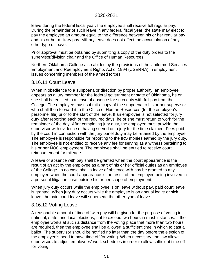leave during the federal fiscal year, the employee shall receive full regular pay. During the remainder of such leave in any federal fiscal year, the state may elect to pay the employee an amount equal to the difference between his or her regular pay and his or her military pay. Military leave does not affect the accumulation of any other type of leave.

Prior approval must be obtained by submitting a copy of the duty orders to the supervisor/division chair and the Office of Human Resources.

Northern Oklahoma College also abides by the provisions of the Uniformed Services Employment and Reemployment Rights Act of 1994 (USERRA) in employment issues concerning members of the armed forces.

# 3.16.11 Court Leave

When in obedience to a subpoena or direction by proper authority, an employee appears as a jury member for the federal government or state of Oklahoma, he or she shall be entitled to a leave of absence for such duty with full pay from the College. The employee must submit a copy of the subpoena to his or her supervisor who shall then forward it to the Office of Human Resources (for the employee's personnel file) prior to the start of the leave. If an employee is not selected for jury duty after reporting each of the required days, he or she must return to work for the remainder of the day. After completing jury duty, the employee must provide the supervisor with evidence of having served on a jury for the time claimed. Fees paid by the court in connection with the jury panel duty may be retained by the employee. The employee is responsible for reporting to the IRS monies earned by the jury duty. The employee is not entitled to receive any fee for serving as a witness pertaining to his or her NOC employment. The employee shall be entitled to receive court reimbursement for mileage.

A leave of absence with pay shall be granted when the court appearance is the result of an act by the employee as a part of his or her official duties as an employee of the College. In no case shall a leave of absence with pay be granted to any employee when the court appearance is the result of the employee being involved in a personal litigation case outside his or her scope of employment.

When jury duty occurs while the employee is on leave without pay, paid court leave is granted. When jury duty occurs while the employee is on annual leave or sick leave, the paid court leave will supersede the other type of leave.

## 3.16.12 Voting Leave

A reasonable amount of time off with pay will be given for the purpose of voting in national, state, and local elections, not to exceed two hours in most instances. If the employee works at such a distance from the voting place that more than two hours are required, then the employee shall be allowed a sufficient time in which to cast a ballot. The supervisor should be notified no later than the day before the election of the employee's need to have time off for voting. When necessary, the law allows supervisors to adjust employees' work schedules in order to allow sufficient time off for voting.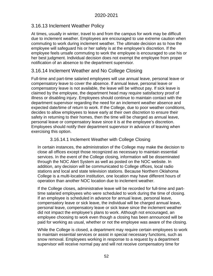# 3.16.13 Inclement Weather Policy

At times, usually in winter, travel to and from the campus for work may be difficult due to inclement weather. Employees are encouraged to use extreme caution when commuting to work during inclement weather. The ultimate decision as to how the employee will safeguard his or her safety is at the employee's discretion. If the employee feels unsafe commuting to work the employee is encouraged to use his or her best judgment. Individual decision does not exempt the employee from proper notification of an absence to the department supervisor.

# 3.16.14 Inclement Weather and No College Closing

Full-time and part-time salaried employees will use annual leave, personal leave or compensatory leave to cover the absence. If annual leave, personal leave or compensatory leave is not available, the leave will be without pay. If sick leave is claimed by the employee, the department head may require satisfactory proof of illness or disabling injury. Employees should continue to maintain contact with the department supervisor regarding the need for an inclement weather absence and expected date/time of return to work. If the College, due to poor weather conditions, decides to allow employees to leave early at their own discretion to ensure their safety in returning to their homes, then the time will be charged as annual leave, personal leave or compensatory leave since it is at the employee's discretion. Employees should notify their department supervisor in advance of leaving when exercising this option.

### 3.16.14.1 Inclement Weather with College Closing

In certain instances, the administration of the College may make the decision to close all offices except those recognized as necessary to maintain essential services. In the event of the College closing, information will be disseminated through the NOC Alert System as well as posted on the NOC website. In addition, any decision will be communicated to College offices, local radio stations and local and state television stations. Because Northern Oklahoma College is a multi-location institution, one location may have different hours of operation than another NOC location due to inclement weather.

If the College closes, administrative leave will be recorded for full-time and parttime salaried employees who were scheduled to work during the time of closing. If an employee is scheduled in advance for annual leave, personal leave, compensatory leave or sick leave, the individual will be charged annual leave, personal leave, compensatory leave or sick leave since the inclement weather did not impact the employee's plans to work. Although not encouraged, an employee choosing to work even though a closing has been announced will be paid for working as usual, whether or not the employee was aware of the closing.

While the College is closed, a department may require certain employees to work to maintain essential services or assist in special necessary functions, such as snow removal. Employees working in response to a request by a department supervisor will receive normal pay and will not receive compensatory time for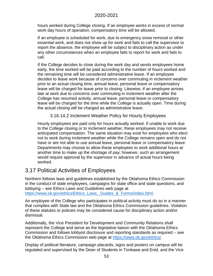hours worked during College closing. If an employee works in excess of normal work day hours of operation, compensatory time will be allowed.

If an employee is scheduled for work, due to emergency snow removal or other essential work, and does not show up for work and fails to call the supervisor to report the absence, the employee will be subject to disciplinary action as under any other circumstances when an employee fails to report for work and fails to call.

If the College decides to close during the work day and sends employees home early, the time worked will be paid according to the number of hours worked and the remaining time will be considered administrative leave. If an employee decides to leave work because of concerns over commuting in inclement weather prior to an actual closing time, annual leave, personal leave or compensatory leave will be charged for leave prior to closing. Likewise, if an employee arrives late at work due to concerns over commuting in inclement weather after the College has resumed activity, annual leave, personal leave or compensatory leave will be charged for the time while the College is actually open. Time during the actual closing will be charged as administrative leave.

3.16.14.2 Inclement Weather Policy for Hourly Employees

Hourly employees are paid only for hours actually worked. If unable to work due to the College closing or to inclement weather, these employees may not receive anticipated compensation. The same situation may exist for employees who elect not to work during inclement weather while the College remains open and do not have or are not able to use annual leave, personal leave or compensatory leave. Departments may choose to allow these employees to work additional hours at another time to make up the shortage of pay; however, such an arrangement would require approval by the supervisor in advance of actual hours being worked.

# 3.17 Political Activities of Employees

Northern follows laws and guidelines established by the Oklahoma Ethics Commission in the conduct of state employees, campaigns for state office and state questions, and lobbying – see Ethics Laws and Guidelines web page at [https://www.ok.gov/ethics/Ethics\\_Laws,\\_Guides\\_&\\_Forms/index.html.](https://www.ok.gov/ethics/Ethics_Laws,_Guides_&_Forms/index.html)

An employee of the College who participates in political activity must do so in a manner that complies with State law and the Oklahoma Ethics Commission guidelines. Violation of these statutes or policies may be considered cause for disciplinary action and/or dismissal.

Additionally, the Vice President for Development and Community Relations shall represent the College and serve as the legislative liaison with the Oklahoma Ethics Commission and follows lobbyist disclosure and reporting standards as required – see the Oklahoma Ethics Commission web page at [https://www.ok.gov/ethics/.](https://www.ok.gov/ethics/)

Display of political literature, campaign placards, signs and posters on campus will be regulated and supervised by the Dean of Students in Tonkawa and Enid, and the Vice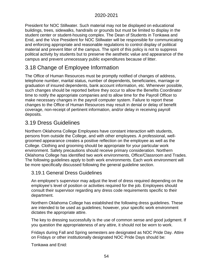President for NOC Stillwater. Such material may not be displayed on educational buildings, trees, sidewalks, handrails or grounds but must be limited to display in the student center or student-housing complex. The Dean of Students in Tonkawa and Enid, and the Vice President for NOC Stillwater will be responsible for communicating and enforcing appropriate and reasonable regulations to control display of political material and prevent litter of the campus. The spirit of this policy is not to suppress political activity by students but to preserve the aesthetic value and appearance of the campus and prevent unnecessary public expenditures because of litter.

# 3.18 Change of Employee Information

The Office of Human Resources must be promptly notified of changes of address, telephone number, marital status, number of dependents, beneficiaries, marriage or graduation of insured dependents, bank account information, etc. Whenever possible, such changes should be reported before they occur to allow the Benefits Coordinator time to notify the appropriate companies and to allow time for the Payroll Officer to make necessary changes in the payroll computer system. Failure to report these changes to the Office of Human Resources may result in denial or delay of benefit coverage, non-receipt of pertinent information, and/or delay in receiving payroll deposits.

# 3.19 Dress Guidelines

Northern Oklahoma College Employees have constant interaction with students, persons from outside the College, and with other employees. A professional, wellgroomed appearance creates a positive reflection on the employee as well as the College. Clothing and grooming should be appropriate for your particular work environment. Safety precautions should receive primary consideration. Northern Oklahoma College has identified two work environments, Office/Classroom and Trades. The following guidelines apply to both work environments. Each work environment will be more specifically discussed following the general guideline section.

# 3.19.1 General Dress Guidelines

An employee's supervisor may adjust the level of dress required depending on the employee's level of position or activities required for the job. Employees should consult their supervisor regarding any dress code requirements specific to their department.

Northern Oklahoma College has established the following dress guidelines. These are intended to be used as guidelines; however, your specific work environment dictates the appropriate attire.

The key to dressing successfully is the use of common sense and good judgment. If you question the appropriateness of any attire, it should not be worn to work.

Fridays during Fall and Spring semesters are designated as NOC Pride Day. Attire on Fridays or other institutionally designated NOC Pride Days should be:

Tonkawa and Enid: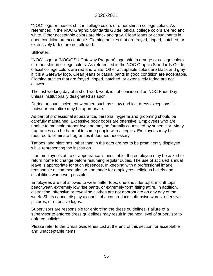"NOC" logo or mascot shirt in college colors or other shirt in college colors. As referenced in the NOC Graphic Standards Guide, official college colors are red and white. Other acceptable colors are black and gray. Clean jeans or casual pants in good condition are acceptable. Clothing articles that are frayed, ripped, patched, or extensively faded are not allowed.

#### Stillwater:

"NOC" logo or "NOC/OSU Gateway Program" logo shirt in orange or college colors or other shirt in college colors. As referenced in the NOC Graphic Standards Guide, official college colors are red and white. Other acceptable colors are black and gray if it is a Gateway logo. Clean jeans or casual pants in good condition are acceptable. Clothing articles that are frayed, ripped, patched, or extensively faded are not allowed.

The last working day of a short work week is not considered as NOC Pride Day unless institutionally designated as such.

During unusual inclement weather, such as snow and ice, dress exceptions in footwear and attire may be appropriate.

As part of professional appearance, personal hygiene and grooming should be carefully maintained. Excessive body odors are offensive. Employees who are unable to maintain proper hygiene may be formally counseled by supervisor. Many fragrances can be harmful to some people with allergies. Employees may be required to eliminate fragrances if deemed necessary.

Tattoos, and piercings, other than in the ears are not to be prominently displayed while representing the institution.

If an employee's attire or appearance is unsuitable, the employee may be asked to return home to change before resuming regular duties. The use of accrued annual leave is appropriate for such absences. In keeping with a professional image, reasonable accommodation will be made for employees' religious beliefs and disabilities whenever possible.

Employees are not allowed to wear halter tops, one-shoulder tops, midriff tops, beachwear, extremely low rise pants, or extremely form fitting attire. In addition, distracting, offensive or revealing clothes are not appropriate on any day of the week. Shirts cannot display alcohol, tobacco products, offensive words, offensive pictures, or offensive logos.

Supervisors are responsible for enforcing the dress guidelines. Failure of a supervisor to enforce dress guidelines may result in the next level of supervisor to enforce policies.

Please refer to the Dress Guidelines List at the end of this section for acceptable and unacceptable items.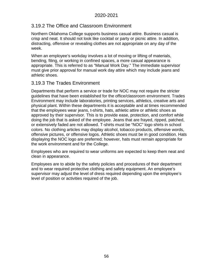# 3.19.2 The Office and Classroom Environment

Northern Oklahoma College supports business casual attire. Business casual is crisp and neat. It should not look like cocktail or party or picnic attire. In addition, distracting, offensive or revealing clothes are not appropriate on any day of the week.

When an employee's workday involves a lot of moving or lifting of materials, bending, filing, or working in confined spaces, a more casual appearance is appropriate. This is referred to as "Manual Work Day." The immediate supervisor must give prior approval for manual work day attire which may include jeans and athletic shoes.

# 3.19.3 The Trades Environment

Departments that perform a service or trade for NOC may not require the stricter guidelines that have been established for the office/classroom environment. Trades Environment may include laboratories, printing services, athletics, creative arts and physical plant. Within these departments it is acceptable and at times recommended that the employees wear jeans, t-shirts, hats, athletic attire or athletic shoes as approved by their supervisor. This is to provide ease, protection, and comfort while doing the job that is asked of the employee. Jeans that are frayed, ripped, patched, or extensively faded are not allowed. T-shirts must be "NOC" logo shirts in school colors. No clothing articles may display alcohol, tobacco products, offensive words, offensive pictures, or offensive logos. Athletic shoes must be in good condition. Hats displaying the NOC logo are preferred; however, hats must remain appropriate for the work environment and for the College.

Employees who are required to wear uniforms are expected to keep them neat and clean in appearance.

Employees are to abide by the safety policies and procedures of their department and to wear required protective clothing and safety equipment. An employee's supervisor may adjust the level of dress required depending upon the employee's level of position or activities required of the job.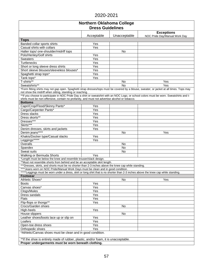| <b>Northern Oklahoma College</b>                                                                                                                                                                                                                                                                                                                     |            |              |                                                    |  |
|------------------------------------------------------------------------------------------------------------------------------------------------------------------------------------------------------------------------------------------------------------------------------------------------------------------------------------------------------|------------|--------------|----------------------------------------------------|--|
| <b>Dress Guidelines</b>                                                                                                                                                                                                                                                                                                                              |            |              |                                                    |  |
|                                                                                                                                                                                                                                                                                                                                                      | Acceptable | Unacceptable | <b>Exceptions</b><br>NOC Pride Day/Manual Work Day |  |
| <b>Tops</b>                                                                                                                                                                                                                                                                                                                                          |            |              |                                                    |  |
| Banded collar sports shirts                                                                                                                                                                                                                                                                                                                          | Yes        |              |                                                    |  |
| Casual shirts with collars                                                                                                                                                                                                                                                                                                                           | Yes        |              |                                                    |  |
| Halter tops/ one-shoulder/midriff tops                                                                                                                                                                                                                                                                                                               |            | <b>No</b>    |                                                    |  |
| Polo/Henley/Golf shirts                                                                                                                                                                                                                                                                                                                              | Yes        |              |                                                    |  |
| <b>Sweaters</b>                                                                                                                                                                                                                                                                                                                                      | Yes        |              |                                                    |  |
| Turtlenecks                                                                                                                                                                                                                                                                                                                                          | Yes        |              |                                                    |  |
| Short or long sleeve dress shirts                                                                                                                                                                                                                                                                                                                    | Yes        |              |                                                    |  |
| Short sleeve blouses/sleeveless blouses*                                                                                                                                                                                                                                                                                                             | Yes        |              |                                                    |  |
| Spaghetti strap tops*                                                                                                                                                                                                                                                                                                                                | Yes        |              |                                                    |  |
| Tank tops*                                                                                                                                                                                                                                                                                                                                           | Yes        |              |                                                    |  |
| T-shirts**                                                                                                                                                                                                                                                                                                                                           |            | <b>No</b>    | Yes                                                |  |
| Sweatshirts**                                                                                                                                                                                                                                                                                                                                        |            | <b>No</b>    | Yes                                                |  |
| *Form fitting shirts may not gap open. Spaghetti strap dresses/tops must be covered by a blouse, sweater, or jacket at all times. Tops may<br>not show the midriff when sitting, standing or reaching.<br>** If you choose to participate in NOC Pride Day a shirt or sweatshirt with an NOC Logo, or school colors must be worn. Sweatshirts and t- |            |              |                                                    |  |
| shirts must be non-offensive, contain no profanity, and must not advertise alcohol or tobacco.                                                                                                                                                                                                                                                       |            |              |                                                    |  |
| <b>Bottoms</b>                                                                                                                                                                                                                                                                                                                                       |            |              |                                                    |  |
| Capri/Crop/Flood/Skinny Pants*                                                                                                                                                                                                                                                                                                                       | Yes        |              |                                                    |  |
| Cargo/Carpenter Pants*                                                                                                                                                                                                                                                                                                                               | Yes        |              |                                                    |  |
| Dress slacks                                                                                                                                                                                                                                                                                                                                         | Yes        |              |                                                    |  |
| Dress skorts**                                                                                                                                                                                                                                                                                                                                       | Yes        |              |                                                    |  |
| Dresses***                                                                                                                                                                                                                                                                                                                                           | Yes        |              |                                                    |  |
| Skirts***                                                                                                                                                                                                                                                                                                                                            | Yes        |              |                                                    |  |
| Denim dresses, skirts and jackets                                                                                                                                                                                                                                                                                                                    | Yes        |              |                                                    |  |
| Denim jeans****                                                                                                                                                                                                                                                                                                                                      |            | No           | Yes                                                |  |
| Khakis/Docker type/Casual slacks                                                                                                                                                                                                                                                                                                                     | Yes        |              |                                                    |  |
| Leggings******                                                                                                                                                                                                                                                                                                                                       | Yes        |              |                                                    |  |
| Overalls                                                                                                                                                                                                                                                                                                                                             |            | No           |                                                    |  |
| Spandex                                                                                                                                                                                                                                                                                                                                              |            | No           |                                                    |  |
| Sweat suits                                                                                                                                                                                                                                                                                                                                          |            | No           |                                                    |  |
| Walking or Bermuda Shorts                                                                                                                                                                                                                                                                                                                            | Yes        |              |                                                    |  |
| *Length must be below the knee and resemble trouser/slack design.                                                                                                                                                                                                                                                                                    |            |              |                                                    |  |
| ** Must not resemble shorts from behind and be an acceptable skirt length.                                                                                                                                                                                                                                                                           |            |              |                                                    |  |
| ***Dresses, skirts, and shorts must be no shorter than 2-3 inches above the knee cap while standing.                                                                                                                                                                                                                                                 |            |              |                                                    |  |
| **** Jeans worn on NOC Pride/Manual Work Days must be clean and in good condition.                                                                                                                                                                                                                                                                   |            |              |                                                    |  |
| *****Leggings must be worn under a dress, skirt or long shirt that is no shorter than 2-3 inches above the knee cap while standing.<br><b>Footwear</b>                                                                                                                                                                                               |            |              |                                                    |  |
| Athletic Shoes*                                                                                                                                                                                                                                                                                                                                      |            | No           | Yes                                                |  |
| <b>Boots</b>                                                                                                                                                                                                                                                                                                                                         | Yes        |              |                                                    |  |
| Canvas shoes*                                                                                                                                                                                                                                                                                                                                        | Yes        |              |                                                    |  |
| Clogs/Mules                                                                                                                                                                                                                                                                                                                                          | Yes        |              |                                                    |  |
| Dress sandals                                                                                                                                                                                                                                                                                                                                        | Yes        |              |                                                    |  |
| Flats                                                                                                                                                                                                                                                                                                                                                | Yes        |              |                                                    |  |
| Flip-flops or thongs**                                                                                                                                                                                                                                                                                                                               | Yes        |              |                                                    |  |
| Crocs/Garden shoes                                                                                                                                                                                                                                                                                                                                   |            | No           |                                                    |  |
| High-heels                                                                                                                                                                                                                                                                                                                                           | Yes        |              |                                                    |  |
| House slippers                                                                                                                                                                                                                                                                                                                                       |            | No           |                                                    |  |
| Leather shoes/boots lace up or slip on                                                                                                                                                                                                                                                                                                               | Yes        |              |                                                    |  |
| Loafers                                                                                                                                                                                                                                                                                                                                              | Yes        |              |                                                    |  |
| Open-toe dress shoes                                                                                                                                                                                                                                                                                                                                 | Yes        |              |                                                    |  |
| Orthopedic shoes                                                                                                                                                                                                                                                                                                                                     | Yes        |              |                                                    |  |
| *Athletic/Canvas shoes must be clean and in good condition.                                                                                                                                                                                                                                                                                          |            |              |                                                    |  |
| ** If the shoe is entirely made of rubber, plastic, and/or foam, it is unacceptable.                                                                                                                                                                                                                                                                 |            |              |                                                    |  |
| Proper undergarments must be worn beneath clothing.                                                                                                                                                                                                                                                                                                  |            |              |                                                    |  |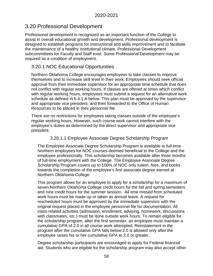# 3.20 Professional Development

Professional development is recognized as an important function of the College to assist in overall educational growth and development. Professional development is designed to establish programs for instructional and skills improvement and to facilitate the maintenance of a healthy institutional climate. Professional Development subcommittees for Faculty and Staff exist. Some Professional Development may be required as a condition of employment.

# 3.20.1 NOC Educational Opportunities

Northern Oklahoma College encourages employees to take classes to improve themselves and to increase skill level in their work. Employees should seek official approval from their immediate supervisor for an appropriate time schedule that does not conflict with regular working hours. If classes are offered at times which conflict with regular working hours, employees must submit a request for an alternative work schedule as defined in 5.4.1.A below. This plan must be approved by the supervisor and appropriate vice president, and then forwarded to the Office of Human Resources to be placed in their personnel file.

There are no restrictions for employees taking classes outside of the employee's regular working hours. However, such course work cannot interfere with the employee's duties as determined by the direct supervisor and appropriate vice president.

#### 3.20.1.1 Employee Associate Degree Scholarship Program

The Employee Associate Degree Scholarship Program is available to full-time Northern employees for NOC courses deemed beneficial to the College and the employee professionally. This scholarship becomes available after three months of full-time employment with the College. The Employee Associate Degree Scholarship Program covers up to 100% of NOC only tuition, fees, and books towards the completion of the employee's first associate degree earned at Northern Oklahoma College.

This program allows for an employee to apply for a scholarship for a maximum of seven Northern Oklahoma College credit hours for the fall and spring semesters and nine credit hours for the summer session. All time missed from scheduled work hours must be made up or taken as annual leave. A request for rescheduled hours must be approved by the immediate supervisor with the original request placed in the employee personnel file for documentation. All class-related activities (admission, enrollment, advising, homework, discussions with classmates, etc.) must be done outside work hours. To remain eligible for the scholarship program, after the first semester, an employee must maintain a cumulative GPA of 2.0 in all course work attempted. Reinstatement in the program after the cumulative GPA falls below 2.0 is allowed only after the employee raises his or her cumulative GPA to 2.0 or greater.

Degree scholarship participants are encouraged to apply for Federal financial aid. Students who are eligible for the scholarship program may also accept other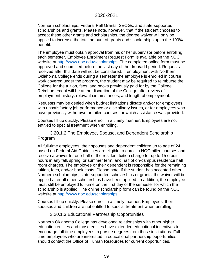Northern scholarships, Federal Pell Grants, SEOGs, and state-supported scholarships and grants. Please note, however, that if the student chooses to accept these other grants and scholarships, the degree waiver will only be applied to increase the total amount of grants and scholarships up to the 100% benefit.

The employee must obtain approval from his or her supervisor before enrolling each semester. Employee Enrollment Request Form is available on the NOC website at [http://www.noc.edu/scholarships.](http://www.noc.edu/scholarships) The completed online form must be approved and submitted before the last day of the drop/add period. Requests received after this date will not be considered. If employment with Northern Oklahoma College ends during a semester the employee is enrolled in course work covered under the program, the student may be required to reimburse the College for the tuition, fees, and books previously paid for by the College. Reimbursement will be at the discretion of the College after review of employment history, relevant circumstances, and length of employment.

Requests may be denied when budget limitations dictate and/or for employees with unsatisfactory job performance or disciplinary issues, or for employees who have previously withdrawn or failed courses for which assistance was provided.

Courses fill up quickly. Please enroll in a timely manner. Employees are not entitled to special treatment when enrolling.

3.20.1.2 The Employee, Spouse, and Dependent Scholarship Program

All full-time employees, their spouses and dependent children up to age of 24 based on Federal Aid Guidelines are eligible to enroll in NOC-billed courses and receive a waiver for one-half of the resident tuition charge for up to 15 credit hours in any fall, spring, or summer term, and half of on-campus residence hall room charges. The employee or their dependent is responsible for the remaining tuition, fees, and/or book costs. Please note, if the student has accepted other Northern scholarships, state-supported scholarships or grants, the waiver will be applied after all other scholarships have been applied. In addition, the employee must still be employed full-time on the first day of the semester for which the scholarship is applied. The online scholarship form can be found on the NOC website at [http://www.noc.edu/scholarships.](http://www.noc.edu/scholarships)

Courses fill up quickly. Please enroll in a timely manner. Employees, their spouses and children are not entitled to special treatment when enrolling.

#### 3.20.1.3 Educational Partnership Opportunities

Northern Oklahoma College has developed relationships with other higher education entities and those entities have extended educational incentives to encourage full-time employees to pursue degrees from those institutions. Fulltime employees who are interested in educational partnership opportunities should contact the Office of Human Resources for current opportunities.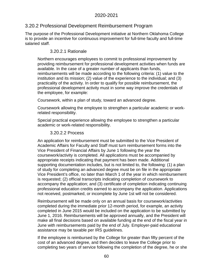# 3.20.2 Professional Development Reimbursement Program

The purpose of the Professional Development initiative at Northern Oklahoma College is to provide an incentive for continuous improvement for full-time faculty and full-time salaried staff.

# 3.20.2.1 Rationale

Northern encourages employees to commit to professional improvement by providing reimbursement for professional development activities when funds are available. In the case of a greater number of applicants than funds, reimbursements will be made according to the following criteria: (1) value to the institution and its mission; (2) value of the experience to the individual; and (3) practicality of the activity. In order to qualify for possible reimbursement, the professional development activity must in some way improve the credentials of the employee, for example:

Coursework, within a plan of study, toward an advanced degree.

Coursework allowing the employee to strengthen a particular academic or workrelated responsibility.

Special practical experience allowing the employee to strengthen a particular academic or work-related responsibility.

## 3.20.2.2 Process

An application for reimbursement must be submitted to the Vice President of Academic Affairs for Faculty and Staff must turn reimbursement forms into the Vice President of Financial Affairs by June 1 following the year the coursework/activity is completed. All applications must be accompanied by appropriate receipts indicating that payment has been made. Additional supporting documentation includes, but is not limited to, the following: (1) a plan of study for completing an advanced degree must be on file in the appropriate Vice President's office, no later than March 1 of the year in which reimbursement is requested; (2) official transcripts indicating completion of coursework to accompany the application; and (3) certificate of completion indicating continuing professional education credits earned to accompany the application. Applications not received, postmarked, or incomplete by June 1st will not be considered.

Reimbursement will be made only on an annual basis for coursework/activities completed during the immediate prior 12-month period, for example, an activity completed in June 2015 would be included on the application to be submitted by June 1, 2016. Reimbursements will be approved annually, and the President will make all final decisions based on available funding at the end of the fiscal year in June with reimbursements paid by the end of July. Employer-paid educational assistance may be taxable per IRS guidelines.

If the employee is reimbursed by the College for greater than fifty percent of the cost of an advanced degree, and then decides to leave the College prior to completing two years of service following the completion of the degree, he or she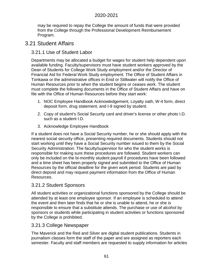may be required to repay the College the amount of funds that were provided from the College through the Professional Development Reimbursement Program.

# 3.21 Student Affairs

# 3.21.1 Use of Student Labor

Departments may be allocated a budget for wages for student help dependent upon available funding. Faculty/supervisors must have student workers approved by the Dean of Students for College Work Study employment and/or the Director of Financial Aid for Federal Work Study employment. The Office of Student Affairs in Tonkawa or the administrative offices in Enid or Stillwater will notify the Office of Human Resources prior to when the student begins or ceases work. The student must complete the following documents in the Office of Student Affairs and have on file with the Office of Human Resources before they start work:

- 1. NOC Employee Handbook Acknowledgement, Loyalty oath, W-4 form, direct deposit form, drug statement, and I-9 signed by student.
- 2. Copy of student's Social Security card and driver's license or other photo I.D. such as a student I.D.
- 3. Acknowledge Employee Handbook

If a student does not have a Social Security number, he or she should apply with the nearest social security office, presenting required documents. Students should not start working until they have a Social Security number issued to them by the Social Security Administration. The faculty/supervisor for who the student works is responsible for making sure these procedures are followed. Student workers can only be included on the bi-monthly student payroll if procedures have been followed and a time sheet has been properly signed and submitted to the Office of Human Resources by the official deadline for the given work period. Students are paid by direct deposit and may request payment information from the Office of Human Resources.

# 3.21.2 Student Sponsors

All student activities or organizational functions sponsored by the College should be attended by at least one employee sponsor. If an employee is scheduled to attend the event and then later finds that he or she is unable to attend, he or she is responsible to ensure that a substitute attends. The purchase or use of alcohol by sponsors or students while participating in student activities or functions sponsored by the College is prohibited.

## 3.21.3 College Newspaper

The Maverick and the Red and Silver are digital student publications. Students in journalism classes form the staff of the paper and are assigned as reporters each semester. Faculty and staff members are requested to supply information for articles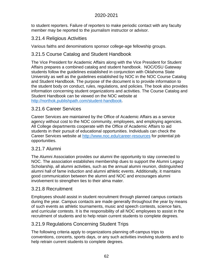to student reporters. Failure of reporters to make periodic contact with any faculty member may be reported to the journalism instructor or advisor.

# 3.21.4 Religious Activities

Various faiths and denominations sponsor college-age fellowship groups.

# 3.21.5 Course Catalog and Student Handbook

The Vice President for Academic Affairs along with the Vice President for Student Affairs prepares a combined catalog and student handbook. NOC/OSU Gateway students follow the guidelines established in conjunction with Oklahoma State University as well as the guidelines established by NOC in the NOC Course Catalog and Student Handbook. The purpose of the document is to provide information to the student body on conduct, rules, regulations, and policies. The book also provides information concerning student organizations and activities. The Course Catalog and Student Handbook can be viewed on the NOC website at [http://northok.publishpath.com/student-handbook.](http://northok.publishpath.com/student-handbook)

# 3.21.6 Career Services

Career Services are maintained by the Office of Academic Affairs as a service agency without cost to the NOC community, employees, and employing agencies. All College departments cooperate with the Office of Academic Affairs to aid students in their pursuit of educational opportunities. Individuals can check the Career Services website at<http://www.noc.edu/career-resources> for potential job opportunities.

# 3.21.7 Alumni

The Alumni Association provides our alumni the opportunity to stay connected to NOC. The association establishes membership dues to support the Alumni Legacy Scholarship, all alumni activities, such as the annual alumni reunion, distinguished alumni hall of fame induction and alumni athletic events. Additionally, it maintains good communication between the alumni and NOC and encourages alumni involvement to strengthen ties to their alma mater.

# 3.21.8 Recruitment

Employees should assist in student recruitment through planned campus contacts during the year. Campus contacts are made generally throughout the year by means of such events as athletic tournaments, music and speech contests, science fairs, and curricular contests. It is the responsibility of all NOC employees to assist in the recruitment of students and to help retain current students to complete degrees.

# 3.21.9 Regulations Concerning Student Trips

The following criteria apply to organizations planning off-campus trips to conventions, concerts, sports days, or any such activities involving students and to help retrain current students to complete degrees.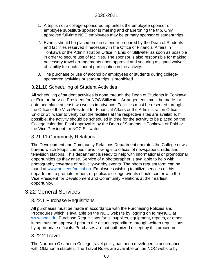- 1. A trip is not a college-sponsored trip unless the employee sponsor or employee substitute sponsor is making and chaperoning the trip. Only approved full-time NOC employees may be primary sponsor of student trips.
- 2. Events should be placed on the calendar prepared by the Dean of Students and facilities reserved if necessary in the Office of Financial Affairs in Tonkawa or the Administration Office in Enid or Stillwater as soon as possible in order to secure use of facilities. The sponsor is also responsible for making necessary travel arrangements upon approval and securing a signed waiver of liability for each student participating in the activity.
- 3. The purchase or use of alcohol by employees or students during collegesponsored activities or student trips is prohibited.

# 3.21.10 Scheduling of Student Activities

All scheduling of student activities is done through the Dean of Students in Tonkawa or Enid or the Vice President for NOC Stillwater. Arrangements must be made for date and place at least two weeks in advance. Facilities must be reserved through the Office of the Vice President for Financial Affairs or the Administration Office in Enid or Stillwater to verify that the facilities at the respective sites are available. If possible, the activity should be scheduled in time for the activity to be placed on the College calendar. Final approval is by the Dean of Students in Tonkawa or Enid or the Vice President for NOC Stillwater.

# 3.21.11 Community Relations

The Development and Community Relations Department operates the College news bureau which keeps campus news flowing into offices of newspapers, radio and television stations. This department is ready to help with informational or promotional opportunities as they arise. Service of a photographer is available to help with photography coverage of publicity-worthy events. The photo request form can be found at www.noc.edu/printshop. Employees wishing to utilize services of this department to promote, report, or publicize college events should confer with the Vice President for Development and Community Relations at their earliest opportunity.

# 3.22 General Services

## 3.22.1 Purchase Requisitions

All purchases must be made in accordance with the Purchasing Policies and Procedures which is available on the NOC website by logging on to myNOC at www.noc.edu. Purchase Requisitions for all supplies, equipment, repairs, or other items must be approved prior to the actual expenditure through written requisitions by appropriate officials. Purchases are not authorized except by this procedure.

## 3.22.2 Travel

The Northern Oklahoma College travel policy has been developed in accordance with Oklahoma statutes. The Travel Rules are available on the NOC website by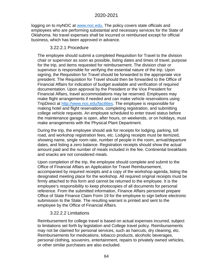logging on to myNOC at www.noc.edu. The policy covers state officials and employees who are performing substantial and necessary services for the State of Oklahoma. No travel expenses shall be incurred or reimbursed except for official business, which has been approved in advance.

### 3.22.2.1 Procedure

The employee should submit a completed Requisition for Travel to the division chair or supervisor as soon as possible, listing dates and times of travel, purpose for the trip, and items requested for reimbursement. The division chair or supervisor is responsible for verifying the essential nature of the trip. Upon signing, the Requisition for Travel should be forwarded to the appropriate vice president. The Requisition for Travel should then be forwarded to the Office of Financial Affairs for indication of budget available and verification of required documentation. Upon approval by the President or the Vice President for Financial Affairs, travel accommodations may be reserved. Employees may make flight arrangements if needed and can make vehicle reservations using TripDirect at [http://www.noc.edu/facilities.](http://www.noc.edu/facilities) The employee is responsible for making hotel and flight reservations, completing registration, and submitting college vehicle requests. An employee scheduled to enter travel status before the maintenance garage is open, after hours, on weekends, or on holidays, must make arrangements with the Physical Plant Department.

During the trip, the employee should ask for receipts for lodging, parking, toll road, and workshop registration fees, etc. Lodging receipts must be itemized, showing name, single room rate, number of people in the room, arrival/departure dates, and listing a zero balance. Registration receipts should show the actual amount paid and the number of meals included in the fee. Continental breakfasts and snacks are not considered meals.

Upon completion of the trip, the employee should complete and submit to the Office of Financial Affairs an Application for Travel Reimbursement, accompanied by required receipts and a copy of the workshop agenda, listing the designated meeting place for the workshop. All required original receipts must be firmly attached to this form and cannot be returned to the employee. It is the employee's responsibility to keep photocopies of all documents for personal reference. From the submitted information, Finance Affairs personnel prepare Office of State Finance Claim Form 19 for the employee to sign before electronic submission to the State. The resulting warrant is printed and sent to the employee by the Office of Financial Affairs.

#### 3.22.2.2 Limitations

Reimbursement for college travel is based on actual expenses incurred, subject to limitations set forth by legislation and College travel policy. Reimbursements may not be claimed for personal services, such as haircuts, dry cleaning, etc. Reimbursements for medications, tobacco products, alcoholic beverages, personal clothing, souvenirs, entertainment, repairs to privately owned vehicles, or other similar purchases are also excluded.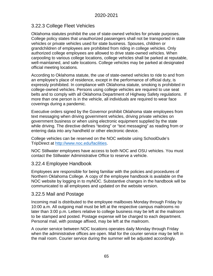# 3.22.3 College Fleet Vehicles

Oklahoma statutes prohibit the use of state-owned vehicles for private purposes. College policy states that unauthorized passengers shall not be transported in state vehicles or private vehicles used for state business. Spouses, children or grandchildren of employees are prohibited from riding in college vehicles. Only authorized college employees are allowed to drive state-owned vehicles. When carpooling to various college locations, college vehicles shall be parked at reputable, well-maintained, and safe locations. College vehicles may be parked at designated official meeting locations.

According to Oklahoma statute, the use of state-owned vehicles to ride to and from an employee's place of residence, except in the performance of official duty, is expressly prohibited. In compliance with Oklahoma statute, smoking is prohibited in college-owned vehicles. Persons using college vehicles are required to use seat belts and to comply with all Oklahoma Department of Highway Safety regulations. If more than one person is in the vehicle, all individuals are required to wear face coverings during a pandemic.

Executive orders signed by the Governor prohibit Oklahoma state employees from text messaging when driving government vehicles, driving private vehicles on government business or when using electronic equipment supplied by the state while driving. The directive defines "texting" or "text messaging" as reading from or entering data into any handheld or other electronic device.

College vehicles can be reserved on the NOC website using SchoolDude's TripDirect at [http://www.noc.edu/facilities.](http://www.noc.edu/facilities)

NOC Stillwater employees have access to both NOC and OSU vehicles. You must contact the Stillwater Administrative Office to reserve a vehicle.

## 3.22.4 Employee Handbook

Employees are responsible for being familiar with the policies and procedures of Northern Oklahoma College. A copy of the employee handbook is available on the NOC website by logging in to myNOC. Substantive changes in the handbook will be communicated to all employees and updated on the website version.

## 3.22.5 Mail and Postage

Incoming mail is distributed to the employee mailboxes Monday through Friday by 10:00 a.m. All outgoing mail must be left at the respective campus mailrooms no later than 3:00 p.m. Letters relative to college business may be left at the mailroom to be stamped and posted. Postage expense will be charged to each department. Personal mail, with postage affixed, may be left at the mailroom.

A courier service between NOC locations operates daily Monday through Friday when the administrative offices are open. Mail for the courier service may be left in the mail room. Courier service during the summer will be adjusted accordingly.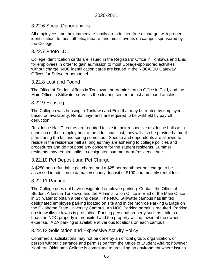# 3.22.6 Social Opportunities

All employees and their immediate family are admitted free of charge, with proper identification, to most athletic, theatre, and music events on campus sponsored by the College.

### 3.22.7 Photo I.D.

College identification cards are issued in the Registrars' Office in Tonkawa and Enid for employees in order to gain admission to most College-sponsored activities without charge. NOC identification cards are issued in the NOC/OSU Gateway Offices for Stillwater personnel.

## 3.22.8 Lost and Found

The Office of Student Affairs in Tonkawa, the Administration Office in Enid, and the Main Office in Stillwater serve as the clearing center for lost and found articles.

#### 3.22.9 Housing

The College owns housing in Tonkawa and Enid that may be rented by employees based on availability. Rental payments are required to be withheld by payroll deduction.

Residence Hall Directors are required to live in their respective residence halls as a condition of their employment at no additional cost; they will also be provided a meal plan during the fall and spring semesters. Spouse and dependents are allowed to reside in the residence hall as long as they are adhering to college policies and procedures and do not pose any concern for the student residents. Summer residents may require shifts to designated summer dorm/residence halls.

## 3.22.10 Pet Deposit and Pet Charge

A \$250 non-refundable pet charge and a \$25 per month per pet charge to be assessed in addition to damage/security deposit of \$100 and monthly rental fee.

## 3.22.11 Parking

The College does not have designated employee parking. Contact the Office of Student Affairs in Tonkawa, and the Administration Office in Enid or the Main Office in Stillwater to obtain a parking decal. The NOC Stillwater campus has limited designated employee parking located on site and in the Monroe Parking Garage on the Oklahoma State University Campus. An NOC Parking permit is required. Parking on sidewalks or lawns is prohibited. Parking personal property such as trailers or boats on NOC property is prohibited and the property will be towed at the owner's expense. ADA parking is available at various locations on each campus.

#### 3.22.12 Solicitation and Expressive Activity Policy

Commercial solicitations may not be done by an official group, organization, or person without clearance and permission from the Office of Student Affairs; however Northern Oklahoma College is committed to providing an environment where issues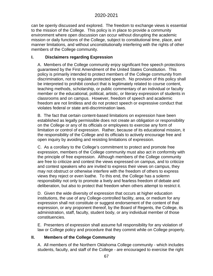can be openly discussed and explored. The freedom to exchange views is essential to the mission of the College. This policy is in place to provide a community environment where open discussion can occur without disrupting the academic mission or daily functions of the College, subject to constitutional time, place, and manner limitations, and without unconstitutionally interfering with the rights of other members of the College community.

# **I. Disclaimers regarding Expression**

A. Members of the College community enjoy significant free speech protections guaranteed by the First Amendment of the United States Constitution. This policy is primarily intended to protect members of the College community from discrimination, not to regulate protected speech. No provision of this policy shall be interpreted to prohibit conduct that is legitimately related to course content, teaching methods, scholarship, or public commentary of an individual or faculty member or the educational, political, artistic, or literary expression of students in classrooms and on campus. However, freedom of speech and academic freedom are not limitless and do not protect speech or expressive conduct that violates federal or state anti-discrimination laws.

B. The fact that certain content-based limitations on expression have been established as legally permissible does not create an obligation or responsibility on the College or any of its officials or employees to exercise any form of limitation or control of expression. Rather, because of its educational mission, it the responsibility of the College and its officials to actively encourage free and open inquiry by avoiding and resisting limitations of expression.

C. As a corollary to the College's commitment to protect and promote free expression, members of the College community must also act in conformity with the principle of free expression. Although members of the College community are free to criticize and contest the views expressed on campus, and to criticize and contest speakers who are invited to express their views on campus, they may not obstruct or otherwise interfere with the freedom of others to express views they reject or even loathe. To this end, the College has a solemn responsibility not only to promote a lively and fearless freedom of debate and deliberation, but also to protect that freedom when others attempt to restrict it.

D. Given the wide diversity of expression that occurs at higher education institutions, the use of any College-controlled facility, area, or medium for any expression shall not constitute or suggest endorsement of the content of that expression, or any proponent thereof, by the Board of Regents, the College, its administration, staff, faculty, student body, or any individual member of those constituencies.

E. Presenters of expression shall assume full responsibility for any violation of law or College policy and procedure that they commit while on College property.

## **II. Members of the College Community**

A. All members of the Northern Oklahoma College community - which includes students, faculty, and staff of the College - are encouraged to exercise the right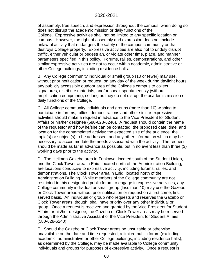of assembly, free speech, and expression throughout the campus, when doing so does not disrupt the academic mission or daily functions of the College. Expressive activities shall not be limited to any specific location on campus. However, the right of assembly and expression does not include unlawful activity that endangers the safety of the campus community or that destroys College property. Expressive activities are also not to unduly disrupt traffic, either vehicular or pedestrian, or violate other time, place, and manner parameters specified in this policy. Forums, rallies, demonstrations, and other similar expressive activities are not to occur within academic, administrative or other College buildings, including residence halls.

B. Any College community individual or small group (10 or fewer) may use, without prior notification or request, on any day of the week during daylight hours, any publicly accessible outdoor area of the College's campus to collect signatures, distribute materials, and/or speak spontaneously (without amplification equipment), so long as they do not disrupt the academic mission or daily functions of the College.

C. All College community individuals and groups (more than 10) wishing to participate in forums, rallies, demonstrations and other similar expressive activities should make a request in advance to the Vice President for Student Affairs or his/her designee (580-628-6240). A request should contain the name of the requestor and how he/she can be contacted; the proposed date, time, and location for the contemplated activity; the expected size of the audience; the topic(s) or subject(s) to be addressed; and any other information which may be necessary to accommodate the needs associated with the activity. The request should be made as far in advance as possible, but in no event less than three (3) working days prior to the activity.

D. The Heilman Gazebo area in Tonkawa, located south of the Student Union, and the Clock Tower area in Enid, located north of the Administration Building, are locations conducive to expressive activity, including forums, rallies, and demonstrations. The Clock Tower area in Enid, located north of the Administration Building While members of the College community are not restricted to this designated public forum to engage in expressive activities, any College community individual or small group (less than 10) may use the Gazebo or Clock Tower areas without prior notification or request on a first come, first served basis. An individual or group who requests and reserves the Gazebo or Clock Tower areas, though, shall have priority over any other individual or group. Once a request is received and granted by the Vice President for Student Affairs or his/her designee, the Gazebo or Clock Tower areas may be reserved through the Administrative Assistant of the Vice President for Student Affairs (580-628-6240).

E. Should the Gazebo or Clock Tower areas be unsuitable or otherwise unavailable on the date and time requested, a limited public forum (excluding academic, administrative or other College buildings, including residence halls), as determined by the College, may be made available to College community individuals and groups for purposes of expressive activity. Once a request is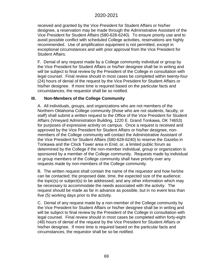received and granted by the Vice President for Student Affairs or his/her designee, a reservation may be made through the Administrative Assistant of the Vice President for Student Affairs (580-628-6240). To ensure priority use and to avoid possible conflict with scheduled College activities, reservations are highly recommended. Use of amplification equipment is not permitted, except in exceptional circumstances and with prior approval from the Vice President for Student Affairs.

F. Denial of any request made by a College community individual or group by the Vice President for Student Affairs or his/her designee shall be in writing and will be subject to final review by the President of the College in consultation with legal counsel. Final review should in most cases be completed within twenty-four (24) hours of denial of the request by the Vice President for Student Affairs or his/her designee. If more time is required based on the particular facts and circumstances, the requestor shall be so notified.

#### **III. Non-Members of the College Community**

A. All individuals, groups, and organizations who are not members of the Northern Oklahoma College community (those who are not students, faculty, or staff) shall submit a written request to the Office of the Vice President for Student Affairs (Vineyard Administration Building, 1220 E. Grand Tonkawa, OK 74653) for purposes of expressive activity on campus. Once a request is received and approved by the Vice President for Student Affairs or his/her designee, nonmembers of the College community will contact the Administrative Assistant of the Vice President for Student Affairs (580-628-6240) to reserve the Gazebo in Tonkawa and the Clock Tower area in Enid, or, a limited public forum as determined by the College if the non-member individual, group or organization is sponsored by a member of the College community. Requests made by individual or group members of the College community shall have priority over any requests made by non-members of the College community.

B. The written request shall contain the name of the requestor and how he/she can be contacted; the proposed date, time, the expected size of the audience; the topic(s) or subject(s) to be addressed; and any other information which may be necessary to accommodate the needs associated with the activity. The request should be made as far in advance as possible, but in no event less than five (5) working days prior to the activity.

C. Denial of any request made by a non-member of the College community by the Vice President for Student Affairs or his/her designee shall be in writing and will be subject to final review by the President of the College in consultation with legal counsel. Final review should in most cases be completed within forty-eight (48) hours of denial of the request by the Vice President for Student Affairs or his/her designee. If more time is required based on the particular facts and circumstances, the requestor shall be so be notified.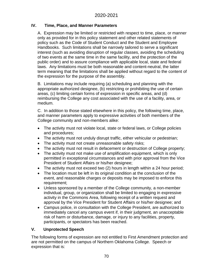### **IV. Time, Place, and Manner Parameters**

A. Expression may be limited or restricted with respect to time, place, or manner only as provided for in this policy statement and other related statements of policy such as the Code of Student Conduct and the Student and Employee Handbooks. Such limitations shall be narrowly tailored to serve a significant interest (such as avoiding disruption of regular classes, avoiding the scheduling of two events at the same time in the same facility, and the protection of the public order) and to assure compliance with applicable local, state and federal laws. Any limitations must be both reasonable and content-neutral, the latter term meaning that the limitations shall be applied without regard to the content of the expression for the purpose of the assembly.

B. Limitations may include requiring (a) scheduling and planning with the appropriate authorized designee, (b) restricting or prohibiting the use of certain areas, (c) limiting certain forms of expression in specific areas, and (d) reimbursing the College any cost associated with the use of a facility, area, or medium.

C. In addition to those stated elsewhere in this policy, the following time, place, and manner parameters apply to expressive activities of both members of the College community and non-members alike:

- The activity must not violate local, state or federal laws, or College policies and procedures;
- The activity must not unduly disrupt traffic, either vehicular or pedestrian;
- The activity must not create unreasonable safety risks;
- The activity must not result in defacement or destruction of College property;
- The activity must not make use of amplification equipment, which is only permitted in exceptional circumstances and with prior approval from the Vice President of Student Affairs or his/her designee;
- The activity must not exceed two (2) hours in length within a 24 hour period;
- The location must be left in its original condition at the conclusion of the event, and reasonable charges or deposits may be imposed to enforce this requirement;
- Unless sponsored by a member of the College community, a non-member individual, group, or organization shall be limited to engaging in expressive activity in the Commons Area, following receipt of a written request and approval by the Vice President for Student Affairs or his/her designee; and
- Campus police, in consultation with the College President, are authorized to immediately cancel any campus event if, in their judgment, an unacceptable risk of harm or disturbance, damage, or injury to any facilities, property, participants, or spectators has been reached.

## **V. Unprotected Speech**

The following forms of expression are not entitled to First Amendment protection and are not permitted on the campus of Northern Oklahoma College. Speech or expression that is: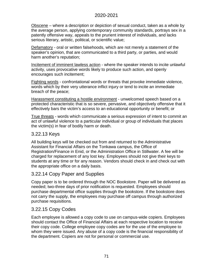Obscene – where a description or depiction of sexual conduct, taken as a whole by the average person, applying contemporary community standards, portrays sex in a patently offensive way, appeals to the prurient interest of individuals, and lacks serious literary, artistic, political, or scientific value;

Defamatory - oral or written falsehoods, which are not merely a statement of the speaker's opinion, that are communicated to a third party, or parties, and would harm another's reputation;

Incitement of imminent lawless action - where the speaker intends to incite unlawful activity, uses provocative words likely to produce such action, and openly encourages such incitement;

Fighting words - confrontational words or threats that provoke immediate violence, words which by their very utterance inflict injury or tend to incite an immediate breach of the peace;

Harassment constituting a hostile environment - unwelcomed speech based on a protected characteristic that is so severe, pervasive, and objectively offensive that it effectively bars the victim's access to an educational opportunity or benefit; or

True threats - words which communicate a serious expression of intent to commit an act of unlawful violence to a particular individual or group of individuals that places the victim(s) in fear of bodily harm or death.

# 3.22.13 Keys

All building keys will be checked out from and returned to the Administrative Assistant for Financial Affairs on the Tonkawa campus, the Office of Registration/Finance in Enid, or the Administration Office in Stillwater. A fee will be charged for replacement of any lost key. Employees should not give their keys to students at any time or for any reason. Vendors should check in and check out with the appropriate office on a daily basis.

# 3.22.14 Copy Paper and Supplies

Copy paper is to be ordered through the NOC Bookstore. Paper will be delivered as needed; two-three days of prior notification is requested. Employees should purchase departmental office supplies through the bookstore. If the bookstore does not carry the supply, the employees may purchase off campus through authorized purchase requisitions.

# 3.22.15 Copy Codes

Each employee is allowed a copy code to use on campus-wide copiers. Employees should contact the Office of Financial Affairs at each respective location to receive their copy code. College employee copy codes are for the use of the employee to whom they were issued. Any abuse of a copy code is the financial responsibility of the department. Copiers are not for personal or commercial use.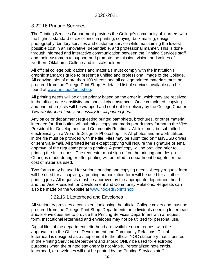# 3.22.16 Printing Services

The Printing Services Department provides the College's community of learners with the highest standard of excellence in printing, copying, bulk mailing, design, photography, bindery services and customer service while maintaining the lowest possible cost in an innovative, dependable, and professional manner. This is done through informed and interactive communication between the Printing Services staff and their customers to support and promote the mission, vision, and values of Northern Oklahoma College and its stakeholders.

All official college publications and materials must comply with the institution's graphic standards guide to present a unified and professional image of the College. All copying jobs of more than 100 sheets and all college printed materials must be procured from the College Print Shop. A detailed list of services available can be found at [www.noc.edu/printshop.](http://www.noc.edu/printshop)

All printing needs will be given priority based on the order in which they are received in the office, date sensitivity and special circumstances. Once completed, copying and printed projects will be wrapped and sent out for delivery by the College Courier. *Two weeks' lead-time is necessary for all printed jobs.*

Any office or department requesting printed pamphlets, brochures, or other material intended for distribution will submit all copy and markup or dummy format to the Vice President for Development and Community Relations. All text must be submitted electronically in a Word, InDesign or Photoshop file. All photos and artwork utilized in the file must be provided with the file. Files may be submitted on flash/USB drives or sent via e-mail. All printed items except copying will require the signature or email approval of the requester prior to printing. A proof copy will be provided prior to printing the full request. The requestor must sign off on the printing and design. Changes made during or after printing will be billed to department budgets for the cost of materials used.

Two forms may be used for various printing and copying needs. A copy request form will be used for all copying; a printing authorization form will be used for all other printing jobs. All requests must be approved by the appropriate department head and the Vice President for Development and Community Relations. Requests can also be made on the website at [www.noc.edu/printshop.](http://www.noc.edu/printshop)

#### 3.22.16.1 Letterhead and Envelopes

All stationery provides a consistent look using the official College colors and must be procured from the College Print Shop. Departments or individuals needing letterhead and/or envelopes are to provide the Printing Services Department with a request form. Institutional letterhead and envelopes may not be utilized for personal use.

Digital files of the department letterhead are available upon request with the approval from the Office of Development and Community Relations. Digital letterhead is designed as a supplement to the official NOC stationery that is printed in the Printing Services Department and should ONLY be used for electronic purposes when the printed stationery is not viable. Personalized note cards, letterhead, or envelopes will not be printed by the Printing Services staff.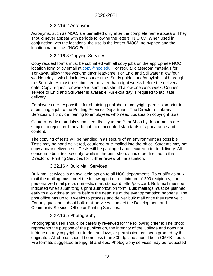### 3.22.16.2 Acronyms

Acronyms, such as NOC, are permitted only after the complete name appears. They should never appear with periods following the letters "N.O.C." When used in conjunction with the locations, the use is the letters "NOC", no hyphen and the location name – as "NOC Enid."

#### 3.22.16.3 Copying Services

Copy request forms must be submitted with all copy jobs on the appropriate NOC location form or by email at [copy@noc.edu.](mailto:copy@noc.edu) For regular classroom materials for Tonkawa, allow three working days' lead-time. For Enid and Stillwater allow four working days, which includes courier time. Study guides and/or syllabi sold through the Bookstores must be submitted no later than eight weeks before the delivery date. Copy request for weekend seminars should allow one work week. Courier service to Enid and Stillwater is available. An extra day is required to facilitate delivery.

Employees are responsible for obtaining publisher or copyright permission prior to submitting a job to the Printing Services Department. The Director of Library Services will provide training to employees who need updates on copyright laws.

Camera-ready materials submitted directly to the Print Shop by departments are subject to rejection if they do not meet accepted standards of appearance and content.

The copying of tests will be handled in as secure of an environment as possible. Tests may be hand delivered, couriered or e-mailed into the office. Students may not copy and/or deliver tests. Tests will be packaged and secured prior to delivery. All concerns about test security, while in the print shop, should be directed to the Director of Printing Services for further review of the situation.

#### 3.22.16.4 Bulk Mail Services

Bulk mail services is an available option to all NOC departments. To qualify as bulk mail the mailing must meet the following criteria: minimum of 200 recipients, nonpersonalized mail piece, domestic mail, standard letter/postcard. Bulk mail must be indicated when submitting a print authorization form. Bulk mailings must be planned early to allow time to arrive before the deadline of the event/promotion happens. The post office has up to 3 weeks to process and deliver bulk mail once they receive it. For any questions about bulk mail services, contact the Development and Community Services Office or Printing Services.

#### 3.22.16.5 Photography

Photographs used should be carefully reviewed for the following criteria: The photo represents the purpose of the publication, the integrity of the College and does not infringe on any copyright or trademark laws, or permission has been granted by the originator. All photos should be no less than 300 dpi and should be in CMYK mode. File formats suggested are jpg, tif and eps. Photography services may be requested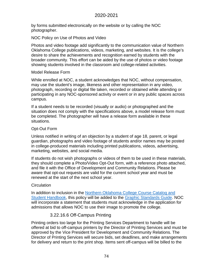by forms submitted electronically on the website or by calling the NOC photographer.

NOC Policy on Use of Photos and Video

Photos and video footage add significantly to the communication value of Northern Oklahoma College publications, videos, marketing, and websites. It is the college's desire to share the achievements and recognition earned by students with the broader community. This effort can be aided by the use of photos or video footage showing students involved in the classroom and college-related activities.

#### Model Release Form

While enrolled at NOC, a student acknowledges that NOC, without compensation, may use the student's image, likeness and other representation in any video, photograph, recording or digital file taken, recorded or obtained while attending or participating in any NOC-sponsored activity or event or in any public spaces across campus.

If a student needs to be recorded (visually or audio) or photographed and the situation does not comply with the specifications above, a model release form must be completed. The photographer will have a release form available in these situations.

#### Opt-Out Form

Unless notified in writing of an objection by a student of age 18, parent, or legal guardian, photographs and video footage of students and/or names may be posted in college-produced materials including printed publications, videos, advertising, marketing, websites, and social media.

If students do not wish photographs or videos of them to be used in these materials, they should complete a Photo/Video Opt-Out form, with a reference photo attached, and file it with the Office of Development and Community Relations. Please be aware that opt-out requests are valid for the current school year and must be renewed at the start of the next school year.

#### **Circulation**

In addition to inclusion in the [Northern Oklahoma College Course Catalog and](http://www.noc.edu/Websites/northok/files/Content/6498880/2019-2020_NOC_Course_Catalog_and_Student_Handbook_12_18_2019.pdf)  [Student Handbook,](http://www.noc.edu/Websites/northok/files/Content/6498880/2019-2020_NOC_Course_Catalog_and_Student_Handbook_12_18_2019.pdf) this policy will be added to the [Graphic Standards Guide.](http://www.noc.edu/Websites/northok/images/NOC-GraphicStandards_7-1-19.pdf) NOC will incorporate a statement that students must acknowledge in the application for admissions that allows NOC to use their image to promote the college.

#### 3.22.16.6 Off-Campus Printing

Printing orders too large for the Printing Services Department to handle will be offered at bid to off-campus printers by the Director of Printing Services and must be approved by the Vice President for Development and Community Relations. The Director of Printing Services will secure bids, set deadlines, and make arrangements for delivery and return to the print shop. Items sent off-campus will be billed to the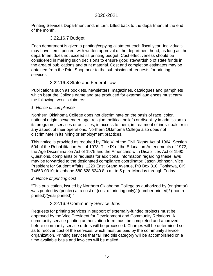Printing Services Department and, in turn, billed back to the department at the end of the month.

### 3.22.16.7 Budget

Each department is given a printing/copying allotment each fiscal year. Individuals may have items printed, with written approval of the department head, as long as the department does not exceed its printing budget. Cost effectiveness should be considered in making such decisions to ensure good stewardship of state funds in the area of publications and print material. Cost and completion estimates may be obtained from the Print Shop prior to the submission of requests for printing services.

#### 3.22.16.8 State and Federal Law

Publications such as booklets, newsletters, magazines, catalogues and pamphlets which bear the College name and are produced for external audiences must carry the following two disclaimers:

#### *1. Notice of compliance*

Northern Oklahoma College does not discriminate on the basis of race, color, national origin, sex/gender, age, religion, political beliefs or disability in admission to its programs, services or activities, in access to them, in treatment of individuals or in any aspect of their operations. Northern Oklahoma College also does not discriminate in its hiring or employment practices.

This notice is provided as required by Title VI of the Civil Rights Act of 1964, Section 504 of the Rehabilitation Act of 1973, Title IX of the Education Amendments of 1972, the Age Discrimination Act of 1975 and the Americans with Disabilities Act of 1990. Questions, complaints or requests for additional information regarding these laws may be forwarded to the designated compliance coordinator: Jason Johnson, Vice President for Student Affairs, 1220 East Grand Avenue, PO Box 310, Tonkawa, OK 74653-0310; telephone 580.628.6240 8 a.m. to 5 p.m. Monday through Friday.

#### *2. Notice of printing cost*

"This publication, issued by Northern Oklahoma College as authorized by (originator) was printed by (printer) at a cost of (cost of printing only)/ (number printed)/ (month printed)/(year printed)."

#### 3.22.16.9 Community Service Jobs

Requests for printing services in support of externally-funded projects must be approved by the Vice President for Development and Community Relations. A community service printing authorization form must be completed and approved before community service orders will be processed. Charges will be determined so as to recover cost of the services, which must be paid by the community service organization. Printing services that fall into this category will be accomplished on a time available basis and invoices will be mailed.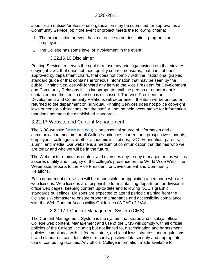Jobs for an outside/professional organization may be submitted for approval as a Community Service job if the event or project meets the following criteria:

- 1. The organization or event has a direct tie to our institution, programs or employees.
- 2. The College has some level of involvement in the event.

#### 3.22.16.10 Disclaimer

Printing Services reserves the right to refuse any printing/copying item that violates copyright laws, that does not meet quality control measures, that has not been approved by department chairs, that does not comply with the institutional graphic standard guide or that contains erroneous information that may be seen by the public. Printing Services will forward any item to the Vice President for Development and Community Relations if it is inappropriate until the person or department is contacted and the item in question is discussed. The Vice President for Development and Community Relations will determine if the item will be printed or returned to the department or individual. Printing Services does not police copyright laws or censor publications, but the staff will not be held accountable for information that does not meet the established standards.

### 3.22.17 Website and Content Management

The NOC website [\(www.noc.edu\)](http://www.noc.edu/) is an essential source of information and a communication medium for all College audiences: current and prospective students, employees, colleagues at other academic institutions, NOC Foundation, parents, alumni and media. Our website is a medium of communication that defines who we are today and who we will be in the future.

The Webmaster maintains content and oversees day-to-day management as well as assures quality and integrity of the college's presence on the World Wide Web. The Webmaster reports to the Vice President for Development and Community Relations.

Each department or division will be responsible for appointing a person(s) who are web liaisons. Web liaisons are responsible for maintaining department or divisional office web pages, keeping content up-to-date and following NOC's graphic standards guidelines. Liaisons are expected to attend periodic training from the College's Webmaster to ensure proper maintenance and accessibility compliance with the Web Content Accessibility Guidelines (WCAG) 2.1/AA.

#### 3.22.17.1 Content Management System (CMS)

The Content Management System is the system that stores and displays official College web content. Management and use of the CMS will comply with all official policies of the College, including but not limited to, discrimination and harassment policies, compliance with all federal, state, and local laws, statutes, and regulations, brand standards, confidentiality of records, positive data security and appropriate use of computing facilities. Any official College information made available to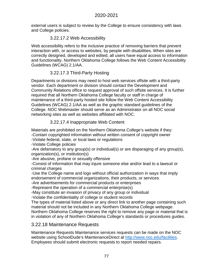external users is subject to review by the College to ensure consistency with laws and College policies.

#### 3.22.17.2 Web Accessibility

Web accessibility refers to the inclusive practice of removing barriers that prevent interaction with, or access to websites, by people with disabilities. When sites are correctly designed, developed and edited, all users have equal access to information and functionality. Northern Oklahoma College follows the Web Content Accessibility Guidelines (WCAG) 2.1/AA.

## 3.22.17.3 Third-Party Hosting

Departments or divisions may need to host web services offsite with a third-party vendor. Each department or division should contact the Development and Community Relations office to request approval of such offsite services. It is further required that all Northern Oklahoma College faculty or staff in charge of maintenance of a third-party hosted site follow the Web Content Accessibility Guidelines (WCAG) 2.1/AA as well as the graphic standard guidelines of the College. NOC Webmaster should serve as an Administrator on all NOC social networking sites as well as websites affiliated with NOC.

## 3.22.17.4 Inappropriate Web Content

Materials are prohibited on the Northern Oklahoma College's website if they: -Contain copyrighted information without written consent of copyright owner

-Violate federal, state, or local laws or regulations

-Violate College policies

-Are defamatory to any group(s) or individual(s) or are disparaging of any group(s), organization(s), or institution(s)

-Are abusive, profane or sexually offensive

-Consist of information that may injure someone else and/or lead to a lawsuit or criminal charges

-Use the College name and logo without official authorization in ways that imply endorsement of commercial organizations, their products, or services

-Are advertisements for commercial products or enterprises

-Represent the operation of a commercial enterprise(s)

-May constitute an invasion of privacy of any group or individual

-Violate the confidentiality of college or student records

The types of material listed above or any direct link to another page containing such material should not be included in any Northern Oklahoma College webpage.

Northern Oklahoma College reserves the right to remove any page or material that is in violation of any of Northern Oklahoma College's standards or procedures guides.

## 3.22.18 Maintenance Requests

Maintenance Requests Maintenance services requests can be made on the NOC website using SchoolDude's MaintenanceDirect at [http://www.noc.edu/facilities.](http://www.noc.edu/facilities) Employees should submit electronic requests to report needed repairs.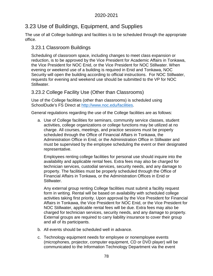# 3.23 Use of Buildings, Equipment, and Supplies

The use of all College buildings and facilities is to be scheduled through the appropriate office.

## 3.23.1 Classroom Buildings

Scheduling of classroom space, including changes to meet class expansion or reduction, is to be approved by the Vice President for Academic Affairs in Tonkawa, the Vice President for NOC Enid, or the Vice President for NOC Stillwater. When evening or weekend use of a building is required in Enid and Tonkawa, NOC Security will open the building according to official instructions. For NOC Stillwater, requests for evening and weekend use should be submitted to the VP for NOC Stillwater.

## 3.23.2 College Facility Use (Other than Classrooms)

Use of the College facilities (other than classrooms) is scheduled using SchoolDude's FS Direct at [http://www.noc.edu/facilities.](http://www.noc.edu/facilities)

General regulations regarding the use of the College facilities are as follows:

a. Use of College facilities for seminars, community service classes, student activities, college organizations or college functions may be utilized at no charge. All courses, meetings, and practice sessions must be properly scheduled through the Office of Financial Affairs in Tonkawa, the Administration Office in Enid, or the Administration Office in Stillwater and must be supervised by the employee scheduling the event or their designated representative.

Employees renting college facilities for personal use should inquire into the availability and applicable rental fees. Extra fees may also be charged for technician services, custodial services, security needs, and any damage to property. The facilities must be properly scheduled through the Office of Financial Affairs in Tonkawa, or the Administration Offices in Enid or Stillwater.

Any external group renting College facilities must submit a facility request form in writing. Rental will be based on availability with scheduled college activities taking first priority. Upon approval by the Vice President for Financial Affairs in Tonkawa, the Vice President for NOC Enid, or the Vice President for NOC Stillwater, applicable rental fees will be due. Extra fees may also be charged for technician services, security needs, and any damage to property. External groups are required to carry liability insurance to cover their group and all of its participants.

- b. All events should be scheduled well in advance.
- c. Technology equipment needs for employee or nonemployee events (microphones, projector, computer equipment, CD or DVD player) will be communicated to the Information Technology Department via the event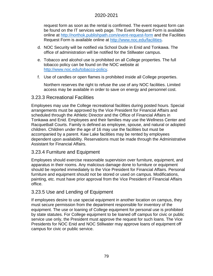request form as soon as the rental is confirmed. The event request form can be found on the IT services web page. The Event Request Form is available online at<http://northok.publishpath.com/event-request-form> and the Facilities Request Form is available online at [http://www.noc.edu/facilities.](http://www.noc.edu/facilities)

- d. NOC Security will be notified via School Dude in Enid and Tonkawa. The office of administration will be notified for the Stillwater campus.
- e. Tobacco and alcohol use is prohibited on all College properties. The full tobacco policy can be found on the NOC website at [http://www.noc.edu/tobacco-policy.](http://www.noc.edu/tobacco-policy)
- f. Use of candles or open flames is prohibited inside all College properties.

Northern reserves the right to refuse the use of any NOC facilities. Limited access may be available in order to save on energy and personnel cost.

### 3.23.3 Recreational Facilities

Employees may use the College recreational facilities during posted hours. Special arrangements must be approved by the Vice President for Financial Affairs and scheduled through the Athletic Director and the Office of Financial Affairs in Tonkawa and Enid. Employees and their families may use the Wellness Center and Racquetball Courts. Family is defined as employee, spouse, and natural or adopted children. Children under the age of 16 may use the facilities but must be accompanied by a parent. Kaw Lake facilities may be rented by employees dependent upon availability. Reservations must be made through the Administrative Assistant for Financial Affairs.

## 3.23.4 Furniture and Equipment

Employees should exercise reasonable supervision over furniture, equipment, and apparatus in their rooms. Any malicious damage done to furniture or equipment should be reported immediately to the Vice President for Financial Affairs. Personal furniture and equipment should not be stored or used on campus. Modifications, painting, etc. must have prior approval from the Vice President of Financial Affairs office.

## 3.23.5 Use and Lending of Equipment

If employees desire to use special equipment in another location on campus, they must secure permission from the department responsible for inventory of the equipment. The use or loaning of College equipment for personal use is prohibited by state statutes. For College equipment to be loaned off campus for civic or public service use only, the President must approve the request for such loans. The Vice Presidents for NOC Enid and NOC Stillwater may approve loans of equipment off campus for civic or public service.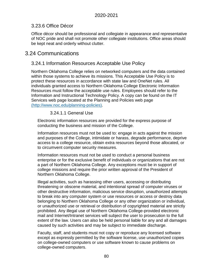## 3.23.6 Office Décor

Office décor should be professional and collegiate in appearance and representative of NOC pride and shall not promote other collegiate institutions. Office areas should be kept neat and orderly without clutter.

# 3.24 Communications

#### 3.24.1 Information Resources Acceptable Use Policy

Northern Oklahoma College relies on networked computers and the data contained within those systems to achieve its missions. This Acceptable Use Policy is to protect these resources in accordance with state law and OneNet rules. All individuals granted access to Northern Oklahoma College Electronic Information Resources must follow the acceptable use rules. Employees should refer to the Information and Instructional Technology Policy. A copy can be found on the IT Services web page located at the [Planning and Policies web page](http://www.noc.edu/planning-policies)  [\(http://www.noc.edu/planning-policies\).](http://www.noc.edu/planning-policies)

#### 3.24.1.1 General Use

Electronic information resources are provided for the express purpose of conducting the business and mission of the College.

Information resources must not be used to: engage in acts against the mission and purposes of the College, intimidate or harass, degrade performance, deprive access to a college resource, obtain extra resources beyond those allocated, or to circumvent computer security measures.

Information resources must not be used to conduct a personal business enterprise or for the exclusive benefit of individuals or organizations that are not a part of Northern Oklahoma College. Any exceptions must be in support of college missions and require the prior written approval of the President of Northern Oklahoma College.

Illegal activities, such as harassing other users, accessing or distributing threatening or obscene material, and intentional spread of computer viruses or other destructive information, malicious service disruption, unauthorized attempts to break into any computer system or use resources or access or destroy data belonging to Northern Oklahoma College or any other organization or individual, or unauthorized use or retrieval or distribution of copyrighted material are strictly prohibited. Any illegal use of Northern Oklahoma College-provided electronic mail and Internet/Intranet services will subject the user to prosecution to the full extent of the law. Users can also be held personal liable for any and all damages caused by such activities and may be subject to immediate discharge.

Faculty, staff, and students must not copy or reproduce any licensed software except as expressly permitted by the software license, use unauthorized copies on college-owned computers or use software known to cause problems on college-owned computers.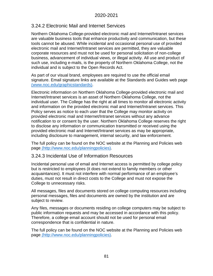## 3.24.2 Electronic Mail and Internet Services

Northern Oklahoma College-provided electronic mail and Internet/Intranet services are valuable business tools that enhance productivity and communication, but these tools cannot be abused. While incidental and occasional personal use of provided electronic mail and Internet/Intranet services are permitted, they are valuable corporate resources and must not be used for personal solicitation of non-college business, advancement of individual views, or illegal activity. All use and product of such use, including e-mails, is the property of Northern Oklahoma College, not the individual and is subject to the Open Records Act.

As part of our visual brand, employees are required to use the official email signature. Email signature links are available at the [Standards and Guides web page](http://www.noc.edu/graphicstandards)  [\(www.noc.edu/graphicstandards\).](http://www.noc.edu/graphicstandards)

Electronic information on Northern Oklahoma College-provided electronic mail and Internet/Intranet services is an asset of Northern Oklahoma College, not the individual user. The College has the right at all times to monitor all electronic activity and information on the provided electronic mail and Internet/Intranet services. This Policy serves as notice to each user that the College may monitor activity on provided electronic mail and Internet/Intranet services without any advance notification to or consent by the user. Northern Oklahoma College reserves the right to disclose any information or communication transmitted or received using the provided electronic mail and Internet/Intranet services as may be appropriate, including disclosure to management, internal security, and law enforcement.

The full policy can be found on the NOC website at the [Planning and Policies web](http://www.noc.edu/planningpolicies)  page [\(http://www.noc.edu/planningpolicies\).](http://www.noc.edu/planningpolicies)

#### 3.24.3 Incidental Use of Information Resources

Incidental personal use of email and Internet access is permitted by college policy but is restricted to employees (it does not extend to family members or other acquaintances). It must not interfere with normal performance of an employee's duties, must not result in direct costs to the College and must not expose the College to unnecessary risks.

All messages, files and documents stored on college computing resources including personal messages, files and documents are owned by the institution and are subject to review.

Any files, messages or documents residing on college computers may be subject to public information requests and may be accessed in accordance with this policy. Therefore, a college email account should not be used for personal email correspondence that is confidential in nature.

The full policy can be found on the NOC website at the Planning and Policies web page (http://www.noc.edu/planningpolicies).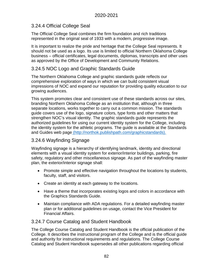## 3.24.4 Official College Seal

The Official College Seal combines the firm foundation and rich traditions represented in the original seal of 1933 with a modern, progressive image.

It is important to realize the pride and heritage that the College Seal represents. It should not be used as a logo. Its use is limited to official Northern Oklahoma College business – official certificates, legal documents, diplomas, transcripts and other uses as approved by the Office of Development and Community Relations.

## 3.24.5 NOC Logo and Graphic Standards Guide

The Northern Oklahoma College and graphic standards guide reflects our comprehensive exploration of ways in which we can build consistent visual impressions of NOC and expand our reputation for providing quality education to our growing audiences.

This system promotes clear and consistent use of these standards across our sites, branding Northern Oklahoma College as an institution that, although in three separate locations, works together to carry out a common mission. The standards guide covers use of the logo, signature colors, type fonts and other matters that strengthen NOC's visual identity. The graphic standards guide represents the authorized guidelines for using our current identity system for the College, including the identity system for the athletic programs. The guide is available at the [Standards](http://northok.publishpath.com/graphicstandards)  and Guides web page [\(http://northok.publishpath.com/graphicstandards\).](http://northok.publishpath.com/graphicstandards)

## 3.24.6 Wayfinding Signage

Wayfinding signage is a hierarchy of identifying landmark, identity and directional elements with a visual identity system for exterior/interior buildings, parking, fire safety, regulatory and other miscellaneous signage. As part of the wayfinding master plan, the exterior/interior signage shall:

- Promote simple and effective navigation throughout the locations by students, faculty, staff, and visitors.
- Create an identity at each gateway to the locations.
- Have a theme that incorporates existing logos and colors in accordance with the Graphics Standards Guide.
- Maintain compliance with ADA regulations. For a detailed wayfinding master plan or for additional guidelines on usage, contact the Vice President for Financial Affairs.

## 3.24.7 Course Catalog and Student Handbook

The College Course Catalog and Student Handbook is the official publication of the College. It describes the instructional program of the College and is the official guide and authority for instructional requirements and regulations. The College Course Catalog and Student Handbook supersedes all other publications regarding official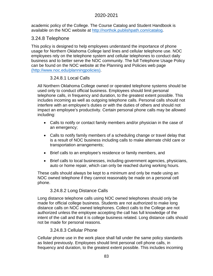academic policy of the College. The Course Catalog and Student Handbook is available on the NOC website at [http://northok.publishpath.com/catalog.](http://northok.publishpath.com/catalog)

#### 3.24.8 Telephone

This policy is designed to help employees understand the importance of phone usage for Northern Oklahoma College land lines and cellular telephone use. NOC employees rely on the telephone system and cellular telephones to conduct daily business and to better serve the NOC community. The full Telephone Usage Policy can be found on the NOC website at the [Planning and Policies web page](http://www.noc.edu/planningpolicies)  [\(http://www.noc.edu/planningpolicies\).](http://www.noc.edu/planningpolicies)

#### 3.24.8.1 Local Calls

All Northern Oklahoma College owned or operated telephone systems should be used only to conduct official business. Employees should limit personal telephone calls, in frequency and duration, to the greatest extent possible. This includes incoming as well as outgoing telephone calls. Personal calls should not interfere with an employee's duties or with the duties of others and should not impact an employee's productivity. Certain personal phone calls may be allowed including:

- Calls to notify or contact family members and/or physician in the case of an emergency;
- Calls to notify family members of a scheduling change or travel delay that is a result of NOC business including calls to make alternate child care or transportation arrangements;
- Brief calls to an employee's residence or family members, and
- Brief calls to local businesses, including government agencies, physicians, auto or home repair, which can only be reached during working hours.

These calls should always be kept to a minimum and only be made using an NOC owned telephone if they cannot reasonably be made on a personal cell phone.

#### 3.24.8.2 Long Distance Calls

Long distance telephone calls using NOC owned telephones should only be made for official college business. Students are not authorized to make long distance calls on NOC owned telephones. Collect calls to the College are not authorized unless the employee accepting the call has full knowledge of the intent of the call and that it is college business related. Long distance calls should not be made for personal reasons.

#### 3.24.8.3 Cellular Phone

Cellular phone use in the work place shall fall under the same policy standards as listed previously. Employees should limit personal cell phone calls, in frequency and duration, to the greatest extent possible. This includes incoming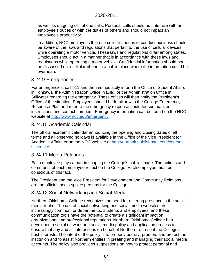as well as outgoing cell phone calls. Personal calls should not interfere with an employee's duties or with the duties of others and should not impact an employee's productivity.

In addition, NOC employees that use cellular phones to conduct business should be aware of the laws and regulations that pertain to the use of cellular devices while operating a motor vehicle. These laws and regulations differ among states. Employees should act in a manner that is in accordance with these laws and regulations while operating a motor vehicle. Confidential information should not be discussed on a cellular phone in a public place where the information could be overheard.

#### 3.24.9 Emergencies

For emergencies, call 911 and then immediately inform the Office of Student Affairs in Tonkawa, the Administration Office in Enid, or the Administration Office in Stillwater regarding the emergency. These offices will then notify the President's Office of the situation. Employees should be familiar with the College Emergency Response Plan and refer to the emergency response guide for summarized instructions and contact numbers. Emergency information can be found on the NOC website at [http://www.noc.edu/emergency.](http://www.noc.edu/emergency)

### 3.24.10 Academic Calendar

The official academic calendar announcing the opening and closing dates of all terms and all observed holidays is available in the Office of the Vice President for Academic Affairs or on the NOC website at [http://northok.publishpath.com/course](http://northok.publishpath.com/course-schedules)[schedules.](http://northok.publishpath.com/course-schedules)

#### 3.24.11 Media Relations

Each employee plays a part in shaping the College's public image. The actions and comments of each employee reflect on the College. Each employee must be conscious of this fact.

The President and the Vice President for Development and Community Relations are the official media spokespersons for the College.

#### 3.24.12 Social Networking and Social Media

Northern Oklahoma College recognizes the need for a strong presence in the social media realm. The use of social networking and social media websites are increasingly common for departments, students and employees, and these communication tools have the potential to create a significant impact on organizational and professional reputations. Northern Oklahoma College has developed a social network and social media policy and application process to ensure that any and all interactions on behalf of Northern represent the College's best interests. The intent of the policy is to properly portray, promote and protect the institution and to assist Northern entities in creating and managing their social media accounts. The policy also provides suggestions on how to protect personal and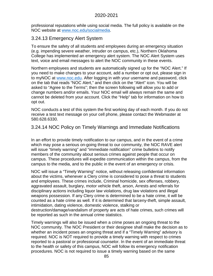professional reputations while using social media. The full policy is available on the NOC website at [www.noc.edu/socialmedia.](http://www.noc.edu/socialmedia)

#### 3.24.13 Emergency Alert System

To ensure the safety of all students and employees during an emergency situation (e.g. impending severe weather, intruder on campus, etc.), Northern Oklahoma College has implemented an emergency alert system. The NOC Alert System uses text, voice and email messages to alert the NOC community in these events.

Northern employees and students are automatically signed up for the "NOC Alert." If you need to make changes to your account, add a number or opt out, please sign in to myNOC at www.noc.edu. After logging in with your username and password, click on the tab that reads "NOC Alert," and then click on the "Alert" icon. You will be asked to "Agree to the Terms"; then the screen following will allow you to add or change numbers and/or emails. Your NOC email will always remain the same and cannot be deleted from your account. Click the "Help" tab for information on how to opt out.

NOC conducts a test of this system the first working day of each month. If you do not receive a test text message on your cell phone, please contact the Webmaster at 580.628.6330.

3.24.14 NOC Policy on Timely Warnings and Immediate Notifications

In an effort to provide timely notification to our campus, and in the event of a crime which may pose a serious on-going threat to our community, the NOC RAVE alert will issue "timely warning" and "immediate notification" crime bulletins to notify members of the community about serious crimes against people that occur on campus. These procedures will expedite communication within the campus, from the campus to the media, and to the public in the event of an emergency or crisis.

NOC will issue a "Timely Warning" notice, without releasing confidential information about the victims, whenever a Clery crime is considered to pose a threat to students and employees. These crimes include, Criminal homicide, sex offenses, robbery, aggravated assault, burglary, motor vehicle theft, arson, Arrests and referrals for disciplinary actions including liquor law violations, drug law violations and illegal weapons possession. If any Clery crime is determined to be a hate crime, it will be counted as a hate crime as well. If it is determined that larceny-theft, simple assault, intimidation, dating violence, domestic violence, stalking or destruction/damage/vandalism of property are acts of hate crimes, such crimes will be reported as such in the annual crime statistics.

Timely warnings will also be issued when a crime poses an ongoing threat to the NOC community. The NOC President or their designee shall make the decision as to whether an incident poses an ongoing threat and if a "Timely Warning" advisory is required. NOC is NOT required to provide a timely warning with respect to crimes reported to a pastoral or professional counselor. In the event of an immediate threat to the health or safety of this campus, NOC will follow its emergency notification procedures. NOC is not required to issue a timely warning based on the same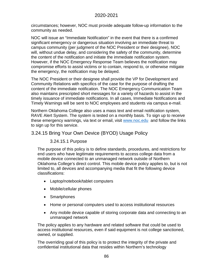circumstances; however, NOC must provide adequate follow-up information to the community as needed.

NOC will issue an "Immediate Notification" in the event that there is a confirmed significant emergency or dangerous situation involving an immediate threat to campus community (per judgment of the NOC President or their designee), NOC will, without undue delay, and considering the safety of the community, determine the content of the notification and initiate the immediate notification system. However, if the NOC Emergency Response Team believes the notification may compromise efforts to assist victims or to contain, respond to, or otherwise mitigate the emergency, the notification may be delayed.

The NOC President or their designee shall provide the VP for Development and Community Relations with specifics of the case for the purpose of drafting the content of the immediate notification. The NOC Emergency Communication Team also maintains prescripted short messages for a variety of hazards to assist in the timely issuance of immediate notifications. In all cases, Immediate Notifications and Timely Warnings will be sent to NOC employees and students via campus e-mail.

Northern Oklahoma College also uses a mass text and email notification system, RAVE Alert System. The system is tested on a monthly basis. To sign up to receive these emergency warnings, via text or email, visit [www.noc.edu](http://www.noc.edu/) and follow the links to sign up for this service.

### 3.24.15 Bring Your Own Device (BYOD) Usage Policy

#### 3.24.15.1 Purpose

The purpose of this policy is to define standards, procedures, and restrictions for end users who have legitimate requirements to access college data from a mobile device connected to an unmanaged network outside of Northern Oklahoma College's direct control. This mobile device policy applies to, but is not limited to, all devices and accompanying media that fit the following device classifications:

- Laptop/notebook/tablet computers
- Mobile/cellular phones
- Smartphones
- Home or personal computers used to access institutional resources
- Any mobile device capable of storing corporate data and connecting to an unmanaged network

The policy applies to any hardware and related software that could be used to access institutional resources, even if said equipment is not college sanctioned, owned, or supplied.

The overriding goal of this policy is to protect the integrity of the private and confidential institutional data that resides within Northern's technology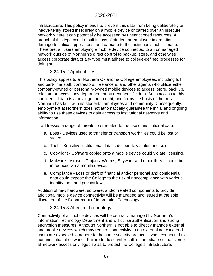infrastructure. This policy intends to prevent this data from being deliberately or inadvertently stored insecurely on a mobile device or carried over an insecure network where it can potentially be accessed by unsanctioned resources. A breach of this type could result in loss of student or employee information, damage to critical applications, and damage to the institution's public image. Therefore, all users employing a mobile device connected to an unmanaged network outside of Northern's direct control to backup, store, and otherwise access corporate data of any type must adhere to college-defined processes for doing so.

#### 3.24.15.2 Applicability

This policy applies to all Northern Oklahoma College employees, including full and part-time staff, contractors, freelancers, and other agents who utilize either company-owned or personally-owned mobile devices to access, store, back up, relocate or access any department or student-specific data. Such access to this confidential data is a privilege, not a right, and forms the basis of the trust Northern has built with its students, employees and community. Consequently, employment at Northern does not automatically guarantee the initial and ongoing ability to use these devices to gain access to institutional networks and information.

It addresses a range of threats to or related to the use of institutional data:

- a. Loss Devices used to transfer or transport work files could be lost or stolen.
- b. Theft Sensitive institutional data is deliberately stolen and sold.
- c. Copyright Software copied onto a mobile device could violate licensing.
- d. Malware Viruses, Trojans, Worms, Spyware and other threats could be introduced via a mobile device.
- e. Compliance Loss or theft of financial and/or personal and confidential data could expose the College to the risk of noncompliance with various identity theft and privacy laws.

Addition of new hardware, software, and/or related components to provide additional mobile device connectivity will be managed and issued at the sole discretion of the Department of Information Technology.

#### 3.24.15.3 Affected Technology

Connectivity of all mobile devices will be centrally managed by Northern's Information Technology Department and will utilize authentication and strong encryption measures. Although Northern is not able to directly manage external and mobile devices which may require connectivity to an external network, end users are expected to adhere to the same security protocols when connected to non-institutional networks. Failure to do so will result in immediate suspension of all network access privileges so as to protect the College's infrastructure.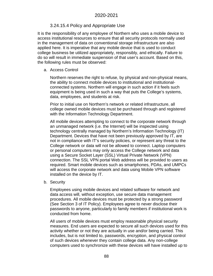#### 3.24.15.4 Policy and Appropriate Use

It is the responsibility of any employee of Northern who uses a mobile device to access institutional resources to ensure that all security protocols normally used in the management of data on conventional storage infrastructure are also applied here. It is imperative that any mobile device that is used to conduct college business be utilized appropriately, responsibly, and ethically. Failure to do so will result in immediate suspension of that user's account. Based on this, the following rules must be observed:

#### a. Access Control

Northern reserves the right to refuse, by physical and non-physical means, the ability to connect mobile devices to institutional and institutionalconnected systems. Northern will engage in such action if it feels such equipment is being used in such a way that puts the College's systems, data, employees, and students at risk.

Prior to initial use on Northern's network or related infrastructure, all college owned mobile devices must be purchased through and registered with the Information Technology Department.

All mobile devices attempting to connect to the corporate network through an unmanaged network (i.e. the Internet) will be inspected using technology centrally managed by Northern's Information Technology (IT) Department. Devices that have not been previously approved by IT, are not in compliance with IT's security policies, or represent any threat to the College network or data will not be allowed to connect. Laptop computers or personal computers may only access the College network and data using a Secure Socket Layer (SSL) Virtual Private Network (VPN) connection. The SSL VPN portal Web address will be provided to users as required. Smart mobile devices such as smartphones, PDAs, and UMPCs will access the corporate network and data using Mobile VPN software installed on the device by IT.

#### b. Security

Employees using mobile devices and related software for network and data access will, without exception, use secure data management procedures. All mobile devices must be protected by a strong password (See Section 3 of IT Policy). Employees agree to never disclose their passwords to anyone, particularly to family members if institutional work is conducted from home.

All users of mobile devices must employ reasonable physical security measures. End users are expected to secure all such devices used for this activity whether or not they are actually in use and/or being carried. This includes, but is not limited to, passwords, encryption, and physical control of such devices whenever they contain college data. Any non-college computers used to synchronize with these devices will have installed up to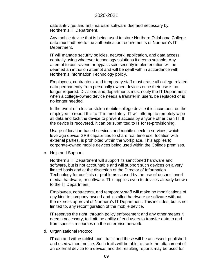date anti-virus and anti-malware software deemed necessary by Northern's IT Department.

Any mobile device that is being used to store Northern Oklahoma College data must adhere to the authentication requirements of Northern's IT Department.

IT will manage security policies, network, application, and data access centrally using whatever technology solutions it deems suitable. Any attempt to contravene or bypass said security implementation will be deemed an intrusion attempt and will be dealt with in accordance with Northern's Information Technology policy.

Employees, contractors, and temporary staff must erase all college related data permanently from personally owned devices once their use is no longer required. Divisions and departments must notify the IT Department when a college-owned device needs a transfer in users, be replaced or is no longer needed.

In the event of a lost or stolen mobile college device it is incumbent on the employee to report this to IT immediately. IT will attempt to remotely wipe all data and lock the device to prevent access by anyone other than IT. If the device is recovered, it can be submitted to IT for re-provisioning.

Usage of location-based services and mobile check-in services, which leverage device GPS capabilities to share real-time user location with external parties, is prohibited within the workplace. This applies to corporate-owned mobile devices being used within the College premises.

c. Help and Support

Northern's IT Department will support its sanctioned hardware and software, but is not accountable and will support such devices on a very limited basis and at the discretion of the Director of Information Technology for conflicts or problems caused by the use of unsanctioned media, hardware, or software. This applies even to devices already known to the IT Department.

Employees, contractors, and temporary staff will make no modifications of any kind to company-owned and installed hardware or software without the express approval of Northern's IT Department. This includes, but is not limited to, any reconfiguration of the mobile device.

IT reserves the right, through policy enforcement and any other means it deems necessary, to limit the ability of end users to transfer data to and from specific resources on the enterprise network.

d. Organizational Protocol

IT can and will establish audit trails and these will be accessed, published and used without notice. Such trails will be able to track the attachment of an external device to a device, and the resulting reports may be used for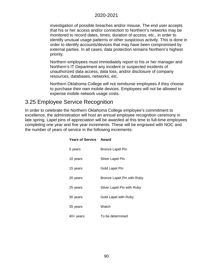investigation of possible breaches and/or misuse. The end user accepts that his or her access and/or connection to Northern's networks may be monitored to record dates, times, duration of access, etc., in order to identify unusual usage patterns or other suspicious activity. This is done in order to identify accounts/devices that may have been compromised by external parties. In all cases, data protection remains Northern's highest priority.

Northern employees must immediately report to his or her manager and Northern's IT Department any incident or suspected incidents of unauthorized data access, data loss, and/or disclosure of company resources, databases, networks, etc.

Northern Oklahoma College will not reimburse employees if they choose to purchase their own mobile devices. Employees will not be allowed to expense mobile network usage costs.

# 3.25 Employee Service Recognition

In order to celebrate the Northern Oklahoma College employee's commitment to excellence, the administration will host an annual employee recognition ceremony in late spring. Lapel pins of appreciation will be awarded at this time to full-time employees completing one year and five year increments. These will be engraved with NOC and the number of years of service in the following increments:

| <b>Years of Service Award</b> |                            |
|-------------------------------|----------------------------|
| 5 years                       | Bronze Lapel Pin           |
| 10 years                      | Silver Lapel Pin           |
| 15 years                      | Gold Lapel Pin             |
| 20 years                      | Bronze Lapel Pin with Ruby |
| 25 years                      | Silver Lapel Pin with Ruby |
| 30 years                      | Gold Lapel with Ruby       |
| 35 years                      | Watch                      |
| 40+ years                     | To be determined           |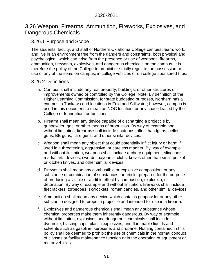## 3.26 Weapon, Firearms, Ammunition, Fireworks, Explosives, and Dangerous Chemicals

## 3.26.1 Purpose and Scope

The students, faculty, and staff of Northern Oklahoma College can best learn, work, and live in an environment free from the dangers and constraints, both physical and psychological, which can arise from the presence or use of weapons, firearms, ammunition, fireworks, explosives, and dangerous chemicals on the campus. It is therefore the policy of the College to prohibit or strictly regulate the possession or use of any of the items on campus, in college vehicles or on college-sponsored trips.

#### 3.26.2 Definitions

- a. Campus shall include any real property, buildings, or other structures or improvements owned or controlled by the College. Note: By definition of the Higher Learning Commission, for state budgeting purposes, Northern has a campus in Tonkawa and locations in Enid and Stillwater; however, campus is used in this document to mean an NOC location, or any space leased by the College or foundation for functions.
- b. Firearm shall mean any device capable of discharging a projectile by gunpowder, gas, or other means of propulsion. By way of example and without limitation, firearms shall include shotguns, rifles, handguns, pellet guns, BB guns, flare guns, and other similar devices.
- c. Weapon shall mean any object that could potentially inflict injury or harm if used in a threatening, aggressive, or careless manner. By way of example and without limitation, weapons shall include archery equipment, slingshots, martial arts devices, swords, bayonets, clubs, knives other than small pocket or kitchen knives, and other similar devices.
- d. Fireworks shall mean any combustible or explosive composition, or any substance or combination of substances, or article, prepared for the purpose of producing a visible or audible effect by combustion, explosion, or detonation. By way of example and without limitation, fireworks shall include firecrackers, torpedoes, skyrockets, roman candles, and other similar devices.
- e. Ammunition shall mean any device which contains gunpowder or any other substance designed to propel a projectile and intended for use in a firearm.
- f. Explosives and dangerous chemicals shall mean any substance whose chemical properties make them inherently dangerous. By way of example without limitation, explosives and dangerous chemicals shall include dynamite, blasting caps, plastic explosives, and flammable liquids and solvents such as gasoline, kerosene, and propane. Nothing contained in this policy shall be deemed to prohibit the use of chemicals in the normal conduct of classes or facility maintenance function or in the operation of equipment or motor vehicles.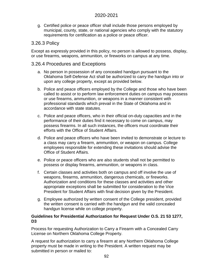g. Certified police or peace officer shall include those persons employed by municipal, county, state, or national agencies who comply with the statutory requirements for certification as a police or peace officer.

#### 3.26.3 Policy

Except as expressly provided in this policy, no person is allowed to possess, display, or use firearms, weapons, ammunition, or fireworks on campus at any time.

#### 3.26.4 Procedures and Exceptions

- a. No person in possession of any concealed handgun pursuant to the Oklahoma Self-Defense Act shall be authorized to carry the handgun into or upon any college property, except as provided below.
- b. Police and peace officers employed by the College and those who have been called to assist or to perform law enforcement duties on campus may possess or use firearms, ammunition, or weapons in a manner consistent with professional standards which prevail in the State of Oklahoma and in accordance with state statutes.
- c. Police and peace officers, who in their official on-duty capacities and in the performance of their duties find it necessary to come on campus, may possess firearms. In all such instances, the officers must coordinate their efforts with the Office of Student Affairs.
- d. Police and peace officers who have been invited to demonstrate or lecture to a class may carry a firearm, ammunition, or weapon on campus. College employees responsible for extending these invitations should advise the Office of Student Affairs.
- e. Police or peace officers who are also students shall not be permitted to possess or display firearms, ammunition, or weapons in class.
- f. Certain classes and activities both on campus and off involve the use of weapons, firearms, ammunition, dangerous chemicals, or fireworks. Authorization and conditions for these classes and activities and other appropriate exceptions shall be submitted for consideration to the Vice President for Student Affairs with final decision given by the President.
- g. Employee authorized by written consent of the College president, provided the written consent is carried with the handgun and the valid concealed handgun license while on college property.

#### **Guidelines for Presidential Authorization for Request Under O.S. 21 53 1277, D3**

Process for requesting Authorization to Carry a Firearm with a Concealed Carry License on Northern Oklahoma College Property.

A request for authorization to carry a firearm at any Northern Oklahoma College property must be made in writing to the President. A written request may be submitted in person or mailed to: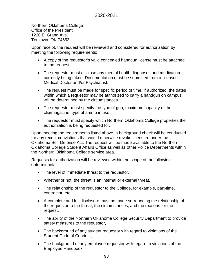Northern Oklahoma College Office of the President 1220 E. Grand Ave. Tonkawa, OK 74653

Upon receipt, the request will be reviewed and considered for authorization by meeting the following requirements:

- A copy of the requestor's valid concealed handgun license must be attached to the request.
- The requestor must disclose any mental health diagnoses and medication currently being taken. Documentation must be submitted from a licensed Medical Doctor and/or Psychiatrist.
- The request must be made for specific period of time. If authorized, the dates within which a requestor may be authorized to carry a handgun on campus will be determined by the circumstances.
- The requestor must specify the type of gun, maximum capacity of the clip/magazine, type of ammo in use.
- The requestor must specify which Northern Oklahoma College properties the authorization is being requested for.

Upon meeting the requirements listed above, a background check will be conducted for any recent convictions that would otherwise revoke licensure under the Oklahoma Self-Defense Act. The request will be made available to the Northern Oklahoma College Student Affairs Office as well as other Police Departments within the Northern Oklahoma College service area.

Requests for authorization will be reviewed within the scope of the following determinants:

- The level of immediate threat to the requestor,
- Whether or not, the threat is an internal or external threat,
- The relationship of the requestor to the College, for example, part-time, contractor, etc.
- A complete and full disclosure must be made surrounding the relationship of the requestor to the threat, the circumstances, and the reasons for the request,
- The ability of the Northern Oklahoma College Security Department to provide safety measures to the requestor,
- The background of any student requestor with regard to violations of the Student Code of Conduct,
- The background of any employee requestor with regard to violations of the Employee Handbook.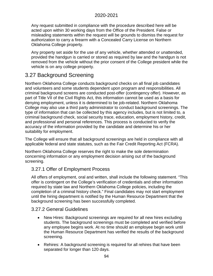Any request submitted in compliance with the procedure described here will be acted upon within 30 working days from the Office of the President. False or misleading statements within the request will be grounds to dismiss the request for authorization to carry a firearm with a Concealed Carry License on Northern Oklahoma College property.

Any property set aside for the use of any vehicle, whether attended or unattended, provided the handgun is carried or stored as required by law and the handgun is not removed from the vehicle without the prior consent of the College president while the vehicle is on any college property.

# 3.27 Background Screening

Northern Oklahoma College conducts background checks on all final job candidates and volunteers and some students dependent upon program and responsibilities. All criminal background screens are conducted post-offer (contingency offer). However, as part of Title VII of the Civil Rights Act, this information cannot be used as a basis for denying employment, unless it is determined to be job-related. Northern Oklahoma College may also use a third party administrator to conduct background screenings. The type of information that can be collected by this agency includes, but is not limited to, a criminal background check, social security trace, education, employment history, credit, and professional and personal references. This process is conducted to verify the accuracy of the information provided by the candidate and determine his or her suitability for employment.

The College will ensure that all background screenings are held in compliance with all applicable federal and state statutes, such as the Fair Credit Reporting Act (FCRA).

Northern Oklahoma College reserves the right to make the sole determination concerning information or any employment decision arising out of the background screening.

## 3.27.1 Offer of Employment Process

All offers of employment, oral and written, shall include the following statement. "This offer is contingent on the College's verification of credentials and other information required by state law and Northern Oklahoma College policies, including the completion of a criminal history check." Final candidates may not start employment until the hiring department is notified by the Human Resource Department that the background screening has been successfully completed.

#### 3.27.2 General Guidelines

- New Hires: Background screenings are required for all new hires excluding students. The background screenings must be completed and verified before any employee begins work. At no time should an employee begin work until the Human Resource Department has verified the results of the background screening.
- Rehires: A background screening is required for all rehires that have been separated for longer than 120 days.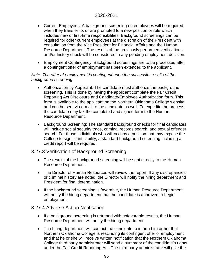- Current Employees: A background screening on employees will be required when they transfer to, or are promoted to a new position or role which includes new or first-time responsibilities. Background screenings can be required for other current employees at the discretion of the President with consultation from the Vice President for Financial Affairs and the Human Resource Department. The results of the previously performed verifications and/or history check will be considered in any pending employment decision.
- Employment Contingency: Background screenings are to be processed after a contingent offer of employment has been extended to the applicant.

#### *Note: The offer of employment is contingent upon the successful results of the background screening.*

- Authorization by Applicant: The candidate must authorize the background screening. This is done by having the applicant complete the Fair Credit Reporting Act Disclosure and Candidate/Employee Authorization form. This form is available to the applicant on the Northern Oklahoma College website and can be sent via e-mail to the candidate as well. To expedite the process, the candidate may fax the completed and signed form to the Human Resource Department.
- Background Screening: The standard background checks for final candidates will include social security trace, criminal records search, and sexual offender search. For those individuals who will occupy a position that may expose the College to significant liability, a standard background screening including a credit report will be required.

#### 3.27.3 Verification of Background Screening

- The results of the background screening will be sent directly to the Human Resource Department.
- The Director of Human Resources will review the report. If any discrepancies or criminal history are noted, the Director will notify the hiring department and President for final determination.
- If the background screening is favorable, the Human Resource Department will notify the hiring department that the candidate is approved to begin employment.

#### 3.27.4 Adverse Action Notification

- If a background screening is returned with unfavorable results, the Human Resource Department will notify the hiring department.
- The hiring department will contact the candidate to inform him or her that Northern Oklahoma College is rescinding its contingent offer of employment and that he or she will receive written notification that the Northern Oklahoma College third party administrator will send a summary of the candidate's rights under the Fair Credit Reporting Act. The third party administrator will give the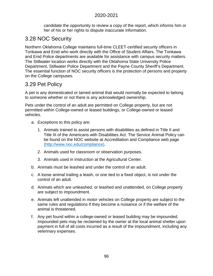candidate the opportunity to review a copy of the report, which informs him or her of his or her rights to dispute inaccurate information.

# 3.28 NOC Security

Northern Oklahoma College maintains full-time CLEET-certified security officers in Tonkawa and Enid who work directly with the Office of Student Affairs. The Tonkawa and Enid Police departments are available for assistance with campus security matters. The Stillwater location works directly with the Oklahoma State University Police Department, Stillwater Police Department and the Payne County Sheriff's Department. The essential function of NOC security officers is the protection of persons and property on the College campuses.

# 3.29 Pet Policy

A pet is any domesticated or tamed animal that would normally be expected to belong to someone whether or not there is any acknowledged ownership.

Pets under the control of an adult are permitted on College property, but are not permitted within College-owned or leased buildings, or College-owned or leased vehicles.

- a. Exceptions to this policy are:
	- 1. Animals trained to assist persons with disabilities as defined in Title II and Title III of the Americans with Disabilities Act. The Service Animal Policy can be found on the NOC website at [Accreditation and Compliance web page](http://www.noc.edu/compliance) [\(http://www.noc.edu/compliance\).](http://www.noc.edu/compliance)
	- 2. Animals used for classroom or observation purposes.
	- 3. Animals used in instruction at the Agricultural Center.
- b. Animals must be leashed and under the control of an adult.
- c. A loose animal trailing a leash, or one tied to a fixed object, is not under the control of an adult.
- d. Animals which are unleashed, or leashed and unattended, on College property are subject to impoundment.
- e. Animals left unattended in motor vehicles on College property are subject to the same rules and regulations if they become a nuisance or if the welfare of the animal is threatened.
- f. Any pet found within a college-owned or leased building may be impounded. Impounded pets may be reclaimed by the owner at the local animal shelter upon payment in full of all costs incurred as a result of the impoundment, including any veterinary expenses.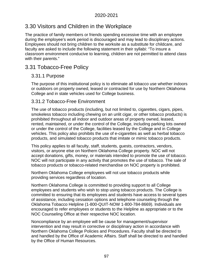# 3.30 Visitors and Children in the Workplace

The practice of family members or friends spending excessive time with an employee during the employee's work period is discouraged and may lead to disciplinary actions. Employees should not bring children to the worksite as a substitute for childcare, and faculty are asked to include the following statement in their syllabi: "To insure a classroom environment conducive to learning, children are not permitted to attend class with their parents."

# 3.31 Tobacco-Free Policy

## 3.31.1 Purpose

The purpose of this institutional policy is to eliminate all tobacco use whether indoors or outdoors on property owned, leased or contracted for use by Northern Oklahoma College and in state vehicles used for College business.

## 3.31.2 Tobacco-Free Environment

The use of tobacco products (including, but not limited to, cigarettes, cigars, pipes, smokeless tobacco including chewing on an unlit cigar, or other tobacco products) is prohibited throughout all indoor and outdoor areas of property owned, leased, rented, maintained, or under the control of the College, including parking lots owned or under the control of the College, facilities leased by the College and in College vehicles. This policy also prohibits the use of e-cigarettes as well as herbal tobacco products, and simulated tobacco products that imitate or mimic tobacco products.

This policy applies to all faculty, staff, students, guests, contractors, vendors, visitors, or anyone else on Northern Oklahoma College property. NOC will not accept donations, gifts, money, or materials intended to promote the use of tobacco. NOC will not participate in any activity that promotes the use of tobacco. The sale of tobacco products or tobacco-related merchandise on NOC property is prohibited.

Northern Oklahoma College employees will not use tobacco products while providing services regardless of location.

Northern Oklahoma College is committed to providing support to all College employees and students who wish to stop using tobacco products. The College is committed to ensuring that its employees and students have access to several types of assistance, including cessation options and telephone counseling through the Oklahoma Tobacco Helpline (1-800-QUIT-NOW 1-800-784-8669). Individuals are encouraged to refer employees or students to the Helpline as appropriate or to the NOC Counseling Office at their respective NOC location.

Noncompliance by an employee will be cause for management/supervisor intervention and may result in corrective or disciplinary action in accordance with Northern Oklahoma College Policies and Procedures. Faculty shall be directed to and handled by the Office of Academic Affairs. Staff shall be directed to and handled by the Office of Human Resources.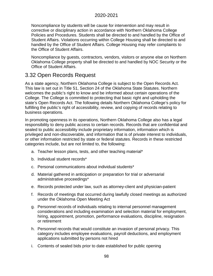Noncompliance by students will be cause for intervention and may result in corrective or disciplinary action in accordance with Northern Oklahoma College Policies and Procedures. Students shall be directed to and handled by the Office of Student Affairs. Violations occurring within College Housing shall be directed to and handled by the Office of Student Affairs. College Housing may refer complaints to the Office of Student Affairs.

Noncompliance by guests, contractors, vendors, visitors or anyone else on Northern Oklahoma College property shall be directed to and handled by NOC Security or the Office of Student Affairs.

# 3.32 Open Records Request

As a state agency, Northern Oklahoma College is subject to the Open Records Act. This law is set out in Title 51, Section 24 of the Oklahoma State Statutes. Northern welcomes the public's right to know and be informed about certain operations of the College. The College is committed to protecting that basic right and upholding the state's Open Records Act. The following details Northern Oklahoma College's policy for fulfilling the public's right of accessibility, review, and copying of records relating to business operations.

In promoting openness in its operations, Northern Oklahoma College also has a legal responsibility to deny public access to certain records. Records that are confidential and sealed to public accessibility include proprietary information, information which is privileged and non-discoverable, and information that is of private interest to individuals, or other information restricted by state or federal statutes. Records in these restricted categories include, but are not limited to, the following:

- a. Teacher lesson plans, tests, and other teaching material\*
- b. Individual student records\*
- c. Personal communications about individual students\*
- d. Material gathered in anticipation or preparation for trial or adversarial administrative proceedings\*
- e. Records protected under law, such as attorney-client and physician-patient
- f. Records of meetings that occurred during lawfully closed meetings as authorized under the Oklahoma Open Meeting Act
- g. Personnel records of individuals relating to internal personnel management considerations and including examination and selection material for employment, hiring, appointment, promotion, performance evaluations, discipline, resignation or retirement
- h. Personnel records that would constitute an invasion of personal privacy. This category includes employee evaluations, payroll deductions, and employment applications submitted by persons not hired
- i. Contents of sealed bids prior to date established for public opening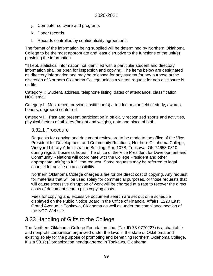- j. Computer software and programs
- k. Donor records
- l. Records controlled by confidentiality agreements

The format of the information being supplied will be determined by Northern Oklahoma College to be the most appropriate and least disruptive to the functions of the unit(s) providing the information.

\*If kept, statistical information not identified with a particular student and directory information shall be open for inspection and copying. The items below are designated as directory information and may be released for any student for any purpose at the discretion of Northern Oklahoma College unless a written request for non-disclosure is on file:

Category 1: Student, address, telephone listing, dates of attendance, classification, NOC email

Category II: Most recent previous institution(s) attended, major field of study, awards, honors, degree(s) conferred

Category III: Past and present participation in officially recognized sports and activities, physical factors of athletes (height and weight), date and place of birth.

#### 3.32.1 Procedure

Requests for copying and document review are to be made to the office of the Vice President for Development and Community Relations, Northern Oklahoma College, Vineyard Library Administration Building, Rm. 107B, Tonkawa, OK 74653-0310 during regular business hours. The office of the Vice President for Development and Community Relations will coordinate with the College President and other appropriate unit(s) to fulfill the request. Some requests may be referred to legal counsel for advice on accessibility.

Northern Oklahoma College charges a fee for the direct cost of copying. Any request for materials that will be used solely for commercial purposes, or those requests that will cause excessive disruption of work will be charged at a rate to recover the direct costs of document search plus copying costs.

Fees for copying and excessive document search are set out on a schedule displayed on the Public Notice Board in the Office of Financial Affairs, 1220 East Grand Avenue in Tonkawa, Oklahoma as well as under the compliance section of the NOC Website.

# 3.33 Handling of Gifts to the College

The Northern Oklahoma College Foundation, Inc. (Tax ID 73-0770227) is a charitable and nonprofit corporation organized under the laws in the state of Oklahoma and existing solely for the purpose of promoting and benefiting Northern Oklahoma College. It is a 501(c)3 organization headquartered in Tonkawa, Oklahoma.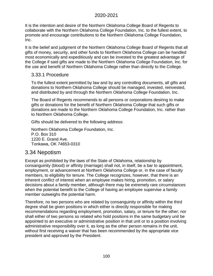It is the intention and desire of the Northern Oklahoma College Board of Regents to collaborate with the Northern Oklahoma College Foundation, Inc. to the fullest extent, to promote and encourage contributions to the Northern Oklahoma College Foundation, Inc.

It is the belief and judgment of the Northern Oklahoma College Board of Regents that all gifts of money, security, and other funds to Northern Oklahoma College can be handled most economically and expeditiously and can be invested to the greatest advantage of the College if said gifts are made to the Northern Oklahoma College Foundation, Inc. for the use and benefit of Northern Oklahoma College rather than directly to the College.

#### 3.33.1 Procedure

To the fullest extent permitted by law and by any controlling documents, all gifts and donations to Northern Oklahoma College should be managed, invested, reinvested, and distributed by and through the Northern Oklahoma College Foundation, Inc.

The Board of Regents recommends to all persons or corporations desiring to make gifts or donations for the benefit of Northern Oklahoma College that such gifts or donations are made to the Northern Oklahoma College Foundation, Inc. rather than to Northern Oklahoma College.

Gifts should be delivered to the following address:

Northern Oklahoma College Foundation, Inc. P.O. Box 310 1220 E. Grand Ave. Tonkawa, OK 74653-0310

# 3.34 Nepotism

Except as prohibited by the laws of the State of Oklahoma, relationship by consanguinity (blood) or affinity (marriage) shall not, in itself, be a bar to appointment, employment, or advancement at Northern Oklahoma College or, in the case of faculty members, to eligibility for tenure. The College recognizes, however, that there is an inherent conflict of interest when an employee makes hiring, promotion, or salary decisions about a family member, although there may be extremely rare circumstances when the potential benefit to the College of having an employee supervise a family member outweighs the potential harm.

Therefore, no two persons who are related by consanguinity or affinity within the third degree shall be given positions in which either is directly responsible for making recommendations regarding employment, promotion, salary, or tenure for the other; nor shall either of two persons so related who hold positions in the same budgetary unit be appointed to an executive or administrative position in that unit or to a position involving administrative responsibility over it, as long as the other person remains in the unit, without first receiving a waiver that has been recommended by the appropriate vice president and approved by the President.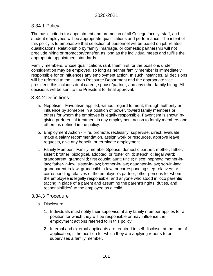## 3.34.1 Policy

The basic criteria for appointment and promotion of all College faculty, staff, and student employees will be appropriate qualifications and performance. The intent of this policy is to emphasize that selection of personnel will be based on job-related qualifications. Relationship by family, marriage, or domestic partnership will not preclude hiring or promotion/transfer, as long as the individual meets and fulfills the appropriate appointment standards.

Family members, whose qualifications rank them first for the positions under consideration may be employed, so long as neither family member is immediately responsible for or influences any employment action. In such instances, all decisions will be referred to the Human Resource Department and the appropriate vice president; this includes dual career, spouse/partner, and any other family hiring. All decisions will be sent to the President for final approval.

### 3.34.2 Definitions

- a. Nepotism Favoritism applied, without regard to merit, through authority or influence by someone in a position of power, toward family members or others for whom the employee is legally responsible. Favoritism is shown by giving preferential treatment in any employment action to family members and others as defined in the policy.
- b. Employment Action Hire, promote, reclassify, supervise, direct, evaluate, make a salary recommendation, assign work or resources, approve leave requests, give any benefit, or terminate employment.
- c. Family Member Family member Spouse; domestic partner; mother; father; sister; brother; biological, adopted, or foster child; stepchild; legal ward; grandparent; grandchild; first cousin; aunt; uncle; niece; nephew; mother-inlaw; father-in-law; sister-in-law; brother-in-law; daughter-in-law; son-in-law; grandparent-in-law; grandchild-in-law; or corresponding step-relatives; or corresponding relatives of the employee's partner; other persons for whom the employee is legally responsible; and anyone who stood in loco parentis (acting in place of a parent and assuming the parent's rights, duties, and responsibilities) to the employee as a child.

#### 3.34.3 Procedure

- a. Disclosure
	- 1. Individuals must notify their supervisor if any family member applies for a position for which they will be responsible or may influence the employment actions referred to in this policy.
	- 2. Internal and external applicants are required to self-disclose, at the time of application, if the position for which they are applying reports to or supervises a family member.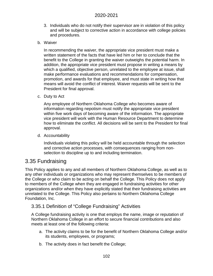- 3. Individuals who do not notify their supervisor are in violation of this policy and will be subject to corrective action in accordance with college policies and procedures.
- b. Waiver

In recommending the waiver, the appropriate vice president must make a written statement of the facts that have led him or her to conclude that the benefit to the College in granting the waiver outweighs the potential harm. In addition, the appropriate vice president must propose in writing a means by which a qualified, objective person, unrelated to the employee at issue, shall make performance evaluations and recommendations for compensation, promotion, and awards for that employee, and must state in writing how that means will avoid the conflict of interest. Waiver requests will be sent to the President for final approval.

c. Duty to Act

Any employee of Northern Oklahoma College who becomes aware of information regarding nepotism must notify the appropriate vice president within five work days of becoming aware of the information. The appropriate vice president will work with the Human Resource Department to determine how to eliminate the conflict. All decisions will be sent to the President for final approval.

d. Accountability

Individuals violating this policy will be held accountable through the selection and corrective action processes, with consequences ranging from nonselection to discipline up to and including termination.

# 3.35 Fundraising

This Policy applies to any and all members of Northern Oklahoma College, as well as to any other individuals or organizations who may represent themselves to be members of the College or who claim to be acting on behalf the College. This Policy does not apply to members of the College when they are engaged in fundraising activities for other organizations and/or when they have explicitly stated that their fundraising activities are unrelated to the College. This Policy also pertains to Northern Oklahoma College Foundation, Inc.

#### 3.35.1 Definition of "College Fundraising" Activities

A College fundraising activity is one that employs the name, image or reputation of Northern Oklahoma College in an effort to secure financial contributions and also meets at least one of the following criteria:

- a. The activity claims to be for the benefit of Northern Oklahoma College and/or its students, employees, or programs;
- b. The activity does in fact benefit the College;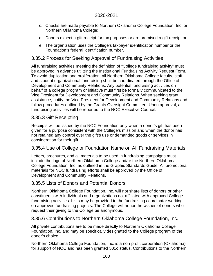- c. Checks are made payable to Northern Oklahoma College Foundation, Inc. or Northern Oklahoma College;
- d. Donors expect a gift receipt for tax purposes or are promised a gift receipt or,
- e. The organization uses the College's taxpayer identification number or the Foundation's federal identification number.

## 3.35.2 Process for Seeking Approval of Fundraising Activities

All fundraising activities meeting the definition of "College fundraising activity" must be approved in advance utilizing the Institutional Fundraising Activity Request Form. To avoid duplication and proliferation, all Northern Oklahoma College faculty, staff, and student organizational fundraising shall be coordinated through the Office of Development and Community Relations. Any potential fundraising activities on behalf of a college program or initiative must first be formally communicated to the Vice President for Development and Community Relations. When seeking grant assistance, notify the Vice President for Development and Community Relations and follow procedures outlined by the Grants Oversight Committee. Upon approval, all fundraising activities will be reported to the NOC Executive Council.

## 3.35.3 Gift Receipting

Receipts will be issued by the NOC Foundation only when a donor's gift has been given for a purpose consistent with the College's mission and when the donor has not retained any control over the gift's use or demanded goods or services in consideration for their gift.

## 3.35.4 Use of College or Foundation Name on All Fundraising Materials

Letters, brochures, and all materials to be used in fundraising campaigns must include the logo of Northern Oklahoma College and/or the Northern Oklahoma College Foundation, Inc. as outlined in the Graphic Standards Guide. All promotional materials for NOC fundraising efforts shall be approved by the Office of Development and Community Relations.

#### 3.35.5 Lists of Donors and Potential Donors

Northern Oklahoma College Foundation, Inc. will not share lists of donors or other constituents with individuals and organizations not affiliated with approved College fundraising activities. Lists may be provided to the fundraising coordinator working on approved fundraising projects. The College will honor the wishes of donors who request their giving to the College be anonymous.

#### 3.35.6 Contributions to Northern Oklahoma College Foundation, Inc.

All private contributions are to be made directly to Northern Oklahoma College Foundation, Inc. and may be specifically designated to the College program of the donor's choice.

Northern Oklahoma College Foundation, Inc. is a non-profit corporation (Oklahoma) for support of NOC and has been granted 501c status. Contributions to the Northern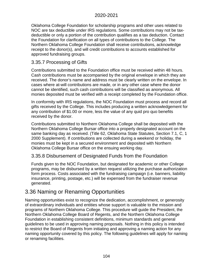Oklahoma College Foundation for scholarship programs and other uses related to NOC are tax deductible under IRS regulations. Some contributions may not be taxdeductible or only a portion of the contribution qualifies as a tax deduction. Contact the Foundation for clarification on all types of contributions to the College. The Northern Oklahoma College Foundation shall receive contributions, acknowledge receipt to the donor(s), and will credit contributions to accounts established for approved fundraising groups.

#### 3.35.7 Processing of Gifts

Contributions submitted to the Foundation office must be received within 48 hours. Cash contributions must be accompanied by the original envelope in which they are received. The donor's name and address must be clearly written on the envelope. In cases where at-will contributions are made, or in any other case where the donor cannot be identified, such cash contributions will be classified as anonymous. All monies deposited must be verified with a receipt completed by the Foundation office.

In conformity with IRS regulations, the NOC Foundation must process and record all gifts received by the College. This includes producing a written acknowledgement for any contribution of \$1.00 or more, less the value of any quid pro quo benefits received by the donor.

Contributions submitted to Northern Oklahoma College shall be deposited with the Northern Oklahoma College Bursar office into a properly designated account on the same banking day as received. (Title 62, Oklahoma State Statutes, Section 7.1, C, 1 2000 Supplement). If contributions are collected during a weekend or holiday, the monies must be kept in a secured environment and deposited with Northern Oklahoma College Bursar office on the ensuing working day.

#### 3.35.8 Disbursement of Designated Funds from the Foundation

Funds given to the NOC Foundation, but designated for academic or other College programs, may be disbursed by a written request utilizing the purchase authorization form process. Costs associated with the fundraising campaign (i.e. banners, liability insurance, printing, postage, etc.) will be expensed from the fundraiser revenue generated.

# 3.36 Naming or Renaming Opportunities

Naming opportunities exist to recognize the dedication, accomplishment, or generosity of extraordinary individuals and entities whose support is valuable to the mission and programs of Northern Oklahoma College. This procedure will guide the President, the Northern Oklahoma College Board of Regents, and the Northern Oklahoma College Foundation in establishing consistent definitions, minimum standards and general guidelines to be used in approving naming proposals. Nothing in this policy is intended to restrict the Board of Regents from initiating and approving a naming action for any naming opportunity covered by this policy. The following guidelines will apply for naming or renaming facilities.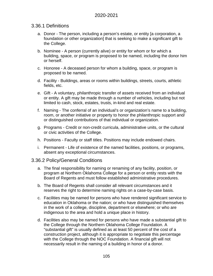#### 3.36.1 Definitions

- a. Donor The person, including a person's estate, or entity [a corporation, a foundation or other organization] that is seeking to make a significant gift to the College.
- b. Nominee A person (currently alive) or entity for whom or for which a building, space, or program is proposed to be named, including the donor him or herself.
- c. Honoree A deceased person for whom a building, space, or program is proposed to be named.
- d. Facility Buildings, areas or rooms within buildings, streets, courts, athletic fields, etc.
- e. Gift A voluntary, philanthropic transfer of assets received from an individual or entity. A gift may be made through a number of vehicles, including but not limited to cash, stock, estates, trusts, in-kind and real estate.
- f. Naming The conferral of an individual's or organization's name to a building, room, or another initiative or property to honor the philanthropic support and/ or distinguished contributions of that individual or organization.
- g. Programs Credit or non-credit curricula, administrative units, or the cultural or civic activities of the College.
- h. Positions Faculty or staff titles. Positions may include endowed chairs.
- i. Permanent Life of existence of the named facilities, positions, or programs, absent any exceptional circumstances.

#### 3.36.2 Policy/General Conditions

- a. The final responsibility for naming or renaming of any facility, position, or program at Northern Oklahoma College for a person or entity rests with the Board of Regents and must follow established administrative procedures.
- b. The Board of Regents shall consider all relevant circumstances and it reserves the right to determine naming rights on a case-by-case basis.
- c. Facilities may be named for persons who have rendered significant service to education in Oklahoma or the nation; or who have distinguished themselves in the work of a college, discipline, department or elsewhere; or who are indigenous to the area and hold a unique place in history.
- d. Facilities also may be named for persons who have made a substantial gift to the College through the Northern Oklahoma College Foundation. A "substantial gift" is usually defined as at least 50 percent of the cost of a construction project, although it is appropriate to negotiate this percentage with the College through the NOC Foundation. A financial gift will not necessarily result in the naming of a building in honor of a donor.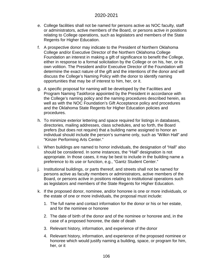- e. College facilities shall not be named for persons active as NOC faculty, staff or administrators, active members of the Board, or persons active in positions relating to College operations, such as legislators and members of the State Regents for Higher Education.
- f. A prospective donor may indicate to the President of Northern Oklahoma College and/or Executive Director of the Northern Oklahoma College Foundation an interest in making a gift of significance to benefit the College, either in response to a formal solicitation by the College or on his, her, or its own volition. The President and/or Executive Director of the Foundation will determine the exact nature of the gift and the intentions of the donor and will discuss the College's Naming Policy with the donor to identify naming opportunities that may be of interest to him, her, or it.
- g. A specific proposal for naming will be developed by the Facilities and Program Naming Taskforce appointed by the President in accordance with the College's naming policy and the naming procedures described herein, as well as with the NOC Foundation's Gift Acceptance policy and procedures and the Oklahoma State Regents for Higher Education policies and procedures.
- h. To minimize exterior lettering and space required for listings in databases, directories, mailing addresses, class schedules, and so forth, the Board prefers (but does not require) that a building name assigned to honor an individual should include the person's surname only, such as "Wilkin Hall" and "Kinzer Performing Arts Center."
- i. When buildings are named to honor individuals, the designation of "Hall" also should be considered. In some instances, the "Hall" designation is not appropriate. In those cases, it may be best to include in the building name a preference to its use or function, e.g., "Gantz Student Center."
- j. Institutional buildings, or parts thereof, and streets shall not be named for persons active as faculty members or administrators, active members of the Board, or persons active in positions relating to institutional operations such as legislators and members of the State Regents for Higher Education.
- k. If the proposed donor, nominee, and/or honoree is one or more individuals, or the estate of one or more individuals, the proposal must include:
	- 1. The full name and contact information for the donor or his or her estate, and for the nominee or honoree
	- 2. The date of birth of the donor and of the nominee or honoree and, in the case of a proposed honoree, the date of death
	- 3. Relevant history, information, and experience of the donor
	- 4. Relevant history, information, and experience of the proposed nominee or honoree which would justify naming a building, space, or program for him, her, or it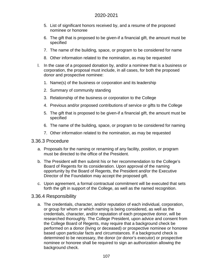- 5. List of significant honors received by, and a resume of the proposed nominee or honoree
- 6. The gift that is proposed to be given-if a financial gift, the amount must be specified
- 7. The name of the building, space, or program to be considered for name
- 8. Other information related to the nomination, as may be requested
- l. In the case of a proposed donation by, and/or a nominee that is a business or corporation, the proposal must include, in all cases, for both the proposed donor and prospective nominee:
	- 1. Name(s) of the business or corporation and its leadership
	- 2. Summary of community standing
	- 3. Relationship of the business or corporation to the College
	- 4. Previous and/or proposed contributions of service or gifts to the College
	- 5. The gift that is proposed to be given-if a financial gift, the amount must be specified
	- 6. The name of the building, space, or program to be considered for naming
	- 7. Other information related to the nomination, as may be requested

#### 3.36.3 Procedure

- a. Proposals for the naming or renaming of any facility, position, or program must be directed to the office of the President.
- b. The President will then submit his or her recommendation to the College's Board of Regents for its consideration. Upon approval of the naming opportunity by the Board of Regents, the President and/or the Executive Director of the Foundation may accept the proposed gift.
- c. Upon agreement, a formal contractual commitment will be executed that sets forth the gift in support of the College, as well as the named recognition.

#### 3.36.4 Responsibility

a. The credentials, character, and/or reputation of each individual, corporation, or group for whom or which naming is being considered, as well as the credentials, character, and/or reputation of each prospective donor, will be researched thoroughly. The College President, upon advice and consent from the College Board of Regents, may require that a background check be performed on a donor (living or deceased) or prospective nominee or honoree based upon particular facts and circumstances. If a background check is determined to be necessary, the donor (or donor's executor) or prospective nominee or honoree shall be required to sign an authorization allowing the background check.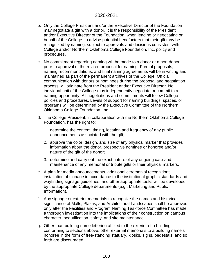- b. Only the College President and/or the Executive Director of the Foundation may negotiate a gift with a donor. It is the responsibility of the President and/or Executive Director of the Foundation, when leading or negotiating on behalf of the College, to advise potential benefactors that their gift may be recognized by naming, subject to approvals and decisions consistent with College and/or Northern Oklahoma College Foundation, Inc. policy and procedures.
- c. No commitment regarding naming will be made to a donor or a non-donor prior to approval of the related proposal for naming. Formal proposals, naming recommendations, and final naming agreements will be in writing and maintained as part of the permanent archives of the College. Official communication with donors or nominees during the proposal and negotiation process will originate from the President and/or Executive Director. No individual unit of the College may independently negotiate or commit to a naming opportunity. All negotiations and commitments will follow College policies and procedures. Levels of support for naming buildings, spaces, or programs will be determined by the Executive Committee of the Northern Oklahoma College Foundation, Inc.
- d. The College President, in collaboration with the Northern Oklahoma College Foundation, has the right to:
	- 1. determine the content, timing, location and frequency of any public announcements associated with the gift;
	- 2. approve the color, design, and size of any physical marker that provides information about the donor, prospective nominee or honoree and/or nature of the gift of the donor;
	- 3. determine and carry out the exact nature of any ongoing care and maintenance of any memorial or tribute gifts or their physical markers.
- e. A plan for media announcements, additional ceremonial recognitions, installation of signage in accordance to the institutional graphic standards and wayfinding signage guidelines, and other appropriate tasks will be developed by the appropriate College departments (e.g., Marketing and Public Information).
- f. Any signage or exterior memorials to recognize the names and historical significance of Malls, Plazas, and Architectural Landscapes shall be approved only after the Facilities and Program Naming Taskforce Committee has made a thorough investigation into the implications of their construction on campus character, beautification, safety, and site maintenance.
- g. Other than building name lettering affixed to the exterior of a building conforming to sections above, other external memorials to a building name's honoree in the form of free-standing statuary, kiosks, signs, pedestals, and so forth are discouraged.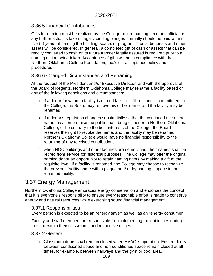# 3.36.5 Financial Contributions

Gifts for naming must be realized by the College before naming becomes official or any further action is taken. Legally binding pledges normally should be paid within five (5) years of naming the building, space, or program. Trusts, bequests and other assets will be considered. In general, a completed gift of cash or assets that can be readily converted to cash or its future transfer legally assured is required prior to a naming action being taken. Acceptance of gifts will be in compliance with the Northern Oklahoma College Foundation, Inc.'s gift acceptance policy and procedures.

# 3.36.6 Changed Circumstances and Renaming

At the request of the President and/or Executive Director, and with the approval of the Board of Regents, Northern Oklahoma College may rename a facility based on any of the following conditions and circumstances:

- a. if a donor for whom a facility is named fails to fulfill a financial commitment to the College, the Board may remove his or her name, and the facility may be renamed;
- b. if a donor's reputation changes substantially so that the continued use of the name may compromise the public trust, bring dishonor to Northern Oklahoma College, or be contrary to the best interests of the College, the Board reserves the right to revoke the name, and the facility may be renamed. Northern Oklahoma College would have no financial responsibility to the returning of any received contributions;
- c. when NOC buildings and other facilities are demolished, their names shall be retired from service for historical purposes. The College may offer the original naming donor an opportunity to retain naming rights by making a gift at the requisite level. If a facility is renamed, the College may choose to recognize the previous facility name with a plaque and/ or by naming a space in the renamed facility.

# 3.37 Energy Management

Northern Oklahoma College embraces energy conservation and endorses the concept that it is everyone's responsibility to ensure every reasonable effort is made to conserve energy and natural resources while exercising sound financial management.

# 3.37.1 Responsibilities

Every person is expected to be an "energy saver" as well as an "energy consumer."

Faculty and staff members are responsible for implementing the guidelines during the time within their classrooms and respective offices.

# 3.37.2 General

a. Classroom doors shall remain closed when HVAC is operating. Ensure doors between conditioned space and non-conditioned space remain closed at all times, for example, between hallways and the gym or pool area.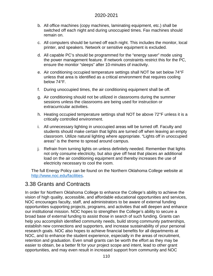- b. All office machines (copy machines, laminating equipment, etc.) shall be switched off each night and during unoccupied times. Fax machines should remain on.
- c. All computers should be turned off each night. This includes the monitor, local printer, and speakers. Network or sensitive equipment is excluded.
- d. All capable PC's should be programmed for the "energy saver" mode using the power management feature. If network constraints restrict this for the PC, ensure the monitor "sleeps" after 10-minutes of inactivity.
- e. Air conditioning occupied temperature settings shall NOT be set below 74°F unless that area is identified as a critical environment that requires cooling below 74°F.
- f. During unoccupied times, the air conditioning equipment shall be off.
- g. Air conditioning should not be utilized in classrooms during the summer sessions unless the classrooms are being used for instruction or extracurricular activities.
- h. Heating occupied temperature settings shall NOT be above 72°F unless it is a critically controlled environment.
- i. All unnecessary lighting in unoccupied areas will be turned off. Faculty and students should make certain that lights are turned off when leaving an empty classroom. Utilize natural lighting where appropriate. "Lights off in unoccupied areas" is the theme to spread around campus.
- j. Refrain from turning lights on unless definitely needed. Remember that lights not only consume electricity, but also give off heat that places an additional load on the air conditioning equipment and thereby increases the use of electricity necessary to cool the room.

The full Energy Policy can be found on the Northern Oklahoma College website at [http://www.noc.edu/facilities.](http://www.noc.edu/facilities)

# 3.38 Grants and Contracts

In order for Northern Oklahoma College to enhance the College's ability to achieve the vision of high quality, accessible, and affordable educational opportunities and services, NOC encourages faculty, staff, and administrators to be aware of external funding opportunities supporting projects, programs, and activities that will deepen and enhance our institutional mission. NOC hopes to strengthen the College's ability to secure a broad base of external funding to assist those in search of such funding. Grants can help you accomplish identified community needs, build strong community partnerships, establish new connections and supporters, and increase sustainability of your personal research goals. NOC also hopes to achieve financial benefits for all departments at NOC, and to enhance the student experience, especially in the areas of recruitment, retention and graduation. Even small grants can be worth the effort as they may be easier to obtain, be a better fit for your project scope and intent, lead to other grant opportunities, and may even result in increased support from community and NOC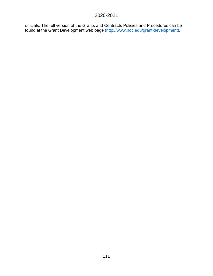officials. The full version of the Grants and Contracts Policies and Procedures can be found at the [Grant Development web page \(http://www.noc.edu/grant-development\).](http://www.noc.edu/grant-development)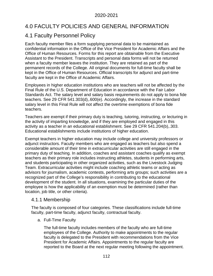# 4.0 FACULTY POLICIES AND GENERAL INFORMATION

# 4.1 Faculty Personnel Policy

Each faculty member files a form supplying personal data to be maintained as confidential information in the Office of the Vice President for Academic Affairs and the Office of Human Resources. Forms for this report are obtainable from the Executive Assistant to the President. Transcripts and personal data forms will not be returned when a faculty member leaves the institution. They are retained as part of the permanent records of the College. All original documents for full-time faculty shall be kept in the Office of Human Resources. Official transcripts for adjunct and part-time faculty are kept in the Office of Academic Affairs.

Employees in higher education institutions who are teachers will not be affected by the Final Rule of the U.S. Department of Education in accordance with the Fair Labor Standards Act. The salary level and salary basis requirements do not apply to bona fide teachers. See 29 CFR 541.303(d),.600(e). Accordingly, the increase in the standard salary level in this Final Rule will not affect the overtime exemptions of bona fide teachers.

Teachers are exempt if their primary duty is teaching, tutoring, instructing, or lecturing in the activity of imparting knowledge, and if they are employed and engaged in this activity as a teacher in an educational establishment. See 29 CFR 541.204(b),.303. Educational establishments include institutions of higher education.

Exempt teachers in higher education may include college and university professors or adjunct instructors. Faculty members who are engaged as teachers but also spend a considerable amount of their time in extracurricular activities are still engaged in the primary duty of teaching. In addition, coaches and assistant coaches qualify as exempt teachers as their primary role includes instructing athletes, students in performing arts, and students participating in other organized activities, such as the Livestock Judging Team. Extracurricular activities might include coaching athletic teams or acting as advisors for journalism, academic contests, performing arts groups; such activities are a recognized part of the College's responsibility in contributing to the educational development of the student. In all situations, examining the particular duties of the employee is how the applicability of an exemption must be determined (rather than location, job title, or other criteria).

# 4.1.1 Membership

The faculty is composed of four categories. These classifications include full-time faculty, part-time faculty, adjunct faculty, contractual faculty.

### a. Full-Time Faculty

The full-time faculty includes members of the faculty who are full-time employees of the College. Authority to make appointments to the regular faculty is delegated to the President with recommendations from the Vice President for Academic Affairs. Appointments to the regular faculty are reported to the Board at the next regular meeting following the appointment.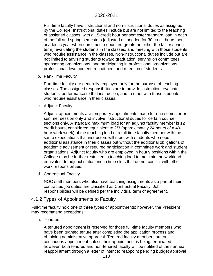Full-time faculty have instructional and non-instructional duties as assigned by the College. Instructional duties include but are not limited to the teaching of assigned classes, with a 15-credit hour per semester standard load in each of the fall and spring semesters [adjusted as needed for 30 credit hours per academic year when enrollment needs are greater in either the fall or spring term], evaluating the students in the classes, and meeting with those students who require assistance in the classes. Non-instructional duties include but are not limited to advising students toward graduation, serving on committees, sponsoring organizations, and participating in professional organizations, professional development, recruitment and retention of students.

b. Part-Time Faculty

Part-time faculty are generally employed only for the purpose of teaching classes. The assigned responsibilities are to provide instruction, evaluate students' performance to that instruction, and to meet with those students who require assistance in their classes.

c. Adjunct Faculty

Adjunct appointments are temporary appointments made for one semester or summer session only and involve instructional duties for certain course sections only. A standard maximum load for an adjunct faculty member is 12 credit hours, considered equivalent to 2/3 (approximately 24 hours of a 40 hour work week) of the teaching load of a full-time faculty member with the same expectations that instructors will meet with students who need additional assistance in their classes but without the additional obligations of academic advisement or required participation in committee work and student organizations. Adjunct faculty who are employed in hourly positions within the College may be further restricted in teaching load to maintain the workload equivalent to adjunct status and in time slots that do not conflict with other work responsibilities.

d. Contractual Faculty

NOC staff members who also have teaching assignments as a part of their contracted job duties are classified as Contractual Faculty. Job responsibilities will be defined per the individual term of agreement.

# 4.1.2 Types of Appointments to Faculty

Full-time faculty hold one of three types of appointments; however, the President may recommend exceptions.

a. Tenured

A tenured appointment is reserved for those full-time faculty members who have been granted tenure after completing the application process and obtaining administrative approval. Tenured faculty members are on continuous appointment unless their appointment is being terminated; however, both tenured and non-tenured faculty will be notified of their annual reappointment through a letter of intent to reappoint pending budget approval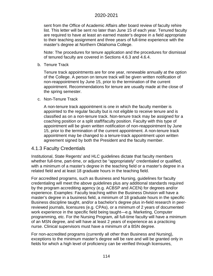sent from the Office of Academic Affairs after board review of faculty rehire list. This letter will be sent no later than June 15 of each year. Tenured faculty are required to have at least an earned master's degree in a field appropriate to their teaching assignment and three years of full-time experience with the master's degree at Northern Oklahoma College.

Note: The procedures for tenure application and the procedures for dismissal of tenured faculty are covered in Sections 4.6.3 and 4.6.4.

b. Tenure Track

Tenure track appointments are for one year, renewable annually at the option of the College. A person on tenure track will be given written notification of non-reappointment by June 15, prior to the termination of the current appointment. Recommendations for tenure are usually made at the close of the spring semester.

#### c. Non-Tenure Track

A non-tenure track appointment is one in which the faculty member is appointed to the regular faculty but is not eligible to receive tenure and is classified as on a non-tenure track. Non-tenure track may be assigned for a coaching position or a split staff/faculty position. Faculty with this type of appointment will be given written notification of non-reappointment by June 15, prior to the termination of the current appointment. A non-tenure track appointment may be changed to a tenure-track appointment upon written agreement signed by both the President and the faculty member.

# 4.1.3 Faculty Credentials

Institutional, State Regents' and HLC guidelines dictate that faculty members whether full-time, part-time, or adjunct be "appropriately" credentialed or qualified, with a minimum of a master's degree in the teaching field or a master's degree in a related field and at least 18 graduate hours in the teaching field.

For accredited programs, such as Business and Nursing, guidelines for faculty credentialing will meet the above guidelines plus any additional standards required by the program accrediting agency (e.g. ACBSP and ACEN) for degrees and/or experience. Examples: Faculty teaching within the Business Division will have a master's degree in a business field, a minimum of 18 graduate hours in the specific Business discipline taught, and/or a bachelor's degree plus in-field research in peerreviewed journals, licensures (e.g. CPAs), or a minimum of 2 years of documented work experience in the specific field being taught—e.g. Marketing, Computer programming, etc. For the Nursing Program, all full-time faculty will have a minimum of an MSN degree, and will have at least 2 years of experience as a practicing nurse. Clinical supervisors must have a minimum of a BSN degree.

For non-accredited programs (currently all other than Business and Nursing), exceptions to the minimum master's degree will be rare and will be granted only in fields for which a high level of proficiency can be verified through licensures,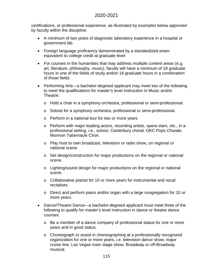certifications, or professional experience, as illustrated by examples below approved by faculty within the discipline:

- A minimum of two years of diagnostic laboratory experience in a hospital or government lab
- Foreign language proficiency demonstrated by a standardized exam equivalent to college credit at graduate level
- For courses in the humanities that may address multiple content areas (e.g. art, literature, philosophy, music), faculty will have a minimum of 18 graduate hours in one of the fields of study and/or 18 graduate hours in a combination of those fields
- Performing Arts—a bachelor-degreed applicant may meet two of the following to meet the qualifications for master's level instruction in Music and/or Theatre:
	- o Hold a chair in a symphony orchestra, professional or semi-professional.
	- o Soloist for a symphony orchestra, professional or semi-professional.
	- o Perform in a national tour for two or more years
	- o Perform with major leading actors, recording artists, opera stars, etc., in a professional setting, i.e., soloist, Canterbury choral, OKC Pops Chorale, Mormon Tabernacle Choir.
	- o Play host to own broadcast, television or radio show, on regional or national scene.
	- $\circ$  Set design/construction for major productions on the regional or national scene.
	- o Lighting/sound design for major productions on the regional or national scene.
	- o Collaborative pianist for 10 or more years for instrumental and vocal recitalists.
	- o Direct and perform piano and/or organ with a large congregation for 10 or more years.
- Dance/Theatre Dance—a bachelor-degreed applicant must meet three of the following to qualify for master's level instruction in dance or theatre dance courses:
	- $\circ$  Be a member of a dance company of professional status for one or more years and in good status.
	- o Choreograph or assist in choreographing at a professionally recognized organization for one or more years, i.e. television dance show, major cruise line, Las Vegas main stage show, Broadway or off-Broadway musical.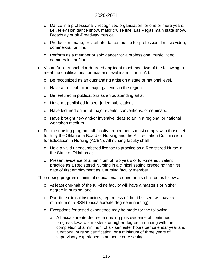- o Dance in a professionally recognized organization for one or more years, i.e., television dance show, major cruise line, Las Vegas main state show, Broadway or off-Broadway musical.
- o Produce, manage, or facilitate dance routine for professional music video, commercial, or film.
- o Perform as a member or solo dancer for a professional music video, commercial, or film.
- Visual Arts—a bachelor-degreed applicant must meet two of the following to meet the qualifications for master's level instruction in Art.
	- o Be recognized as an outstanding artist on a state or national level.
	- o Have art on exhibit in major galleries in the region.
	- o Be featured in publications as an outstanding artist.
	- o Have art published in peer-juried publications.
	- o Have lectured on art at major events, conventions, or seminars.
	- o Have brought new and/or inventive ideas to art in a regional or national workshop medium.
- For the nursing program, all faculty requirements must comply with those set forth by the Oklahoma Board of Nursing and the Accreditation Commission for Education in Nursing (ACEN). All nursing faculty shall:
	- o Hold a valid unencumbered license to practice as a Registered Nurse in the State of Oklahoma;
	- o Present evidence of a minimum of two years of full-time equivalent practice as a Registered Nursing in a clinical setting preceding the first date of first employment as a nursing faculty member.

The nursing program's minimal educational requirements shall be as follows:

- o At least one-half of the full-time faculty will have a master's or higher degree in nursing; and
- o Part-time clinical instructors, regardless of the title used, will have a minimum of a BSN (baccalaureate degree in nursing).
- o Exceptions for tested experience may be made for the following:
	- a. A baccalaureate degree in nursing plus evidence of continued progress toward a master's or higher degree in nursing with the completion of a minimum of six semester hours per calendar year and, a national nursing certification, or a minimum of three years of supervisory experience in an acute care setting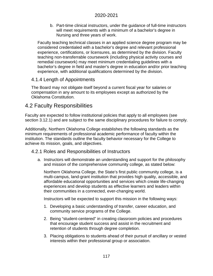b. Part-time clinical instructors, under the guidance of full-time instructors will meet requirements with a minimum of a bachelor's degree in Nursing and three years of work.

Faculty teaching technical classes in an applied science degree program may be considered credentialed with a bachelor's degree and relevant professional experience, certifications, or licensures, as determined by the division. Faculty teaching non-transferrable coursework (including physical activity courses and remedial coursework) may meet minimum credentialing guidelines with a bachelor's degree in field and master's degree in education and/or prior teaching experience, with additional qualifications determined by the division.

# 4.1.4 Length of Appointments

The Board may not obligate itself beyond a current fiscal year for salaries or compensation in any amount to its employees except as authorized by the Oklahoma Constitution.

# 4.2 Faculty Responsibilities

Faculty are expected to follow institutional policies that apply to all employees (see section 3.12.1) and are subject to the same disciplinary procedures for failure to comply.

Additionally, Northern Oklahoma College establishes the following standards as the minimum requirements of professional academic performance of faculty within the institution. The standards outline the faculty behavior necessary for the College to achieve its mission, goals, and objectives.

# 4.2.1 Roles and Responsibilities of Instructors

a. Instructors will demonstrate an understanding and support for the philosophy and mission of the comprehensive community college, as stated below:

Northern Oklahoma College, the State's first public community college, is a multi-campus, land-grant institution that provides high quality, accessible, and affordable educational opportunities and services which create life-changing experiences and develop students as effective learners and leaders within their communities in a connected, ever-changing world.

Instructors will be expected to support this mission in the following ways:

- 1. Developing a basic understanding of transfer, career education, and community service programs of the College.
- 2. Being "student-centered" in creating classroom policies and procedures that encourage student success and assist in the recruitment and retention of students through degree completion.
- 3. Placing obligations to students ahead of their pursuit of ancillary or vested interests within their professional group or association.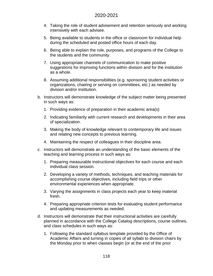- 4. Taking the role of student advisement and retention seriously and working intensively with each advisee.
- 5. Being available to students in the office or classroom for individual help during the scheduled and posted office hours of each day.
- 6. Being able to explain the role, purposes, and programs of the College to the students and the community.
- 7. Using appropriate channels of communication to make positive suggestions for improving functions within division and for the institution as a whole.
- 8. Assuming additional responsibilities (e.g. sponsoring student activities or organizations, chairing or serving on committees, etc.) as needed by division and/or institution.
- b. Instructors will demonstrate knowledge of the subject matter being presented in such ways as:
	- 1. Providing evidence of preparation in their academic area(s)
	- 2. Indicating familiarity with current research and developments in their area of specialization.
	- 3. Making the body of knowledge relevant to contemporary life and issues and relating new concepts to previous learning.
	- 4. Maintaining the respect of colleagues in their discipline area.
- c. Instructors will demonstrate an understanding of the basic elements of the teaching and learning process in such ways as:
	- 1. Preparing measurable instructional objectives for each course and each individual class session.
	- 2. Developing a variety of methods, techniques, and teaching materials for accomplishing course objectives, including field trips or other environmental experiences when appropriate.
	- 3. Varying the assignments in class projects each year to keep material fresh.
	- 4. Preparing appropriate criterion tests for evaluating student performance and updating measurements as needed.
- d. Instructors will demonstrate that their instructional activities are carefully planned in accordance with the College Catalog descriptions, course outlines, and class schedules in such ways as:
	- 1. Following the standard syllabus template provided by the Office of Academic Affairs and turning in copies of all syllabi to division chairs by the Monday prior to when classes begin (or at the end of the prior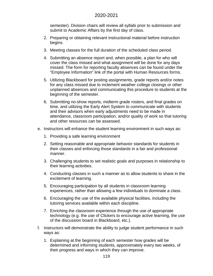semester). Division chairs will review all syllabi prior to submission and submit to Academic Affairs by the first day of class.

- 2. Preparing or obtaining relevant instructional material before instruction begins.
- 3. Meeting classes for the full duration of the scheduled class period.
- 4. Submitting an absence report and, when possible, a plan for who will cover the class missed and what assignment will be done for any days missed. The form for reporting faculty absences can be found under the "Employee Information" link of the portal with Human Resources forms.
- 5. Utilizing Blackboard for posting assignments, grade reports and/or notes for any class missed due to inclement weather college closings or other unplanned absences and communicating this procedure to students at the beginning of the semester.
- 6. Submitting no-show reports, midterm grade rosters, and final grades on time, and utilizing the Early Alert System to communicate with students and their advisors when early adjustments need to be made in attendance, classroom participation, and/or quality of work so that tutoring and other resources can be assessed.
- e. Instructors will enhance the student learning environment in such ways as:
	- 1. Providing a safe learning environment
	- 2. Setting reasonable and appropriate behavior standards for students in their classes and enforcing those standards in a fair and professional manner.
	- 3. Challenging students to set realistic goals and purposes in relationship to their learning activities.
	- 4. Conducting classes in such a manner as to allow students to share in the excitement of learning.
	- 5. Encouraging participation by all students in classroom learning experiences, rather than allowing a few individuals to dominate a class.
	- 6. Encouraging the use of the available physical facilities, including the tutoring services available within each discipline.
	- 7. Enriching the classroom experience through the use of appropriate technology (e.g. the use of Clickers to encourage active learning, the use of the discussion board in Blackboard, etc.).
- f. Instructors will demonstrate the ability to judge student performance in such ways as:
	- 1. Explaining at the beginning of each semester how grades will be determined and informing students, approximately every two weeks, of their progress and ways in which they can improve.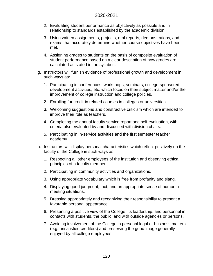- 2. Evaluating student performance as objectively as possible and in relationship to standards established by the academic division.
- 3. Using written assignments, projects, oral reports, demonstrations, and exams that accurately determine whether course objectives have been met.
- 4. Assigning grades to students on the basis of composite evaluation of student performance based on a clear description of how grades are calculated as stated in the syllabus.
- g. Instructors will furnish evidence of professional growth and development in such ways as:
	- 1. Participating in conferences, workshops, seminars, college-sponsored development activities, etc. which focus on their subject matter and/or the improvement of college instruction and college policies.
	- 2. Enrolling for credit in related courses in colleges or universities.
	- 3. Welcoming suggestions and constructive criticism which are intended to improve their role as teachers.
	- 4. Completing the annual faculty service report and self-evaluation, with criteria also evaluated by and discussed with division chairs.
	- 5. Participating in in-service activities and the first semester teacher academy.
- h. Instructors will display personal characteristics which reflect positively on the faculty of the College in such ways as:
	- 1. Respecting all other employees of the institution and observing ethical principles of a faculty member.
	- 2. Participating in community activities and organizations.
	- 3. Using appropriate vocabulary which is free from profanity and slang.
	- 4. Displaying good judgment, tact, and an appropriate sense of humor in meeting situations.
	- 5. Dressing appropriately and recognizing their responsibility to present a favorable personal appearance.
	- 6. Presenting a positive view of the College, its leadership, and personnel in contacts with students, the public, and with outside agencies or persons.
	- 7. Avoiding involvement of the College in personal legal or business matters (e.g. unsatisfied creditors) and preserving the good image generally enjoyed by all college employees.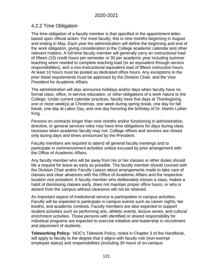# 4.2.2 Time Obligation

The time obligation of a faculty member is that specified in the appointment letter, based upon official action. For most faculty, this is nine months beginning in August and ending in May. Each year the administration will define the beginning and end of the work obligation, giving consideration to the College academic calendar and other relevant matters. A full-time faculty member will generally carry an instructional load of fifteen (15) credit hours per semester or 30 per academic year including summer teaching when needed to complete teaching load (or an equivalent through service responsibilities), and a non-instructional equivalent load of fifteen instruction hours. At least 10 hours must be posted as dedicated office hours. Any exceptions to the prior listed requirements must be approved by the Division Chair, and the Vice President for Academic Affairs.

The administration will also announce holidays and/or days when faculty have no formal class, office, in-service education, or other obligations of a work nature to the College. Under current calendar practices, faculty have five days at Thanksgiving, one or more week(s) at Christmas, one week during spring break, one day for fall break, one day at Labor Day, and one day honoring the birthday of Dr. Martin Luther King.

Persons on contracts longer than nine months and/or functioning in administrative, directive, or general services roles may have time obligations for days during class recesses when academic faculty may not. College offices and services are closed only during days and times announced by the President.

Faculty members are required to attend all general faculty meetings and to participate in commencement activities unless excused by prior arrangement with the Office of Academic Affairs.

Any faculty member who will be away from his or her classes or other duties should file a request for leave as early as possible. The faculty member should counsel with the Division Chair and/or Faculty Liaison about arrangements made to take care of classes and clear absences with the Office of Academic Affairs and the respective location vice president. A faculty member who deliberately misses a class, makes a habit of dismissing classes early, does not maintain proper office hours, or who is absent from the campus without clearance will not be retained.

An important aspect of institutional service is participation in campus activities. Faculty will be expected to participate in campus events such as career nights, fair booths, and academic contests. Faculty members are also expected to support student activities such as performing arts, athletic events, lecture series, and cultural enrichment activities. Those persons with identified or shared responsibility for individual programs are expected to exercise initiative and leadership in recruitment and placement of students.

**Teleworking Policy:** NOC's Telework Policy, noted in Chapter 3 of the Handbook, will apply to faculty to the degree that it aligns with faculty role (non-exempt employee status) and responsibilities (including 30 hours of on-campus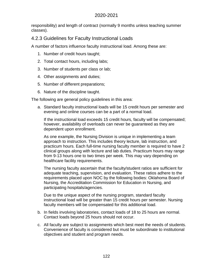responsibility) and length of contract (normally 9 months unless teaching summer classes).

# 4.2.3 Guidelines for Faculty Instructional Loads

A number of factors influence faculty instructional load. Among these are:

- 1. Number of credit hours taught;
- 2. Total contact hours, including labs;
- 3. Number of students per class or lab;
- 4. Other assignments and duties;
- 5. Number of different preparations;
- 6. Nature of the discipline taught.

The following are general policy guidelines in this area:

a. Standard faculty instructional loads will be 15 credit hours per semester and evening and online courses can be a part of a normal load.

If the instructional load exceeds 15 credit hours, faculty will be compensated; however, availability of overloads can never be guaranteed as they are dependent upon enrollment.

As one example, the Nursing Division is unique in implementing a team approach to instruction. This includes theory lecture, lab instruction, and practicum hours. Each full-time nursing faculty member is required to have 2 clinical groups along with lecture and lab duties. Practicum hours may range from 9-13 hours one to two times per week. This may vary depending on healthcare facility requirements.

The nursing faculty ascertain that the faculty/student ratios are sufficient for adequate teaching, supervision, and evaluation. These ratios adhere to the requirements placed upon NOC by the following bodies: Oklahoma Board of Nursing, the Accreditation Commission for Education in Nursing, and participating hospitals/agencies.

Due to the unique aspect of the nursing program, standard faculty instructional load will be greater than 15 credit hours per semester. Nursing faculty members will be compensated for this additional load.

- b. In fields involving laboratories, contact loads of 18 to 25 hours are normal. Contact loads beyond 25 hours should not occur.
- c. All faculty are subject to assignments which best meet the needs of students. Convenience of faculty is considered but must be subordinate to institutional objectives and student and program needs.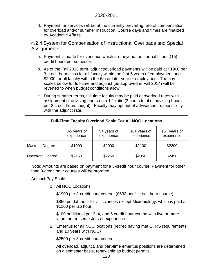d. Payment for services will be at the currently prevailing rate of compensation for overload and/or summer instruction. Course days and times are finalized by Academic Affairs.

4.2.4 System for Compensation of Instructional Overloads and Special **Assignments** 

- a. Payment is made for overloads which are beyond the normal fifteen (15) credit hours per semester.
- b. As of the Fall 2016 term, adjunct/overload payments will be paid at \$1900 per 3-credit hour class for all faculty within the first 5 years of employment and \$2000 for all faculty within the 6th or later year of employment. The pay scales below for full-time and adjunct (as approved in Fall 2014) will be reverted to when budget conditions allow.
- c. During summer terms, full-time faculty may be paid at overload rates with assignment of advising hours on a 1:1 ratio (3 hours total of advising hours per 3 credit hours taught). Faculty may opt out of advisement responsibility with the adjunct rate.

| <b>Full-Time Faculty Overload Scale For All NOC Locations</b> |                            |                             |                              |                              |
|---------------------------------------------------------------|----------------------------|-----------------------------|------------------------------|------------------------------|
|                                                               | 0-5 years of<br>experience | $5+$ years of<br>experience | $10+$ years of<br>experience | $15+$ years of<br>experience |
| Master's Degree                                               | \$1900                     | \$2000                      | \$2100                       | \$2200                       |
| Doctorate Degree                                              | \$2150                     | \$2250                      | \$2350                       | \$2450                       |

Note: Amounts are based on payment for a 3-credit hour course. Payment for other than 3-credit hour courses will be prorated.

Adjunct Pay Scale

1. All NOC Locations

\$1900 per 3-credit hour course. (\$633 per 1-credit hour course)

\$850 per lab hour for all sciences except Microbiology, which is paid at \$1100 per lab hour

\$100 additional per 3, 4, and 5 credit hour course with five or more years or ten semesters of experience

2. Emeritus for all NOC locations (retired having met OTRS requirements and 10 years with NOC)

\$2500 per 3-credit hour course

All overload, adjunct, and part-time emeritus positions are determined on a semester basis, renewable as budget permits.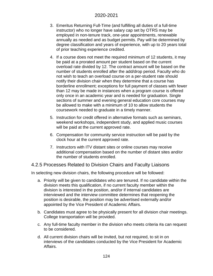- 3. Emeritus Returning Full-Time (and fulfilling all duties of a full-time instructor) who no longer have salary cap set by OTRS may be employed in non-tenure track, one-year appointments, renewable annually as needed and as budget permits. Pay will be determined by degree classification and years of experience, with up to 20 years total of prior teaching experience credited.
- 4. If a course does not meet the required minimum of 12 students, it may be paid at a prorated amount per student based on the current overload rate divided by 12. The contract amount will be based on the number of students enrolled after the add/drop period. Faculty who do not wish to teach an overload course on a per-student rate should notify their division chair when they determine that a course has borderline enrollment; exceptions for full payment of classes with fewer than 12 may be made in instances when a program course is offered only once in an academic year and is needed for graduation. Single sections of summer and evening general education core courses may be allowed to make with a minimum of 10 to allow students the coursework needed to graduate in a timely manner.
- 5. Instruction for credit offered in alternative formats such as seminars, weekend workshops, independent study, and applied music courses will be paid at the current approved rate.
- 6. Compensation for community service instruction will be paid by the clock hour at the current approved rate.
- 7. Instructors with ITV distant sites or online courses may receive additional compensation based on the number of distant sites and/or the number of students enrolled.

# 4.2.5 Processes Related to Division Chairs and Faculty Liaisons

In selecting new division chairs, the following procedure will be followed:

- a. Priority will be given to candidates who are tenured. If no candidate within the division meets this qualification, if no current faculty member within the division is interested in the position, and/or if internal candidates are interviewed and the interview committee determines that reopening the position is desirable, the position may be advertised externally and/or appointed by the Vice President of Academic Affairs.
- b. Candidates must agree to be physically present for all division chair meetings. College transportation will be provided.
- c. Any full-time faculty member in the division who meets criteria #a can request to be considered.
- d. All current division chairs will be invited, but not required, to sit in on interviews of the candidates conducted by the Vice President for Academic Affairs.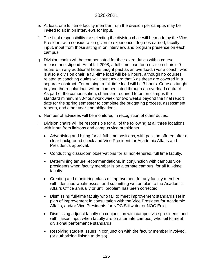- e. At least one full-time faculty member from the division per campus may be invited to sit in on interviews for input.
- f. The final responsibility for selecting the division chair will be made by the Vice President with consideration given to experience, degrees earned, faculty input, input from those sitting in on interview, and program presence on each campus.
- g. Division chairs will be compensated for their extra duties with a course release and stipend. As of fall 2008, a full-time load for a division chair is 9 hours with any additional hours taught paid as an overload. (For a coach, who is also a division chair, a full-time load will be 6 hours, although no courses related to coaching duties will count toward that 6 as these are covered in a separate contract. For nursing, a full-time load will be 3 hours. Courses taught beyond the regular load will be compensated through an overload contract. As part of the compensation, chairs are required to be on campus the standard minimum 30-hour work week for two weeks beyond the final report date for the spring semester to complete the budgeting process, assessment reports, and other year-end obligations.
- h. Number of advisees will be monitored in recognition of other duties.
- i. Division chairs will be responsible for all of the following at all three locations with input from liaisons and campus vice presidents.
	- Advertising and hiring for all full-time positions, with position offered after a clear background check and Vice President for Academic Affairs and President's approval.
	- Conducting classroom observations for all non-tenured, full time faculty.
	- Determining tenure recommendations, in conjunction with campus vice presidents when faculty member is on alternate campus, for all full-time faculty.
	- Creating and monitoring plans of improvement for any faculty member with identified weaknesses, and submitting written plan to the Academic Affairs Office annually or until problem has been corrected.
	- Dismissing full-time faculty who fail to meet improvement standards set in plan of improvement in consultation with the Vice President for Academic Affairs, and/or Vice Presidents for NOC Stillwater or NOC Enid.
	- Dismissing adjunct faculty (in conjunction with campus vice presidents and with liaison input when faculty are on alternate campus) who fail to meet divisional performance standards.
	- Resolving student issues in conjunction with the faculty member involved, (or authorizing liaison to do so).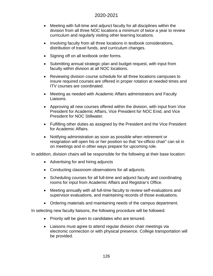- Meeting with full-time and adjunct faculty for all disciplines within the division from all three NOC locations a minimum of twice a year to review curriculum and regularly visiting other learning locations.
- Involving faculty from all three locations in textbook considerations, distribution of travel funds, and curriculum changes.
- Signing off on all textbook order forms.
- Submitting annual strategic plan and budget request, with input from faculty within division at all NOC locations.
- Reviewing division course schedule for all three locations campuses to insure required courses are offered in proper rotation at needed times and ITV courses are coordinated.
- Meeting as needed with Academic Affairs administrators and Faculty Liaisons.
- Approving all new courses offered within the division, with input from Vice President for Academic Affairs, Vice President for NOC Enid, and Vice President for NOC Stillwater.
- Fulfilling other duties as assigned by the President and the Vice President for Academic Affairs.
- Notifying administration as soon as possible when retirement or resignation will open his or her position so that "ex-officio chair" can sit in on meetings and in other ways prepare for upcoming role.

In addition, division chairs will be responsible for the following at their base location:

- Advertising for and hiring adjuncts
- Conducting classroom observations for all adjuncts.
- Scheduling courses for all full-time and adjunct faculty and coordinating rooms for input from Academic Affairs and Registrar's Office.
- Meeting annually with all full-time faculty to review self-evaluations and supervisor evaluations, and maintaining records of those evaluations.
- Ordering materials and maintaining needs of the campus department.

In selecting new faculty liaisons, the following procedure will be followed:

- Priority will be given to candidates who are tenured.
- Liaisons must agree to attend regular division chair meetings via electronic connection or with physical presence. College transportation will be provided.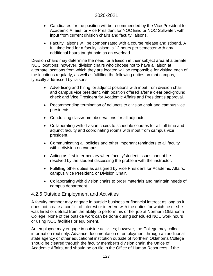- Candidates for the position will be recommended by the Vice President for Academic Affairs, or Vice President for NOC Enid or NOC Stillwater, with input from current division chairs and faculty liaisons.
- Faculty liaisons will be compensated with a course release and stipend. A full-time load for a faculty liaison is 12 hours per semester with any additional hours taught paid as an overload.

Division chairs may determine the need for a liaison in their subject area at alternate NOC locations; however, division chairs who choose not to have a liaison at alternate locations from which they are located will be responsible for visiting each of the locations regularly, as well as fulfilling the following duties on that campus, typically addressed by liaisons:

- Advertising and hiring for adjunct positions with input from division chair and campus vice president, with position offered after a clear background check and Vice President for Academic Affairs and President's approval.
- Recommending termination of adjuncts to division chair and campus vice presidents.
- Conducting classroom observations for all adjuncts.
- Collaborating with division chairs to schedule courses for all full-time and adjunct faculty and coordinating rooms with input from campus vice president.
- Communicating all policies and other important reminders to all faculty within division on campus.
- Acting as first intermediary when faculty/student issues cannot be resolved by the student discussing the problem with the instructor.
- Fulfilling other duties as assigned by Vice President for Academic Affairs, campus Vice President, or Division Chair.
- Collaborating with division chairs to order materials and maintain needs of campus department.

# 4.2.6 Outside Employment and Activities

A faculty member may engage in outside business or financial interest as long as it does not create a conflict of interest or interfere with the duties for which he or she was hired or detract from the ability to perform his or her job at Northern Oklahoma College. None of the outside work can be done during scheduled NOC work hours or using NOC facilities or equipment.

An employee may engage in outside activities; however, the College may collect information routinely. Advance documentation of employment through an additional state agency or other educational institution outside of Northern Oklahoma College should be cleared through the faculty member's division chair, the Office of Academic Affairs, and should be on file in the Office of Human Resources. If the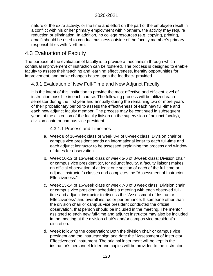nature of the extra activity, or the time and effort on the part of the employee result in a conflict with his or her primary employment with Northern, the activity may require reduction or elimination. In addition, no college resources (e.g. copying, printing, email) should be used to conduct business outside of the faculty member's primary responsibilities with Northern.

# 4.3 Evaluation of Faculty

The purpose of the evaluation of faculty is to provide a mechanism through which continual improvement of instruction can be fostered. The process is designed to enable faculty to assess their teaching and learning effectiveness, identify opportunities for improvement, and make changes based upon the feedback provided.

# 4.3.1 Evaluation of New Full-Time and New Adjunct Faculty

It is the intent of this institution to provide the most effective and efficient level of instruction possible in each course. The following process will be utilized each semester during the first year and annually during the remaining two or more years of their probationary period to assess the effectiveness of each new full-time and each new adjunct faculty member. The process may be continued in subsequent years at the discretion of the faculty liaison (in the supervision of adjunct faculty), division chair, or campus vice president.

### 4.3.1.1 Process and Timelines

- a. Week 8 of 16-week class or week 3-4 of 8-week class: Division chair or campus vice president sends an informational letter to each full-time and each adjunct instructor to be assessed explaining the process and window of dates for observation.
- b. Week 10-12 of 16-week class or week 5-6 of 8-week class: Division chair or campus vice president (or, for adjunct faculty, a faculty liaison) makes an official observation of at least one section of each of the full-time or adjunct instructor's classes and completes the "Assessment of Instructor Effectiveness."
- c. Week 13-14 of 16-week class or week 7-8 of 8 week class: Division chair or campus vice president schedules a meeting with each observed fulltime and adjunct instructor to discuss the "Assessment of Instructor Effectiveness" and overall instructor performance. If someone other than the division chair or campus vice president conducted the official observation, that person should be included in the meeting. The mentor assigned to each new full-time and adjunct instructor may also be included in the meeting at the division chair's and/or campus vice president's discretion.
- d. Week following the observation: Both the division chair or campus vice president and the instructor sign and date the "Assessment of Instructor Effectiveness" instrument. The original instrument will be kept in the instructor's personnel folder and copies will be provided to the instructor,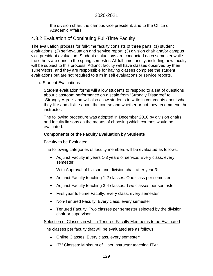the division chair, the campus vice president, and to the Office of Academic Affairs.

# 4.3.2 Evaluation of Continuing Full-Time Faculty

The evaluation process for full-time faculty consists of three parts: (1) student evaluations; (2) self-evaluation and service report; (3) division chair and/or campus vice president evaluation. Student evaluations are conducted each semester while the others are done in the spring semester. All full-time faculty, including new faculty, will be subject to this process. Adjunct faculty will have classes observed by their supervisors, and they are responsible for having classes complete the student evaluations but are not required to turn in self evaluations or service reports.

a. Student Evaluations

Student evaluation forms will allow students to respond to a set of questions about classroom performance on a scale from "Strongly Disagree" to "Strongly Agree" and will also allow students to write in comments about what they like and dislike about the course and whether or not they recommend the instructor.

The following procedure was adopted in December 2010 by division chairs and faculty liaisons as the means of choosing which courses would be evaluated:

### **Components of the Faculty Evaluation by Students**

### Faculty to be Evaluated

The following categories of faculty members will be evaluated as follows:

• Adjunct Faculty in years 1-3 years of service: Every class, every semester

With Approval of Liaison and division chair after year 3:

- Adjunct Faculty teaching 1-2 classes: One class per semester
- Adjunct Faculty teaching 3-4 classes: Two classes per semester
- First year full-time Faculty: Every class, every semester
- Non-Tenured Faculty: Every class, every semester
- Tenured Faculty: Two classes per semester selected by the division chair or supervisor

Selection of Classes in which Tenured Faculty Member is to be Evaluated

The classes per faculty that will be evaluated are as follows:

- Online Classes: Every class, every semester\*
- ITV Classes: Minimum of 1 per instructor teaching ITV\*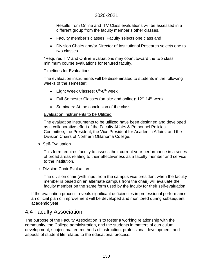Results from Online and ITV Class evaluations will be assessed in a different group from the faculty member's other classes.

- Faculty member's classes: Faculty selects one class and
- Division Chairs and/or Director of Institutional Research selects one to two classes

\*Required ITV and Online Evaluations may count toward the two class minimum course evaluations for tenured faculty.

#### Timelines for Evaluations

The evaluation instruments will be disseminated to students in the following weeks of the semester:

- $\bullet$  Eight Week Classes:  $6<sup>th</sup>$ -8<sup>th</sup> week
- Full Semester Classes (on-site and online):  $12<sup>th</sup>$ -14<sup>th</sup> week
- Seminars: At the conclusion of the class

#### Evaluation Instruments to be Utilized

The evaluation instruments to be utilized have been designed and developed as a collaborative effort of the Faculty Affairs & Personnel Policies Committee, the President, the Vice President for Academic Affairs, and the Division Chairs of Northern Oklahoma College.

#### b. Self-Evaluation

This form requires faculty to assess their current year performance in a series of broad areas relating to their effectiveness as a faculty member and service to the institution.

c. Division Chair Evaluation

The division chair (with input from the campus vice president when the faculty member is based on an alternate campus from the chair) will evaluate the faculty member on the same form used by the faculty for their self-evaluation.

If the evaluation process reveals significant deficiencies in professional performance, an official plan of improvement will be developed and monitored during subsequent academic year.

# 4.4 Faculty Association

The purpose of the Faculty Association is to foster a working relationship with the community, the College administration, and the students in matters of curriculum development, subject matter, methods of instruction, professional development, and aspects of student life related to the educational process.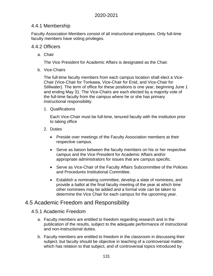# 4.4.1 Membership

Faculty Association Members consist of all instructional employees. Only full-time faculty members have voting privileges.

### 4.4.2 Officers

a. Chair

The Vice President for Academic Affairs is designated as the Chair.

b. Vice-Chairs

The full-time faculty members from each campus location shall elect a Vice-Chair (Vice-Chair for Tonkawa, Vice-Chair for Enid, and Vice-Chair for Stillwater). The term of office for these positions is one year, beginning June 1 and ending May 31. The Vice-Chairs are each elected by a majority vote of the full-time faculty from the campus where he or she has primary instructional responsibility.

1. Qualifications

Each Vice-Chair must be full-time, tenured faculty with the institution prior to taking office

- 2. Duties
	- Preside over meetings of the Faculty Association members at their respective campus.
	- Serve as liaison between the faculty members on his or her respective campus and the Vice President for Academic Affairs and/or appropriate administrators for issues that are campus specific.
	- Serve as Vice-Chair of the Faculty Affairs Subcommittee of the Policies and Procedures Institutional Committee.
	- Establish a nominating committee, develop a slate of nominees, and provide a ballot at the final faculty meeting of the year at which time other nominees may be added and a formal vote can be taken to determine the Vice Chair for each campus for the upcoming year.

# 4.5 Academic Freedom and Responsibility

# 4.5.1 Academic Freedom

- a. Faculty members are entitled to freedom regarding research and in the publication of the results, subject to the adequate performance of instructional and non-instructional duties.
- b. Faculty members are entitled to freedom in the classroom in discussing their subject, but faculty should be objective in teaching of a controversial matter, which has relation to that subject, and of controversial topics introduced by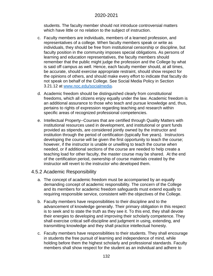students. The faculty member should not introduce controversial matters which have little or no relation to the subject of instruction.

- c. Faculty members are individuals, members of a learned profession, and representatives of a college. When faculty members speak or write as individuals, they should be free from institutional censorship or discipline, but faculty position in the community imposes special obligations. As persons of learning and education representatives, the faculty members should remember that the public might judge the profession and the College by what is said off campus as well. Hence, each faculty member should, at all times, be accurate, should exercise appropriate restraint, should show respect for the opinions of others, and should make every effort to indicate that faculty do not speak on behalf of the College. See Social Media Policy in Section 3.21.12 at [www.noc.edu/socialmedia.](http://www.noc.edu/socialmedia)
- d. Academic freedom should be distinguished clearly from constitutional freedoms, which all citizens enjoy equally under the law. Academic freedom is an additional assurance to those who teach and pursue knowledge and, thus, pertains to rights of expression regarding teaching and research within specific areas of recognized professional competencies.
- e. Intellectual Property--Courses that are certified through Quality Matters with institutional resources used in development, and institutional or grant funds provided as stipends, are considered jointly owned by the instructor and institution through the period of certification (typically five years). Instructors developing the course will be given the first opportunity to teach the course; however, if the instructor is unable or unwilling to teach the course when needed, or if additional sections of the course are needed to help create a teaching load for other faculty, the master course may be shared. At the end of the certification period, ownership of course materials created by the instructor will revert to the instructor who developed them.

### 4.5.2 Academic Responsibility

- a. The concept of academic freedom must be accompanied by an equally demanding concept of academic responsibility. The concern of the College and its members for academic freedom safeguards must extend equally to requiring responsible service, consistent with the objectives of the College.
- b. Faculty members have responsibilities to their discipline and to the advancement of knowledge generally. Their primary obligation in this respect is to seek and to state the truth as they see it. To this end, they shall devote their energies to developing and improving their scholarly competence. They shall exercise critical self-discipline and judgment in using, extending, and transmitting knowledge and they shall practice intellectual honesty.
- c. Faculty members have responsibilities to their students. They shall encourage in students the free pursuit of learning and independence of mind, while holding before them the highest scholarly and professional standards. Faculty members shall show respect for the student as an individual and adhere to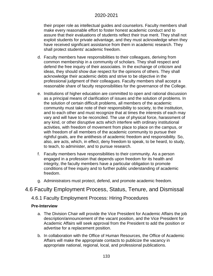their proper role as intellectual guides and counselors. Faculty members shall make every reasonable effort to foster honest academic conduct and to assure that their evaluations of students reflect their true merit. They shall not exploit students for private advantage, and they must acknowledge when they have received significant assistance from them in academic research. They shall protect students' academic freedom.

- d. Faculty members have responsibilities to their colleagues, deriving from common membership in a community of scholars. They shall respect and defend the free inquiry of their associates. In the exchange of criticism and ideas, they should show due respect for the opinions of others. They shall acknowledge their academic debts and strive to be objective in the professional judgment of their colleagues. Faculty members shall accept a reasonable share of faculty responsibilities for the governance of the College.
- e. Institutions of higher education are committed to open and rational discussion as a principal means of clarification of issues and the solution of problems. In the solution of certain difficult problems, all members of the academic community must take note of their responsibility to society, to the institution, and to each other and must recognize that at times the interests of each may vary and will have to be reconciled. The use of physical force, harassment of any kind, or other disruptive acts which interfere with ordinary institutional activities, with freedom of movement from place to place on the campus, or with freedom of all members of the academic community to pursue their rightful goals, are the antithesis of academic freedom and responsibility. So, also, are acts, which, in effect, deny freedom to speak, to be heard, to study, to teach, to administer, and to pursue research.
- f. Faculty members have responsibilities to their community. As a person engaged in a profession that depends upon freedom for its health and integrity, the faculty members have a particular obligation to promote conditions of free inquiry and to further public understanding of academic freedom.
- g. Administrators must protect, defend, and promote academic freedom.

# 4.6 Faculty Employment Process, Status, Tenure, and Dismissal

# 4.6.1 Faculty Employment Process: Hiring Procedures

#### **Pre-Interview**

- a. The Division Chair will provide the Vice President for Academic Affairs the job description/announcement of the vacant position, and the Vice President for Academic Affairs will seek approval from the President to add the position or advertise for a replacement position.
- b. In collaboration with the Office of Human Resources, the Office of Academic Affairs will make the appropriate contacts to publicize the vacancy in appropriate national, regional, local, and professional publications.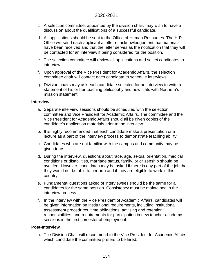- c. A selection committee, appointed by the division chair, may wish to have a discussion about the qualifications of a successful candidate.
- d. All applications should be sent to the Office of Human Resources. The H.R. Office will send each applicant a letter of acknowledgement that materials have been received and that the letter serves as the notification that they will be contacted for an interview if being considered for the position.
- e. The selection committee will review all applications and select candidates to interview.
- f. Upon approval of the Vice President for Academic Affairs, the selection committee chair will contact each candidate to schedule interviews.
- g. Division chairs may ask each candidate selected for an interview to write a statement of his or her teaching philosophy and how it fits with Northern's mission statement.

#### **Interview**

- a. Separate interview sessions should be scheduled with the selection committee and Vice President for Academic Affairs. The committee and the Vice President for Academic Affairs should all be given copies of the candidate's application materials prior to the interview.
- b. It is highly recommended that each candidate make a presentation or a lecture as a part of the interview process to demonstrate teaching ability
- c. Candidates who are not familiar with the campus and community may be given tours.
- d. During the interview, questions about race, age, sexual orientation, medical conditions or disabilities, marriage status, family, or citizenship should be avoided. However, candidates may be asked if there is any part of the job that they would not be able to perform and if they are eligible to work in this country.
- e. Fundamental questions asked of interviewees should be the same for all candidates for the same position. Consistency must be maintained in the interview process.
- f. In the interview with the Vice President of Academic Affairs, candidates will be given information on institutional requirements, including institutional assessment procedures, time obligations, advising and retention responsibilities, and requirements for participation in new teacher academy sessions in the first semester of employment.

#### **Post-Interview**

a. The Division Chair will recommend to the Vice President for Academic Affairs which candidate the committee prefers to be hired.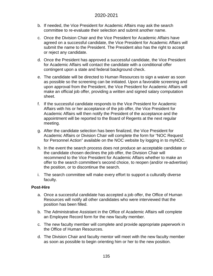- b. If needed, the Vice President for Academic Affairs may ask the search committee to re-evaluate their selection and submit another name.
- c. Once the Division Chair and the Vice President for Academic Affairs have agreed on a successful candidate, the Vice President for Academic Affairs will submit the name to the President. The President also has the right to accept or reject any candidate.
- d. Once the President has approved a successful candidate, the Vice President for Academic Affairs will contact the candidate with a conditional offer contingent upon a state and federal background check.
- e. The candidate will be directed to Human Resources to sign a waiver as soon as possible so the screening can be initiated. Upon a favorable screening and upon approval from the President, the Vice President for Academic Affairs will make an official job offer, providing a written and signed salary computation sheet.
- f. If the successful candidate responds to the Vice President for Academic Affairs with his or her acceptance of the job offer, the Vice President for Academic Affairs will then notify the President of the acceptance and the appointment will be reported to the Board of Regents at the next regular meeting.
- g. After the candidate selection has been finalized, the Vice President for Academic Affairs or Division Chair will complete the form for "NOC Request for Personnel Action" available on the NOC website by logging in to myNOC.
- h. In the event the search process does not produce an acceptable candidate or the candidate chosen declines the job offer, the Division Chair will recommend to the Vice President for Academic Affairs whether to make an offer to the search committee's second choice, to reopen (and/or re-advertise) the position, or to discontinue the search.
- i. The search committee will make every effort to support a culturally diverse faculty.

#### **Post-Hire**

- a. Once a successful candidate has accepted a job offer, the Office of Human Resources will notify all other candidates who were interviewed that the position has been filled.
- b. The Administrative Assistant in the Office of Academic Affairs will complete an Employee Record form for the new faculty member.
- c. The new faculty member will complete and provide appropriate paperwork in the Office of Human Resources.
- d. The Division Chair and faculty mentor will meet with the new faculty member as soon as possible to begin orienting him or her to the new position.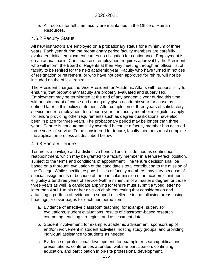e. All records for full-time faculty are maintained in the Office of Human Resources.

# 4.6.2 Faculty Status

All new instructors are employed on a probationary status for a minimum of three years. Each year during the probationary period faculty members are carefully evaluated. Initial employment carries no obligation for continuance. Employment is on an annual basis. Continuance of employment requires approval by the President, who will inform the Board of Regents at their May meeting through an official list of faculty to be rehired for the next academic year. Faculty who have turned in notices of resignation or retirement, or who have not been approved for rehire, will not be included on the official rehire list.

The President charges the Vice President for Academic Affairs with responsibility for ensuring that probationary faculty are properly evaluated and supervised. Employment may be terminated at the end of any academic year during this time without statement of cause and during any given academic year for cause as defined later in this policy statement. After completion of three years of satisfactory service and re-employment for a fourth year, the faculty member is eligible to apply for tenure providing other requirements such as degree qualifications have also been in place for three years. The probationary period may be longer than three years. Tenure is not automatically awarded because a faculty member has accrued three years of service. To be considered for tenure, faculty members must complete the application process as described below.

# 4.6.3 Faculty Tenure

Tenure is a privilege and a distinctive honor. Tenure is defined as continuous reappointment, which may be granted to a faculty member in a tenure-track position, subject to the terms and conditions of appointment. The tenure decision shall be based on a thorough evaluation of the candidate's total contribution to the mission of the College. While specific responsibilities of faculty members may vary because of special assignments or because of the particular mission of an academic unit upon eligibility after three years of service (with a minimum of a master's degree for those three years as well) a candidate applying for tenure must submit a typed letter no later than April 1 to his or her division chair requesting that consideration and attaching a portfolio of evidence to support excellence in the following areas, using headings or cover pages for each numbered item:

- a. Evidence of effective classroom teaching, for example, supervisor evaluations, student evaluations, results of classroom-based research comparing teaching strategies, and assessment data.
- b. Student involvement, for example, academic advisement, sponsorship of and/or involvement in student activities, hosting study groups, and providing individual assistance to students as needed.
- c. Evidence of professional development, for example, research/publications, presentations, conferences attended, webinar participation, continuing education, and participation in on-site professional development.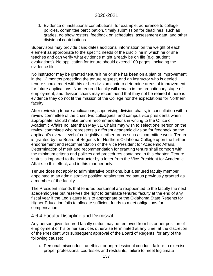d. Evidence of institutional contributions, for example, adherence to college policies, committee participation, timely submission for deadlines, such as grades, no show rosters, feedback on schedules, assessment data, and other divisional contributions.

Supervisors may provide candidates additional information on the weight of each element as appropriate to the specific needs of the discipline in which he or she teaches and can verify what evidence might already be on file (e.g. student evaluations). No application for tenure should exceed 100 pages, including the evidence file.

No instructor may be granted tenure if he or she has been on a plan of improvement in the 12 months preceding the tenure request, and an instructor who is denied tenure should meet with his or her division chair to determine areas of improvement for future applications. Non-tenured faculty will remain in the probationary stage of employment, and division chairs may recommend that they not be rehired if there is evidence they do not fit the mission of the College nor the expectations for Northern faculty.

After reviewing tenure applications, supervising division chairs, in consultation with a review committee of the chair, two colleagues, and campus vice presidents when appropriate, should make tenure recommendations in writing to the Office of Academic Affairs no later than May 31. Chairs may wish to select one person on the review committee who represents a different academic division for feedback on the applicant's overall level of collegiality in other areas such as committee work. Tenure is granted by the Board of Regents for Northern Oklahoma College upon the further endorsement and recommendation of the Vice President for Academic Affairs. Determination of merit and recommendation for granting tenure shall comport with the minimum criteria and policies and procedures contained in this chapter. Tenure status is imparted to the instructor by a letter from the Vice President for Academic Affairs to this effect, and in this manner only.

Tenure does not apply to administrative positions, but a tenured faculty member appointed to an administrative position retains tenured status previously granted as a member of the faculty.

The President intends that tenured personnel are reappointed to the faculty the next academic year but reserves the right to terminate tenured faculty at the end of any fiscal year if the Legislature fails to appropriate or the Oklahoma State Regents for Higher Education fails to allocate sufficient funds to meet obligations for compensation.

### 4.6.4 Faculty Discipline and Dismissal

Any person given tenured faculty status may be removed from his or her position of employment or his or her services otherwise terminated at any time, at the discretion of the President with subsequent approval of the Board of Regents, for any of the following causes:

a. Personal misconduct; unethical or unprofessional conduct; failure to exercise proper professional courtesies and restraints; failure to meet legitimate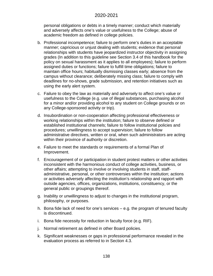personal obligations or debts in a timely manner; conduct which materially and adversely affects one's value or usefulness to the College; abuse of academic freedom as defined in college policies.

- b. Professional incompetence; failure to perform one's duties in an acceptable manner; capricious or unjust dealing with students; evidence that personal relationships with students have jeopardized instructor objectivity in assigning grades (In addition to this guideline see Section 3.4 of this handbook for the policy on sexual harassment as it applies to all employees); failure to perform assigned duties or functions; failure to fulfill time obligations; failure to maintain office hours; habitually dismissing classes early; absence from the campus without clearance; deliberately missing class; failure to comply with deadlines for no-shows, grade submission, and retention initiatives such as using the early alert system.
- c. Failure to obey the law as materially and adversely to affect one's value or usefulness to the College (e.g. use of illegal substances, purchasing alcohol for a minor and/or providing alcohol to any student on College grounds or on any College-sponsored activity or trip).
- d. Insubordination or non-cooperation affecting professional effectiveness or working relationships within the institution; failure to observe defined or established institutional channels; failure to follow institutional policies and procedures; unwillingness to accept supervision; failure to follow administrative directives, written or oral, when such administrators are acting within their province of authority or discretion.
- e. Failure to meet the standards or requirements of a formal Plan of Improvement.
- f. Encouragement of or participation in student protest matters or other activities inconsistent with the harmonious conduct of college activities, business, or other affairs; attempting to involve or involving students in staff, staffadministrative, personal, or other controversies within the institution; actions or activities adversely affecting the institution's relationship and rapport with outside agencies, offices, organizations, institutions, constituency, or the general public or groupings thereof.
- g. Inability or unwillingness to adjust to changes in the institutional program, philosophy, or purposes.
- h. Bona fide lack of need for one's services e.g. the program of tenured faculty is discontinued.
- i. Bona fide necessity for reduction in faculty force (e.g. RIF).
- j. Normal retirement as defined in other Board policies.
- k. Significant weaknesses or gaps in professional performance revealed in the evaluation process as referred to in Section 4.3.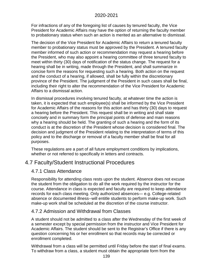For infractions of any of the foregoing list of causes by tenured faculty, the Vice President for Academic Affairs may have the option of returning the faculty member to probationary status when such an action is merited as an alternative to dismissal.

The decision of the Vice President for Academic Affairs to return a tenured faculty member to probationary status must be approved by the President. A tenured faculty member informed of such action or recommendation may request a hearing before the President, who may also appoint a hearing committee of three tenured faculty to meet within thirty (30) days of notification of the status change. The request for a hearing shall be in writing, made through the President, and shall summarize in concise form the reasons for requesting such a hearing. Both action on the request and the conduct of a hearing, if allowed, shall be fully within the discretionary province of the President. The judgment of the President in such cases shall be final, including their right to alter the recommendation of the Vice President for Academic Affairs to a dismissal action.

In dismissal procedures involving tenured faculty, at whatever time the action is taken, it is expected that such employee(s) shall be informed by the Vice President for Academic Affairs of the reasons for this action and has thirty (30) days to request a hearing before the President. This request shall be in writing and shall state concisely and in summary form the principal points of defense and main reasons why a hearing should be held. The granting of such a hearing and the form of its conduct is at the discretion of the President whose decision is considered final. The decision and judgment of the President relating to the interpretation of terms of this policy and to the discharge or removal of a faculty member shall be final for all purposes.

These regulations are a part of all future employment conditions by implications, whether or not referred to specifically in letters and contracts.

# 4.7 Faculty/Student Instructional Procedures

# 4.7.1 Class Attendance

Responsibility for attending class rests upon the student. Absence does not excuse the student from the obligation to do all the work required by the instructor for the course. Attendance in class is expected and faculty are required to keep attendance records for each class meeting. Only authorized absences— e.g. College-related absence or documented illness--will entitle students to perform make-up work. Such make-up work shall be scheduled at the discretion of the course instructor.

# 4.7.2 Admission and Withdrawal from Classes

A student should not be admitted to a class after the Wednesday of the first week of a semester except by special permission from the instructor and Vice President for Academic Affairs. The student should be sent to the Registrar's Office if there is any question concerning his or her enrollment so that records may be corrected or enrollment completed.

Withdrawal from a class will be permitted until Friday before the start of final exams. To withdraw from a class, a student must obtain the appropriate form from the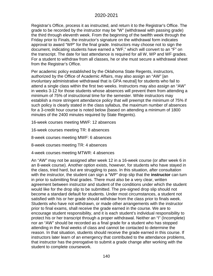Registrar's Office, process it as instructed, and return it to the Registrar's Office. The grade to be recorded by the instructor may be "W" (withdrawal with passing grade) the third through eleventh week. From the beginning of the twelfth week through the Friday prior to Finals, the instructor's signature on the withdrawal form indicates approval to award "WP" for the final grade. Instructors may choose not to sign the document, indicating students have earned a "WF," which will convert to an "F" on the transcript. The date for last attendance is required for all W, WP and WF grades. For a student to withdraw from all classes, he or she must secure a withdrawal sheet from the Registrar's Office.

Per academic policy established by the Oklahoma State Regents, instructors, authorized by the Office of Academic Affairs, may also assign an "AW" [an involuntary administrative withdrawal that is GPA neutral] for students who fail to attend a single class within the first two weeks. Instructors may also assign an "AW" in weeks 3-12 for those students whose absences will prevent them from attending a minimum of 75% of instructional time for the semester. While instructors may establish a more stringent attendance policy that will preempt the minimum of 75% if such policy is clearly stated in the class syllabus, the maximum number of absences for a 3-credit hour course is noted below (based on attending a minimum of 1800 minutes of the 2400 minutes required by State Regents).

16-week courses meeting MWF: 12 absences

16-week courses meeting TR: 8 absences

8-week courses meeting MWF: 6 absences

8-week courses meeting TR: 4 absences

4-week courses meeting MTWR: 4 absences

An "AW" may not be assigned after week 12 in a 16-week course (or after week 6 in an 8-week course). Another option exists, however, for students who have stayed in the class, tried hard, but are struggling to pass. In this situation, after consultation with the instructor, the student can sign a "WP" drop slip that the **instructor** can turn in prior to submitting final grades. There must also be a very clear, written agreement between instructor and student of the conditions under which the student would like for the drop slip to be submitted. The pre-signed drop slip should not become a standard default for students. Under most circumstances, a student not satisfied with his or her grade should withdraw from the class prior to finals week. Students who have not withdrawn, or made other arrangements with the instructor prior to final exams, shall receive the grade earned in the course. We are to encourage student responsibility, and it is each student's individual responsibility to protect his or her transcript through a proper withdrawal. Neither an "I" (Incomplete) nor an "AW" should be recorded as a final grade for a student who has stopped attending in the final weeks of class and cannot be contacted to determine the reason. In that situation, students should receive the grade earned in this course. If instructors later learn of an emergency that contributed to the attendance problems, that instructor has the prerogative to submit a grade change after working with the student to complete coursework.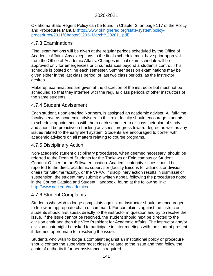Oklahoma State Regent Policy can be found in Chapter 3, on page 117 of the [Policy](http://www.okhighered.org/state-system/policy-procedures/2011/Chapter%203-%20March%202011.pdf)  [and Procedures Manual \(http://www.okhighered.org/state-system/policy](http://www.okhighered.org/state-system/policy-procedures/2011/Chapter%203-%20March%202011.pdf)[procedures/2011/Chapter%203-](http://www.okhighered.org/state-system/policy-procedures/2011/Chapter%203-%20March%202011.pdf) March%202011.pdf).

# 4.7.3 Examinations

Final examinations will be given at the regular periods scheduled by the Office of Academic Affairs. Any exceptions to the finals schedule must have prior approval from the Office of Academic Affairs. Changes in final exam schedule will be approved only for emergencies or circumstances beyond a student's control. This schedule is posted online each semester. Summer session examinations may be given either in the last class period, or last two class periods, as the instructor desires.

Make-up examinations are given at the discretion of the instructor but must not be scheduled so that they interfere with the regular class periods of other instructors of the same students.

# 4.7.4 Student Advisement

Each student, upon entering Northern, is assigned an academic adviser. All full-time faculty serve as academic advisors. In this role, faculty should encourage students to schedule appointments with them each semester to discuss their plan of study and should be proactive in tracking advisees' progress toward degree as well as any issues related to the early alert system. Students are encouraged to confer with academic advisors on all matters relating to course programs.

# 4.7.5 Disciplinary Action

Non-academic student disciplinary procedures, when deemed necessary, should be referred to the Dean of Students for the Tonkawa or Enid campus or Student Conduct Officer for the Stillwater location. Academic integrity issues should be reported to the direct academic supervisor (faculty liaisons for adjuncts or division chairs for full-time faculty), or the VPAA. If disciplinary action results in dismissal or suspension, the student may submit a written appeal following the procedures noted in the Course Catalog and Student Handbook, found at the following link: <http://www.noc.edu/academics>

# 4.7.6 Student Complaints

Students who wish to lodge complaints against an instructor should be encouraged to follow an appropriate chain of command. For complaints against the instructor, students should first speak directly to the instructor in question and try to resolve the issue. If the issue cannot be resolved, the student should next be directed to the division chair and then the Vice President for Academic Affairs. The instructor and/or division chair might be asked to participate in later meetings with the student present if deemed appropriate for resolving the issue.

Students who wish to lodge a complaint against an institutional policy or procedure should contact the supervisor most closely related to the issue and then follow the chain of authority if further assistance is required.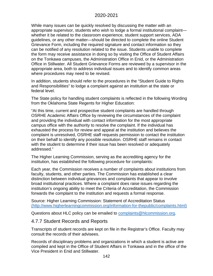While many issues can be quickly resolved by discussing the matter with an appropriate supervisor, students who wish to lodge a formal institutional complaint whether it be related to the classroom experience, student support services, ADA guidelines, or any other matter—should be directed to complete the online Student Grievance Form, including the required signature and contact information so they can be notified of any resolution related to the issue. Students unable to complete the form may receive assistance in doing so by visiting the Office of Student Affairs on the Tonkawa campuses, the Administration Office in Enid, or the Administration Office in Stillwater. All Student Grievance Forms are reviewed by a supervisor in the appropriate area, both to address individual issues and to identify common areas where procedures may need to be revised.

In addition, students should refer to the procedures in the "Student Guide to Rights and Responsibilities" to lodge a complaint against an institution at the state or federal level.

The State policy for handling student complaints is reflected in the following Wording from the Oklahoma State Regents for Higher Education:

"At this time, current and prospective student complaints are handled through OSRHE Academic Affairs Office by reviewing the circumstances of the complaint and providing the individual with contact information for the most appropriate campus office with the authority to resolve the complaint. If the individual has exhausted the process for review and appeal at the institution and believes the complaint is unresolved, OSRHE staff requests permission to contact the institution on their behalf to identify any possible resolution. OSRHE staff remains in contact with the student to determine if their issue has been resolved or adequately addressed."

The Higher Learning Commission, serving as the accrediting agency for the institution, has established the following procedure for complaints:

Each year, the Commission receives a number of complaints about institutions from faculty, students, and other parties. The Commission has established a clear distinction between individual grievances and complaints that appear to involve broad institutional practices. Where a complaint does raise issues regarding the institution's ongoing ability to meet the Criteria of Accreditation, the Commission forwards the complaint to the institution and requests a formal response.

Source: [Higher Learning Commission: Statement of Accreditation Status](http://www.higherlearningcommission.org/information-for-thepublic/complaints.html) [\(http://www.higherlearningcommission.org/information-for-thepublic/complaints.html\)](http://www.higherlearningcommission.org/information-for-thepublic/complaints.html)

Questions about HLC policy can be emailed to [complaints@hlcommission.org.](mailto:complaints@hlcommission.org)

# 4.7.7 Student Records and Reports

Transcripts of student records are kept on file in the Registrar's Office. Faculty may consult the records of their advisees.

Records of disciplinary problems and organizations in which a student is active are compiled and kept in the Office of Student Affairs in Tonkawa and in the office of the Vice President in Enid and Stillwater.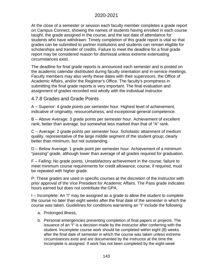At the close of a semester or session each faculty member completes a grade report on Campus Connect, showing the names of students having enrolled in each course taught, the grade assigned in the course, and the last date of attendance for students who have withdrawn. Timely completion of this grade report is vital so that grades can be submitted to partner institutions and students can remain eligible for scholarships and transfer of credits. Failure to meet the deadline for a final grade report may be considered reason for dismissal unless extreme extenuating circumstances exist.

The deadline for final grade reports is announced each semester and is posted on the academic calendar distributed during faculty orientation and in-service meetings. Faculty members may also verify these dates with their supervisors, the Office of Academic Affairs, and/or the Registrar's Office. The faculty's promptness in submitting the final grade reports is very important. The final evaluation and assignment of grades recorded rest wholly with the individual instructor.

# 4.7.8 Grades and Grade Points

A – Superior: 4 grade points per semester hour. Highest level of achievement, indicative of originality, resourcefulness, and exceptional general competence.

B – Above Average: 3 grade points per semester hour. Achievement of excellent rank; better than average, but somewhat less marked than that of "A" rank.

C – Average: 2 grade points per semester hour. Scholastic attainment of medium quality, representative of the large middle segment of the student group; clearly better than minimum, but not outstanding.

D – Below Average: 1 grade point per semester hour. Achievement of a minimum "passing" grade, although lower than average of all grades required for graduation.

F – Failing: No grade points. Unsatisfactory achievement in the course; failure to meet minimum course requirements for credit allowance; course, if required, must be repeated with higher grade.

P: These grades are used in specific courses at the discretion of the instructor with prior approval of the Vice President for Academic Affairs. The Pass grade indicates hours earned but does not contribute the GPA.

I – Incomplete: An "I" may be assigned as a grade to allow the student to complete the course no later than eight weeks after the final date of the semester in which the course was taken. Guidelines for conditions warranting an "I" include the following:

- a. Prolonged illness,
- b. Personal emergencies preventing completion of final papers or projects. The issuance of an "I" is a decision made by the instructor after conferring with the student. Incomplete course work should be completed within eight (8) weeks after the final date of semester in which the course was taken unless extreme circumstances exist and are documented by the instructor at the time the Incomplete is assigned. If work has not been completed by the eight-week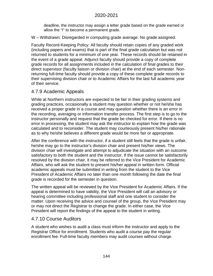deadline, the instructor may assign a letter grade based on the grade earned or allow the "I" to become a permanent grade.

W – Withdrawn: Disregarded in computing grade average. No grade assigned.

Faculty Record-Keeping Policy: All faculty should retain copies of any graded work (including papers and exams) that is part of the final grade calculation but was not returned to students for a minimum of one year. These records should be retained in the event of a grade appeal. Adjunct faculty should provide a copy of complete grade records for all assignments included in the calculation of final grades to their direct supervisor (faculty liaison or division chair) at the end of each semester. Nonreturning full-time faculty should provide a copy of these complete grade records to their supervising division chair or to Academic Affairs for the last full academic year of their service.

# 4.7.9 Academic Appeals

While at Northern instructors are expected to be fair in their grading systems and grading practices, occasionally a student may question whether or not he/she has received a proper grade in a course and may question whether there is an error in the recording, averaging or information transfer process. The first step is to go to the instructor personally and request that the grade be checked for error. If there is no error in processing, the student may ask the instructor to explain how the grade was calculated and to reconsider. The student may courteously present his/her rationale as to why he/she believes a different grade would be more fair or appropriate.

After the conference with the instructor, if a student still feels that the grade is unfair, he/she may go to the instructor's division chair and present his/her views. The division chair will investigate and attempt to adjudicate the situation with an outcome satisfactory to both the student and the instructor. If the issue cannot be satisfactorily resolved by the division chair, it may be referred to the Vice President for Academic Affairs, who will ask the student to present his/her appeal in written form. Official academic appeals must be submitted in writing from the student to the Vice President of Academic Affairs no later than one month following the date the final grade is recorded for the semester in question.

The written appeal will be reviewed by the Vice President for Academic Affairs. If the appeal is determined to have validity, the Vice President will call an advisory or hearing committee including professional staff and one student to consider the matter. Upon receiving the advice and counsel of the group, the Vice President may or may not direct the Registrar to change the grade. In either case, the Vice President will report the findings of the appeal to the student in writing.

# 4.7.10 Course Auditors

A student who wishes to audit a class must inform the instructor and apply to the Registrar Office for enrollment. Students who audit a course pay the regular enrollment fee. Full-time faculty members may audit courses without charge.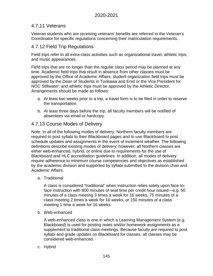## 4.7.11 Veterans

Veteran students who are receiving veterans' benefits are referred to the Veteran's Coordinator for specific regulations concerning their matriculation requirements.

## 4.7.12 Field Trip Regulations

Field trips refer to all extra-class activities such as organizational travel, athletic trips, and music appearances.

Field trips that are no longer than the regular class period may be planned at any time. Academic field trips that result in absence from other classes must be approved by the Office of Academic Affairs; student organization field trips must be approved by the Dean of Students in Tonkawa and Enid or the Vice President for NOC Stillwater; and athletic trips must be approved by the Athletic Director. Arrangements should be made as follows:

- a. At least two weeks prior to a trip, a travel form is to be filed in order to reserve the transportation.
- b. At least three days before the trip, all faculty members will be notified of absentees via email or hardcopy.

## 4.7.13 Course Modes of Delivery

Note: In all of the following modes of delivery, Northern faculty members are required to post syllabi to their Blackboard pages and to use Blackboard to post schedule updates and assignments in the event of inclement weather. The following definitions describe existing modes of delivery; however, all Northern classes are either web-enhanced, hybrid, or online due to requirements for the use of Blackboard and HLC accreditation guidelines. In addition, all modes of delivery require adherence to minimum course competencies and objectives as established by the academic division and supported by syllabi submitted to the division chair and Academic Affairs.

a. Traditional

A class is considered "traditional" when instruction relies solely upon face-toface instruction with 800 minutes of seat time per credit hour issued—e.g. 50 minutes of a class meeting 3 times a week for 16 weeks, 75 minutes of a class meeting 2 times a week for 16 weeks, or 150 minutes of a class meeting 1 time a week for 16 weeks.

b. Web-enhanced

A web-enhanced class is one in which a Learning Management System (e.g. Blackboard) is used for posting notes and/or homework assignments as a supplement to traditional class meetings. Because faculty are required to post syllabi and grade updates on Blackboard for classes, all classes may be considered web-enhanced.

c. Hybrid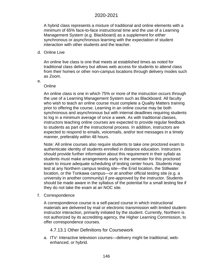A hybrid class represents a mixture of traditional and online elements with a minimum of 65% face-to-face instructional time and the use of a Learning Management System (e.g. Blackboard) as a supplement for either synchronous or asynchronous learning with the expectation of student interaction with other students and the teacher.

d. Online Live

An online live class is one that meets at established times as noted for traditional class delivery but allows web access for students to attend class from their homes or other non-campus locations through delivery modes such as Zoom.

e.

#### **Online**

An online class is one in which 75% or more of the instruction occurs through the use of a Learning Management System such as Blackboard. All faculty who wish to teach an online course must complete a Quality Matters training prior to offering the course. Learning in an online course may be both synchronous and asynchronous but with internal deadlines requiring students to log in a minimum average of once a week. As with traditional classes, instructors teaching online courses are expected to provide regular feedback to students as part of the instructional process. In addition, instructors are expected to respond to emails, voicemails, and/or text messages in a timely manner, preferably within 48 hours.

Note: All online courses also require students to take one proctored exam to authenticate identity of students enrolled in distance education. Instructors should provide further information about this requirement in their syllabi as students must make arrangements early in the semester for this proctored exam to insure adequate scheduling of testing center hours. Students may test at any Northern campus testing site—the Enid location, the Stillwater location, or the Tonkawa campus—or at another official testing site (e.g. a university in another community) if pre-approved by the instructor. Students should be made aware in the syllabus of the potential for a small testing fee if they do not take the exam at an NOC site.

f. Correspondence

A correspondence course is a self-paced course in which instructional materials are delivered by mail or electronic transmission with limited studentinstructor interaction, primarily initiated by the student. Currently, Northern is not authorized by its accrediting agency, the Higher Learning Commission, to offer correspondence courses.

- 4.7.13.1 Other Definitions for Coursework
- a. ITV: Interactive television courses—delivery might be traditional, webenhanced, or hybrid.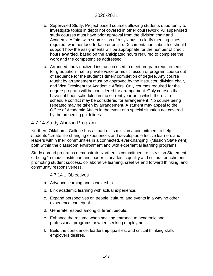- b. Supervised Study: Project-based courses allowing students opportunity to investigate topics in depth not covered in other coursework. All supervised study courses must have prior approval from the division chair and Academic Affairs with submission of a syllabus to clarify meeting times required, whether face-to-face or online. Documentation submitted should support how the assignments will be appropriate for the number of credit hours awarded, based on the anticipated hours required to complete the work and the competencies addressed.
- c. Arranged: Individualized instruction used to meet program requirements for graduation—i.e. a private voice or music lesson or program course out of sequence for the student's timely completion of degree. Any course taught by arrangement must be approved by the instructor, division chair, and Vice President for Academic Affairs. Only courses required for the degree program will be considered for arrangement. Only courses that have not been scheduled in the current year or in which there is a schedule conflict may be considered for arrangement. No course being repeated may be taken by arrangement. A student may appeal to the Office of Academic Affairs in the event of a special situation not covered by the preceding guidelines.

## 4.7.14 Study Abroad Program

Northern Oklahoma College has as part of its mission a commitment to help students "create life-changing experiences and develop as effective learners and leaders within their communities in a connected, ever-changing" (Mission Statement) both within the classroom environment and with experiential learning programs.

Study abroad programs demonstrate Northern's commitment to its Vision Statement of being "a model institution and leader in academic quality and cultural enrichment, promoting student success, collaborative learning, creative and forward thinking, and community responsiveness."

4.7.14.1 Objectives

- a. Advance learning and scholarship
- b. Link academic learning with actual experience.
- c. Expand perspectives on people, culture, and events in a way no other experience can equal.
- d. Generate respect among different people.
- e. Enhance the resume when seeking entrance to academic and professional programs or when seeking employment.
- f. Build the confidence, leadership qualities, and critical thinking skills employers desires.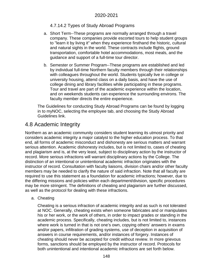#### 4.7.14.2 Types of Study Abroad Programs

- a. Short Term--These programs are normally arranged through a travel company. These companies provide escorted tours to help student groups to "learn it by living it" when they experience firsthand the historic, cultural and natural sights in the world. These contracts include flights, ground transportation, comfortable hotel accommodations, most meals, and the guidance and support of a full-time tour director.
- b. Semester or Summer Program--These programs are established and led by individual full-time Northern faculty members through their relationships with colleagues throughout the world. Students typically live in college or university housing, attend class on a daily basis, and have the use of college dining and library facilities while participating in these programs. Tour and travel are part of the academic experience within the location, and on weekends students can experience the surrounding environs. The faculty member directs the entire experience.

The Guidelines for conducting Study Abroad Programs can be found by logging in to myNOC, selecting the employee tab, and choosing the Study Abroad Guidelines link.

## 4.8 Academic Integrity

Northern as an academic community considers student learning its utmost priority and considers academic integrity a major catalyst to the higher education process. To that end, all forms of academic misconduct and dishonesty are serious matters and warrant serious attention. Academic dishonesty includes, but is not limited to, cases of cheating and plagiarism and is, at the very least, subject to disciplinary action by the instructor of record. More serious infractions will warrant disciplinary actions by the College. The distinction of an intentional or unintentional academic infraction originates with the instructor of record. Consultation with faculty liaisons, division chairs and/or other faculty members may be needed to clarify the nature of said infraction. Note that all faculty are required to use this statement as a foundation for academic infractions; however, due to the differing missions and policies within each department/division, specific procedures may be more stringent. The definitions of cheating and plagiarism are further discussed, as well as the protocol for dealing with these infractions.

a. Cheating

Cheating is a serious infraction of academic integrity and as such is not tolerated at NOC. Generally, cheating exists when someone fabricates and or manipulates his or her work, or the work of others, in order to impact grades or standing in the academic process. Specifically, cheating includes, but is not limited to, instances where work is turned in that is not one's own, copying others' answers in exams and/or papers, infiltration of grading systems, use of deception in acquisition of answers in course requirements, and/or instances of forgery. Instances of cheating should never be accepted for credit without review. In more grievous forms, sanctions should be employed by the instructor of record. Protocols for both unintentional and intentional academic infractions are set forth below.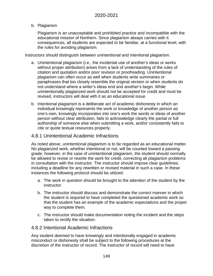#### b. Plagiarism

Plagiarism is an unacceptable and prohibited practice and incompatible with the educational mission of Northern. Since plagiarism always carries with it consequences, all students are expected to be familiar, at a functional level, with the rules for avoiding plagiarism.

Instructors should distinguish between unintentional and intentional plagiarism.

- a. Unintentional plagiarism (i.e., the incidental use of another's ideas or works without proper attribution) arises from a lack of understanding of the rules of citation and quotation and/or poor revision or proofreading. Unintentional plagiarism can often occur as well when students write summaries or paraphrases that too closely resemble the original version or when students do not understand where a writer's ideas end and another's begin. While unintentionally plagiarized work should not be accepted for credit and must be revised, instructors will deal with it as an educational issue.
- b. Intentional plagiarism is a deliberate act of academic dishonesty in which an individual knowingly represents the work or knowledge of another person as one's own, knowingly incorporates into one's work the words or ideas of another person without clear attribution, fails to acknowledge clearly the partial or full authorship of someone else when submitting a work, and/or consistently fails to cite or quote textual resources properly.

## 4.8.1 Unintentional Academic Infractions

As noted above, unintentional plagiarism is to be regarded as an educational matter. No plagiarized work, whether intentional or not, will be counted toward a passing grade; however, in the case of unintentional plagiarism, the student should normally be allowed to revise or rewrite the work for credit, correcting all plagiarism problems in consultation with the instructor. The instructor should impose clear guidelines, including a deadline for any rewritten or revised material in such a case. In these instances the following protocol should be utilized:

- a. The work in question should be brought to the attention of the student by the instructor.
- b. The instructor should discuss and demonstrate the correct manner in which the student is required to have completed the questioned academic work so that the student has an example of the academic expectations and the proper way to complete them.
- c. The instructor should make documentation noting the incident and the steps taken to rectify the situation.

## 4.8.2 Intentional Academic Infractions

Any student deemed to have knowingly and intentionally engaged in academic misconduct or dishonesty shall be subject to the following procedures at the discretion of the instructor of record. The instructor of record will need to have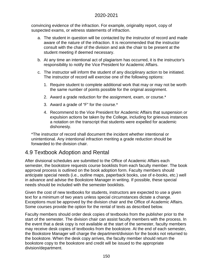convincing evidence of the infraction. For example, originality report, copy of suspected exams, or witness statements of infraction.

- a. The student in question will be contacted by the instructor of record and made aware of the nature of the infraction. It is recommended that the instructor consult with the chair of the division and ask the chair to be present at the student meeting if deemed necessary.
- b. At any time an intentional act of plagiarism has occurred, it is the instructor's responsibility to notify the Vice President for Academic Affairs.
- c. The instructor will inform the student of any disciplinary action to be initiated. The instructor of record will exercise one of the following options:
	- 1. Require student to complete additional work that may or may not be worth the same number of points possible for the original assignment.
	- 2. Award a grade reduction for the assignment, exam, or course.\*
	- 3. Award a grade of "F" for the course.\*
	- 4. Recommend to the Vice President for Academic Affairs that suspension or expulsion actions be taken by the College, including for grievous instances a notation on the transcript that students were expelled for academic dishonesty.

\*The instructor of record shall document the incident whether intentional or unintentional. Any intentional infraction meriting a grade reduction should be forwarded to the division chair.

# 4.9 Textbook Adoption and Rental

After divisional schedules are submitted to the Office of Academic Affairs each semester, the bookstore requests course booklists from each faculty member. The book approval process is outlined on the book adoption form. Faculty members should anticipate special needs (i.e., outline maps, paperback books, use of e-books, etc.) well in advance and advise the Bookstore Manager in writing. If possible, these special needs should be included with the semester booklists.

Given the cost of new textbooks for students, instructors are expected to use a given text for a minimum of two years unless special circumstances dictate a change. Exceptions must be approved by the division chair and the Office of Academic Affairs. Some courses provide the option for the rental of texts as described below.

Faculty members should order desk copies of textbooks from the publisher prior to the start of the semester. The division chair can assist faculty members with the process. In the event that a desk copy is not available at the start of the semester, faculty members may receive desk copies of textbooks from the bookstore. At the end of each semester, the Bookstore Manager will charge the department/division for the books not returned to the bookstore. When the desk copy arrives, the faculty member should return the bookstore copy to the bookstore and credit will be issued to the appropriate division/department.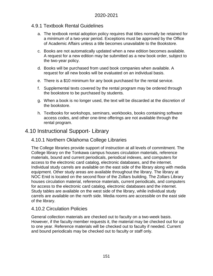## 4.9.1 Textbook Rental Guidelines

- a. The textbook rental adoption policy requires that titles normally be retained for a minimum of a two-year period. Exceptions must be approved by the Office of Academic Affairs unless a title becomes unavailable to the Bookstore.
- c. Books are not automatically updated when a new edition becomes available. A request for a new edition may be submitted as a new book order, subject to the two-year policy.
- d. Books will be purchased from used book companies when available. A request for all new books will be evaluated on an individual basis.
- e. There is a \$10 minimum for any book purchased for the rental service.
- f. Supplemental texts covered by the rental program may be ordered through the bookstore to be purchased by students.
- g. When a book is no longer used, the text will be discarded at the discretion of the bookstore.
- h. Textbooks for workshops, seminars, workbooks, books containing software access codes, and other one-time offerings are not available through the rental program.

# 4.10 Instructional Support- Library

## 4.10.1 Northern Oklahoma College Libraries

The College libraries provide support of instruction at all levels of commitment. The College library on the Tonkawa campus houses circulation materials, reference materials, bound and current periodicals, periodical indexes, and computers for access to the electronic card catalog, electronic databases, and the internet. Individual study carrels are available on the east side of the library along with media equipment. Other study areas are available throughout the library. The library at NOC Enid is located on the second floor of the Zollars building. The Zollars Library houses circulation material, reference materials, current periodicals, and computers for access to the electronic card catalog, electronic databases and the internet. Study tables are available on the west side of the library, while individual study carrels are available on the north side. Media rooms are accessible on the east side of the library.

## 4.10.2 Circulation Policies

General collection materials are checked out to faculty on a two-week basis. However, if the faculty member requests it, the material may be checked out for up to one year. Reference materials will be checked out to faculty if needed. Current and bound periodicals may be checked out to faculty or staff only.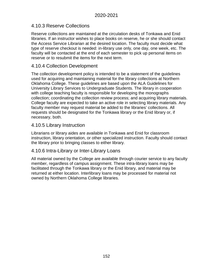## 4.10.3 Reserve Collections

Reserve collections are maintained at the circulation desks of Tonkawa and Enid libraries. If an instructor wishes to place books on reserve, he or she should contact the Access Service Librarian at the desired location. The faculty must decide what type of reserve checkout is needed: in-library use only, one day, one week, etc. The faculty will be contacted at the end of each semester to pick up personal items on reserve or to resubmit the items for the next term.

## 4.10.4 Collection Development

The collection development policy is intended to be a statement of the guidelines used for acquiring and maintaining material for the library collections at Northern Oklahoma College. These guidelines are based upon the ALA Guidelines for University Library Services to Undergraduate Students. The library in cooperation with college teaching faculty is responsible for developing the monographs collection; coordinating the collection review process; and acquiring library materials. College faculty are expected to take an active role in selecting library materials. Any faculty member may request material be added to the libraries' collections. All requests should be designated for the Tonkawa library or the Enid library or, if necessary, both.

## 4.10.5 Library Instruction

Librarians or library aides are available in Tonkawa and Enid for classroom instruction, library orientation, or other specialized instruction. Faculty should contact the library prior to bringing classes to either library.

## 4.10.6 Intra-Library or Inter-Library Loans

All material owned by the College are available through courier service to any faculty member, regardless of campus assignment. These intra-library loans may be facilitated through the Tonkawa library or the Enid library, and material may be returned at either location. Interlibrary loans may be processed for material not owned by Northern Oklahoma College libraries.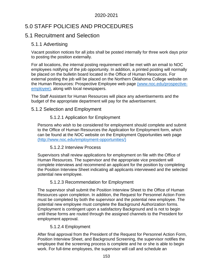# 5.0 STAFF POLICIES AND PROCEDURES

# 5.1 Recruitment and Selection

## 5.1.1 Advertising

Vacant position notices for all jobs shall be posted internally for three work days prior to posting the position externally.

For all locations, the internal posting requirement will be met with an email to NOC employees notifying of the job opportunity. In addition, a printed posting will normally be placed on the bulletin board located in the Office of Human Resources. For external posting the job will be placed on the Northern Oklahoma College website on the Human Resources: Prospective Employee web page (www.noc.edu/prospectiveemployee), along with local newspapers.

The Staff Assistant for Human Resources will place any advertisements and the budget of the appropriate department will pay for the advertisement.

## 5.1.2 Selection and Employment

## 5.1.2.1 Application for Employment

Persons who wish to be considered for employment should complete and submit to the Office of Human Resources the Application for Employment form, which can be found at the NOC website on the [Employment Opportunities web page](http://www.noc.edu/employment-opportunities/)  [\(http://www.noc.edu/employment-opportunities/\)](http://www.noc.edu/employment-opportunities/)

## 5.1.2.2 Interview Process

Supervisors shall review applications for employment on file with the Office of Human Resources. The supervisor and the appropriate vice president will complete interviews and recommend an applicant for the position by completing the Position Interview Sheet indicating all applicants interviewed and the selected potential new employee.

## 5.1.2.3 Recommendation for Employment

The supervisor shall submit the Position Interview Sheet to the Office of Human Resources upon completion. In addition, the Request for Personnel Action Form must be completed by both the supervisor and the potential new employee. The potential new employee must complete the Background Authorization forms. Employment is contingent upon a satisfactory Background and is not to begin until these forms are routed through the assigned channels to the President for employment approval.

## 5.1.2.4 Employment

After final approval from the President of the Request for Personnel Action Form, Position Interview Sheet, and Background Screening, the supervisor notifies the employee that the screening process is complete and he or she is able to begin work. For full-time employees, the supervisor will call and schedule an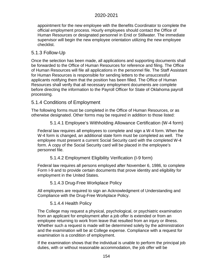appointment for the new employee with the Benefits Coordinator to complete the official employment process. Hourly employees should contact the Office of Human Resources or designated personnel in Enid or Stillwater. The immediate supervisor will begin the new employee orientation utilizing the new employee checklist.

## 5.1.3 Follow-Up

Once the selection has been made, all applications and supporting documents shall be forwarded to the Office of Human Resources for reference and filing. The Office of Human Resources will file all applications in the personnel file. The Staff Assistant for Human Resources is responsible for sending letters to the unsuccessful applicants notifying them that the position has been filled. The Office of Human Resources shall verify that all necessary employment documents are complete before directing the information to the Payroll Officer for State of Oklahoma payroll processing.

## 5.1.4 Conditions of Employment

The following forms must be completed in the Office of Human Resources, or as otherwise designated. Other forms may be required in addition to those listed:

5.1.4.1 Employee's Withholding Allowance Certification (W-4 form)

Federal law requires all employees to complete and sign a W-4 form. When the W-4 form is changed, an additional state form must be completed as well. The employee must present a current Social Security card with the completed W-4 form. A copy of the Social Security card will be placed in the employee's personnel file.

5.1.4.2 Employment Eligibility Verification (I-9 form)

Federal law requires all persons employed after November 6, 1986, to complete Form I-9 and to provide certain documents that prove identity and eligibility for employment in the United States.

5.1.4.3 Drug-Free Workplace Policy

All employees are required to sign an Acknowledgment of Understanding and Compliance with the Drug-Free Workplace Policy.

5.1.4.4 Health Policy

The College may request a physical, psychological, or psychiatric examination from an applicant for employment after a job offer is extended or from an employee returning to work from leave that resulted from an injury or illness. Whether such a request is made will be determined solely by the administration and the examination will be at College expense. Compliance with a request for examination is a condition of employment.

If the examination shows that the individual is unable to perform the principal job duties, with or without reasonable accommodation, the job offer will be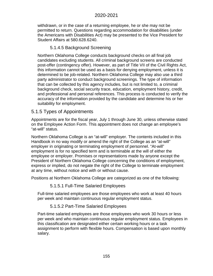withdrawn, or in the case of a returning employee, he or she may not be permitted to return. Questions regarding accommodation for disabilities (under the Americans with Disabilities Act) may be presented to the Vice President for Student Affairs at 580.628.6240.

#### 5.1.4.5 Background Screening

Northern Oklahoma College conducts background checks on all final job candidates excluding students. All criminal background screens are conducted post-offer (contingency offer). However, as part of Title VII of the Civil Rights Act, this information cannot be used as a basis for denying employment, unless it is determined to be job-related. Northern Oklahoma College may also use a third party administrator to conduct background screenings. The type of information that can be collected by this agency includes, but is not limited to, a criminal background check, social security trace, education, employment history, credit, and professional and personal references. This process is conducted to verify the accuracy of the information provided by the candidate and determine his or her suitability for employment.

## 5.1.5 Types of Appointments

Appointments are for the fiscal year, July 1 through June 30, unless otherwise stated on the Employee Action Form. This appointment does not change an employee's "at-will" status.

Northern Oklahoma College is an "at-will" employer. The contents included in this Handbook in no way modify or amend the right of the College as an "at-will" employer in originating or terminating employment of personnel. "At-will" employment is for no specified term and is terminable at the will of either the employee or employer. Promises or representations made by anyone except the President of Northern Oklahoma College concerning the conditions of employment, express or implied, do not negate the right of the College to terminate employment at any time, without notice and with or without cause.

Positions at Northern Oklahoma College are categorized as one of the following:

#### 5.1.5.1 Full-Time Salaried Employees

Full-time salaried employees are those employees who work at least 40 hours per week and maintain continuous regular employment status.

## 5.1.5.2 Part-Time Salaried Employees

Part-time salaried employees are those employees who work 30 hours or less per week and who maintain continuous regular employment status. Employees in this classification are designated either certain working hours or a task assignment to perform with flexible hours. Compensation is based upon monthly salary.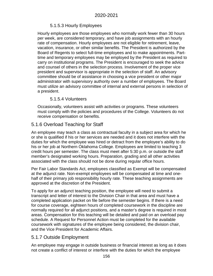## 5.1.5.3 Hourly Employees

Hourly employees are those employees who normally work fewer than 30 hours per week, are considered temporary, and have job assignments with an hourly rate of compensation. Hourly employees are not eligible for retirement, leave, vacation, insurance, or other similar benefits. The President is authorized by the Board of Regents to select full-time employees and to make appointments. Parttime and temporary employees may be employed by the President as required to carry on institutional programs. The President is encouraged to seek the advice and counsel of others in the selection process. Involvement of the proper vice president and supervisor is appropriate in the selection of staff. An advisory committee should be of assistance in choosing a vice president or other major administrator with supervisory authority over a number of employees. The Board must utilize an advisory committee of internal and external persons in selection of a president.

## 5.1.5.4 Volunteers

Occasionally, volunteers assist with activities or programs. These volunteers must comply with the policies and procedures of the College. Volunteers do not receive compensation or benefits.

## 5.1.6 Overload Teaching for Staff

An employee may teach a class as contractual faculty in a subject area for which he or she is qualified if his or her services are needed and it does not interfere with the duties for which the employee was hired or detract from the employee's ability to do his or her job at Northern Oklahoma College. Employees are limited to teaching 3 credit hours per semester. The class must meet after 5:30 p.m. or outside the staff member's designated working hours. Preparation, grading and all other activities associated with the class should not be done during regular office hours.

Per Fair Labor Standards Act, employees classified as Exempt will be compensated at the adjunct rate. Non-exempt employees will be compensated at time and onehalf of their primary job responsibility hourly rate. These teaching assignments are approved at the discretion of the President.

To apply for an adjunct teaching position, the employee will need to submit a transcript and letter of interest to the Division Chair in that area and must have a completed application packet on file before the semester begins. If there is a need for course coverage, eighteen hours of completed coursework in the discipline are normally required for all adjunct positions, and a master's degree is required in most areas. Compensation for this teaching will be detailed and paid on an overload pay schedule. A Request for Personnel Action must be completed for the available coursework with signatures of the employee being considered, the division chair, and the Vice President for Academic Affairs.

## 5.1.7 Outside Employment

An employee may engage in outside business or financial interest as long as it does not create a conflict of interest or interfere with the duties for which the employee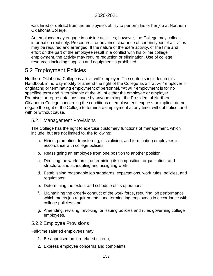was hired or detract from the employee's ability to perform his or her job at Northern Oklahoma College.

An employee may engage in outside activities; however, the College may collect information routinely. Procedures for advance clearance of certain types of activities may be required and arranged. If the nature of the extra activity, or the time and effort on the part of the employee result in a conflict with his or her college employment, the activity may require reduction or elimination. Use of college resources including supplies and equipment is prohibited.

# 5.2 Employment Policies

Northern Oklahoma College is an "at will" employer. The contents included in this Handbook in no way modify or amend the right of the College as an "at will" employer in originating or terminating employment of personnel. "At will" employment is for no specified term and is terminable at the will of either the employee or employer. Promises or representations made by anyone except the President of Northern Oklahoma College concerning the conditions of employment, express or implied, do not negate the right of the College to terminate employment at any time, without notice, and with or without cause.

## 5.2.1 Management Provisions

The College has the right to exercise customary functions of management, which include, but are not limited to, the following:

- a. Hiring, promoting, transferring, disciplining, and terminating employees in accordance with college policies;
- b. Reassigning an employee from one position to another position;
- c. Directing the work force; determining its composition, organization, and structure; and scheduling and assigning work;
- d. Establishing reasonable job standards, expectations, work rules, policies, and regulations;
- e. Determining the extent and schedule of its operations;
- f. Maintaining the orderly conduct of the work force, requiring job performance which meets job requirements, and terminating employees in accordance with college policies; and
- g. Amending, revising, revoking, or issuing policies and rules governing college employees.

## 5.2.2 Employee Provisions

Full-time salaried employees may:

- 1. Be appraised on job-related criteria;
- 2. Express employee concerns and complaints;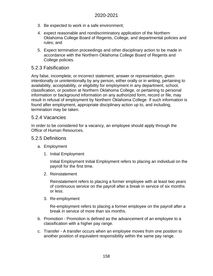- 3. Be expected to work in a safe environment;
- 4. expect reasonable and nondiscriminatory application of the Northern Oklahoma College Board of Regents, College, and departmental policies and rules; and
- 5. Expect termination proceedings and other disciplinary action to be made in accordance with the Northern Oklahoma College Board of Regents and College policies.

## 5.2.3 Falsification

Any false, incomplete, or incorrect statement, answer or representation, given intentionally or unintentionally by any person, either orally or in writing, pertaining to availability, acceptability, or eligibility for employment in any department, school, classification, or position at Northern Oklahoma College, or pertaining to personal information or background information on any authorized form, record or file, may result in refusal of employment by Northern Oklahoma College. If such information is found after employment, appropriate disciplinary action up to, and including, termination may be taken.

## 5.2.4 Vacancies

In order to be considered for a vacancy, an employee should apply through the Office of Human Resources.

## 5.2.5 Definitions

- a. Employment
	- 1. Initial Employment

Initial Employment Initial Employment refers to placing an individual on the payroll for the first time.

2. Reinstatement

Reinstatement refers to placing a former employee with at least two years of continuous service on the payroll after a break in service of six months or less.

3. Re-employment

Re-employment refers to placing a former employee on the payroll after a break in service of more than six months.

- b. Promotion Promotion is defined as the advancement of an employee to a classification with a higher pay range.
- c. Transfer A transfer occurs when an employee moves from one position to another position of equivalent responsibility within the same pay range.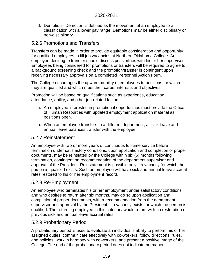d. Demotion - Demotion is defined as the movement of an employee to a classification with a lower pay range. Demotions may be either disciplinary or non-disciplinary.

## 5.2.6 Promotions and Transfers

Transfers can be made in order to provide equitable consideration and opportunity for qualified employees to fill job vacancies at Northern Oklahoma College. An employee desiring to transfer should discuss possibilities with his or her supervisor. Employees being considered for promotions or transfers will be required to agree to a background screening check and the promotion/transfer is contingent upon receiving necessary approvals on a completed Personnel Action Form.

The College encourages the upward mobility of employees to positions for which they are qualified and which meet their career interests and objectives.

Promotion will be based on qualifications such as experience, education, attendance, ability, and other job-related factors.

- a. An employee interested in promotional opportunities must provide the Office of Human Resources with updated employment application material as positions open.
- b. When an employee transfers to a different department, all sick leave and annual leave balances transfer with the employee.

## 5.2.7 Reinstatement

An employee with two or more years of continuous full-time service before termination under satisfactory conditions, upon application and completion of proper documents, may be reinstated by the College within six (6) months following termination, contingent on recommendation of the department supervisor and approval of the President. Reinstatement is possible only if a vacancy for which the person is qualified exists. Such an employee will have sick and annual leave accrual rates restored to his or her employment record.

## 5.2.8 Re-Employment

An employee who terminates his or her employment under satisfactory conditions and who desires to return after six months, may do so upon application and completion of proper documents, with a recommendation from the department supervisor and approval by the President, if a vacancy exists for which the person is qualified. The returning employee in this category would return with no restoration of previous sick and annual leave accrual rates.

## 5.2.9 Probationary Period

A probationary period is used to evaluate an individual's ability to perform his or her assigned duties; communicate effectively with co-workers; follow directions, rules, and policies; work in harmony with co-workers; and present a positive image of the College. The end of the probationary period does not indicate permanent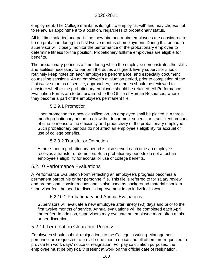employment. The College maintains its right to employ "at-will" and may choose not to renew an appointment to a position, regardless of probationary status.

All full-time salaried and part-time, new-hire and rehire employees are considered to be on probation during the first twelve months of employment. During this period, a supervisor will closely monitor the performance of the probationary employee to determine fitness for the position. Probationary fulltime employees are eligible for benefits.

The probationary period is a time during which the employee demonstrates the skills and abilities necessary to perform the duties assigned. Every supervisor should routinely keep notes on each employee's performance, and especially document counseling sessions. As an employee's evaluation period, prior to completion of the first twelve months of service, approaches, those notes should be reviewed to consider whether the probationary employee should be retained. All Performance Evaluation Forms are to be forwarded to the Office of Human Resources, where they become a part of the employee's permanent file.

#### 5.2.9.1 Promotion

Upon promotion to a new classification, an employee shall be placed in a threemonth probationary period to allow the department supervisor a sufficient amount of time to measure the efficiency and productivity of the probationary employee. Such probationary periods do not affect an employee's eligibility for accrual or use of college benefits.

## 5.2.9.2 Transfer or Demotion

A three-month probationary period is also served each time an employee receives a transfer or demotion. Such probationary periods do not affect an employee's eligibility for accrual or use of college benefits.

## 5.2.10 Performance Evaluations

A Performance Evaluation Form reflecting an employee's progress becomes a permanent part of his or her personnel file. This file is referred to for salary review and promotional considerations and is also used as background material should a supervisor feel the need to discuss improvement in an individual's work.

## 5.2.10.1 Probationary and Annual Evaluations

Supervisors will evaluate a new employee after ninety (90) days and prior to the first twelve months of service. Annual evaluations will be completed each April thereafter. In addition, supervisors may evaluate an employee more often at his or her discretion.

## 5.2.11 Termination Clearance Process

Employees should submit resignations to the College in writing. Management personnel are requested to provide one month notice and all others are requested to provide ten work days' notice of resignation. For pay calculation purposes, the employee must be physically present at work on the official date of resignation.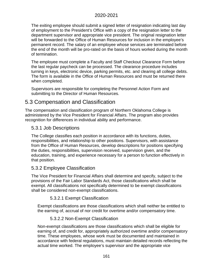The exiting employee should submit a signed letter of resignation indicating last day of employment to the President's Office with a copy of the resignation letter to the department supervisor and appropriate vice president. The original resignation letter will be forwarded to the Office of Human Resources for inclusion in the employee's permanent record. The salary of an employee whose services are terminated before the end of the month will be pro-rated on the basis of hours worked during the month of termination.

The employee must complete a Faculty and Staff Checkout Clearance Form before the last regular paycheck can be processed. The clearance procedure includes turning in keys, electronic device, parking permits, etc. and clearing all college debts. The form is available in the Office of Human Resources and must be returned there when completed.

Supervisors are responsible for completing the Personnel Action Form and submitting to the Director of Human Resources.

## 5.3 Compensation and Classification

The compensation and classification program of Northern Oklahoma College is administered by the Vice President for Financial Affairs. The program also provides recognition for differences in individual ability and performance.

## 5.3.1 Job Descriptions

The College classifies each position in accordance with its functions, duties, responsibilities, and relationship to other positions. Supervisors, with assistance from the Office of Human Resources, develop descriptions for positions specifying the duties, responsibilities, supervision received, supervision given, and the education, training, and experience necessary for a person to function effectively in that position.

## 5.3.2 Employee Classification

The Vice President for Financial Affairs shall determine and specify, subject to the provisions of the Fair Labor Standards Act, those classifications which shall be exempt. All classifications not specifically determined to be exempt classifications shall be considered non-exempt classifications.

## 5.3.2.1 Exempt Classification

Exempt classifications are those classifications which shall neither be entitled to the earning of, accrual of nor credit for overtime and/or compensatory time.

## 5.3.2.2 Non-Exempt Classification

Non-exempt classifications are those classifications which shall be eligible for earning of, and credit for, appropriately authorized overtime and/or compensatory time. These employees, whose work must be documented and maintained in accordance with federal regulations, must maintain detailed records reflecting the actual time worked. The employee's supervisor and the appropriate vice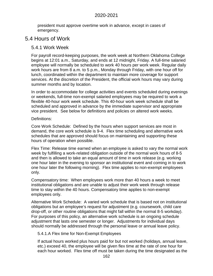president must approve overtime work in advance, except in cases of emergency.

## 5.4 Hours of Work

#### 5.4.1 Work Week

For payroll record-keeping purposes, the work week at Northern Oklahoma College begins at 12:01 a.m., Saturday, and ends at 12 midnight, Friday. A full-time salaried employee will normally be scheduled to work 40 hours per work week. Regular daily work hours are from 8 a.m. to 5 p.m., Monday through Friday, with one hour off for lunch, coordinated within the department to maintain more coverage for support services. At the discretion of the President, the official work hours may vary during summer months and by location.

In order to accommodate for college activities and events scheduled during evenings or weekends, full-time non-exempt salaried employees may be required to work a flexible 40-hour work week schedule. This 40-hour work week schedule shall be scheduled and approved in advance by the immediate supervisor and appropriate vice president. See below for definitions and policies on altered work weeks.

#### Definitions:

Core Work Schedule: Defined by the hours when support services are most in demand, the core work schedule is 9-4. Flex time scheduling and alternative work schedules that are approved should focus on maintaining and supporting these hours of operation when possible.

Flex Time: Release time earned when an employee is asked to vary the normal work week by fulfilling a work-related obligation outside of the normal work hours of 8-5 and then is allowed to take an equal amount of time in work release (e.g. working one hour later in the evening to sponsor an institutional event and coming in to work one hour later the following morning). Flex time applies to non-exempt employees only.

Compensatory time: When employees work more than 40 hours a week to meet institutional obligations and are unable to adjust their work week through release time to stay within the 40 hours. Compensatory time applies to non-exempt employees only.

Alternative Work Schedule: A varied work schedule that is based not on institutional obligations but an employee's request for adjustment (e.g. coursework, child care drop-off, or other routine obligations that might fall within the normal 8-5 workday). For purposes of this policy, an alternative work schedule is an ongoing schedule adjustment that lasts one semester or longer. Adjustments for individual days should normally be addressed through the personal leave or annual leave policy.

#### 5.4.1.A Flex time for Non-Exempt Employees

If actual hours worked plus hours paid for but not worked (holidays, annual leave, etc.) exceed 40, the employee will be given flex time at the rate of one hour for each hour worked. Flex time off must be taken during the time designated as the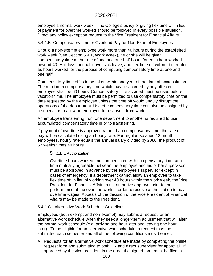employee's normal work week. The College's policy of giving flex time off in lieu of payment for overtime worked should be followed in every possible situation. Direct any policy exception request to the Vice President for Financial Affairs.

5.4.1.B Compensatory time or Overload Pay for Non-Exempt Employees

Should a non-exempt employee work more than 40 hours during the established work week (See Section 5.4.1, Work Week), he or she will be given compensatory time at the rate of one and one-half hours for each hour worked beyond 40. Holidays, annual leave, sick leave, and flex time off will not be treated as hours worked for the purpose of computing compensatory time at one and one half.

Compensatory time off is to be taken within one year of the date of accumulation. The maximum compensatory time which may be accrued by any affected employee shall be 60 hours. Compensatory time accrued must be used before vacation time. The employee must be permitted to use compensatory time on the date requested by the employee unless the time off would unduly disrupt the operations of the department. Use of compensatory time can also be assigned by a supervisor to allow an employee to be absent from work.

An employee transferring from one department to another is required to use accumulated compensatory time prior to transferring.

If payment of overtime is approved rather than compensatory time, the rate of pay will be calculated using an hourly rate. For regular, salaried 12-month employees, hourly rate equals the annual salary divided by 2080, the product of 52 weeks times 40 hours.

5.4.1.B.1 Authorization

Overtime hours worked and compensated with compensatory time, at a time mutually agreeable between the employee and his or her supervisor, must be approved in advance by the employee's supervisor except in cases of emergency. If a department cannot allow an employee to take flex time off in lieu of working over 40 hours within the work week, the Vice President for Financial Affairs must authorize approval prior to the performance of the overtime work in order to receive authorization to pay overtime wages. Appeals of the decision of the Vice President of Financial Affairs may be made to the President.

5.4.1.C. Alternative Work Schedule Guidelines

Employees (both exempt and non-exempt) may submit a request for an alternative work schedule when they seek a longer-term adjustment that will alter the normal work schedule (e.g. arriving one hour later and leaving one hour later). To be eligible for an alternative work schedule, a request must be submitted each semester and all of the following conditions must be met:

A. Requests for an alternative work schedule are made by completing the online request form and submitting to both HR and direct supervisor for approval. If approved by the vice president in the area, the signed form must be filed in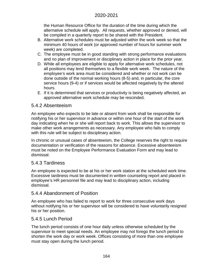the Human Resource Office for the duration of the time during which the alternative schedule will apply. All requests, whether approved or denied, will be compiled in a quarterly report to be shared with the President.

- B. Alternative work schedules must be adjusted within the work week so that the minimum 40 hours of work (or approved number of hours for summer work week) are completed.
- C. The employee must be in good standing with strong performance evaluations and no plan of improvement or disciplinary action in place for the prior year.
- D. While all employees are eligible to apply for alternative work schedules, not all positions may lend themselves to a flexible work week. The nature of the employee's work area must be considered and whether or not work can be done outside of the normal working hours (8-5) and, in particular, the core service hours (9-4) or if services would be affected negatively by the altered hours.
- E. If it is determined that services or productivity is being negatively affected, an approved alternative work schedule may be rescinded.

## 5.4.2 Absenteeism

An employee who expects to be late or absent from work shall be responsible for notifying his or her supervisor in advance or within one hour of the start of the work day indicating when he or she will report back to work. This allows the supervisor to make other work arrangements as necessary. Any employee who fails to comply with this rule will be subject to disciplinary action.

In chronic or unusual cases of absenteeism, the College reserves the right to require documentation or verification of the reasons for absence. Excessive absenteeism must be noted on the Employee Performance Evaluation Form and may lead to dismissal.

## 5.4.3 Tardiness

An employee is expected to be at his or her work station at the scheduled work time. Excessive tardiness must be documented in written counseling report and placed in employee's HR personnel file and may lead to disciplinary action, including dismissal.

## 5.4.4 Abandonment of Position

An employee who has failed to report to work for three consecutive work days without notifying his or her supervisor will be considered to have voluntarily resigned his or her position.

## 5.4.5 Lunch Period

The lunch period consists of one hour daily unless otherwise scheduled by the supervisor to meet special needs. An employee may not forego the lunch period to shorten the work day or work week. Offices consisting of more than one employee must stay open during the lunch period.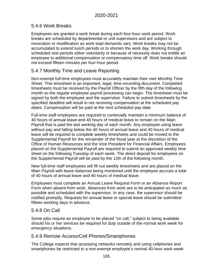## 5.4.6 Work Breaks

Employees are granted a work break during each four-hour work period. Work breaks are scheduled by departmental or unit supervisors and are subject to revocation or modification as work load demands vary. Work breaks may not be accumulated to extend lunch periods or to shorten the work day. Working through scheduled rest periods either voluntarily or because of necessity does not entitle an employee to additional compensation or compensatory time off. Work breaks should not exceed fifteen minutes per four-hour period.

## 5.4.7 Monthly Time and Leave Reporting

Non-exempt full-time employees must accurately maintain their own Monthly Time Sheet. This timesheet is an important, legal, time-recording document. Completed timesheets must be received by the Payroll Officer by the fifth day of the following month so the regular employee payroll processing can begin. The timesheet must be signed by both the employee and the supervisor. Failure to submit timesheets by the specified deadline will result in not receiving compensation at the scheduled pay dates. Compensation will be paid at the next scheduled pay date.

Full-time staff employees are required to continually maintain a minimum balance of 40 hours of annual leave and 40 hours of medical leave to remain on the Main Payroll that is paid the last working day of each month. Any employee using leave without pay and falling below the 40 hours of annual leave and 40 hours of medical leave will be required to complete weekly timesheets and could be moved to the Supplemental Payroll for the remainder of the fiscal year at the discretion of the Office of Human Resources and the Vice President for Financial Affairs. Employees placed on the Supplemental Payroll are required to submit an approved weekly time sheet on the following Tuesday of each week. The direct deposit for employees on the Supplemental Payroll will be paid by the 12th of the following month.

New full-time staff employees will fill out weekly timesheets and are placed on the Main Payroll with leave balances being monitored until the employee accrues a total of 40 hours of annual leave and 40 hours of medical leave.

Employees must complete an Annual Leave Request Form or an Absence Report Form when absent from work. Absences from work are to be anticipated as much as possible and scheduled with the supervisor. In any case, the supervisor should be notified promptly. Requests for annual leave or special leave should be submitted fifteen working days in advance.

## 5.4.8 On Call

Some jobs require an employee to be placed "on call," subject to being available should his or her services be required for duty outside of the normal work week for emergency situations.

## 5.4.9 Remote Access/Cell Phones/Smartphones

The College expects that accessing networks remotely and using cellphones and smartphones be restricted to a non-exempt employee's normal 40-hour work week